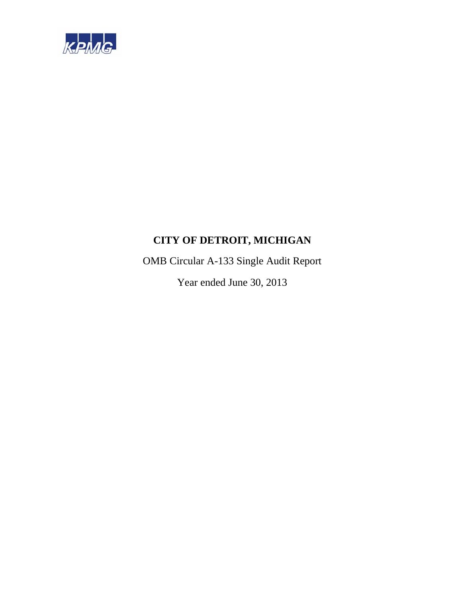

OMB Circular A-133 Single Audit Report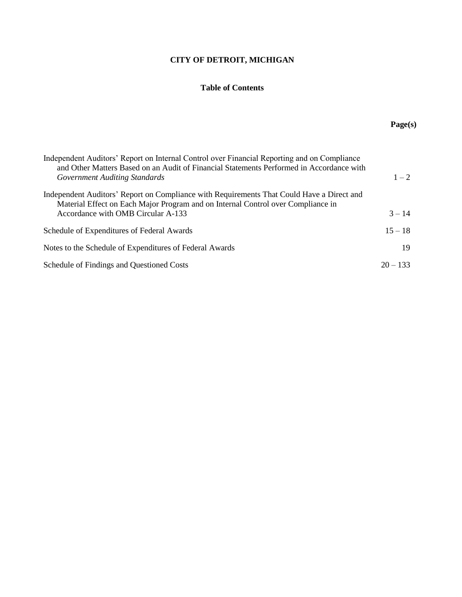# **Table of Contents**

| Independent Auditors' Report on Internal Control over Financial Reporting and on Compliance<br>and Other Matters Based on an Audit of Financial Statements Performed in Accordance with<br>Government Auditing Standards | $1 - 2$    |
|--------------------------------------------------------------------------------------------------------------------------------------------------------------------------------------------------------------------------|------------|
| Independent Auditors' Report on Compliance with Requirements That Could Have a Direct and<br>Material Effect on Each Major Program and on Internal Control over Compliance in                                            |            |
| Accordance with OMB Circular A-133                                                                                                                                                                                       | $3 - 14$   |
| Schedule of Expenditures of Federal Awards                                                                                                                                                                               | $15 - 18$  |
| Notes to the Schedule of Expenditures of Federal Awards                                                                                                                                                                  | 19         |
| Schedule of Findings and Questioned Costs                                                                                                                                                                                | $20 - 133$ |

**Page(s)**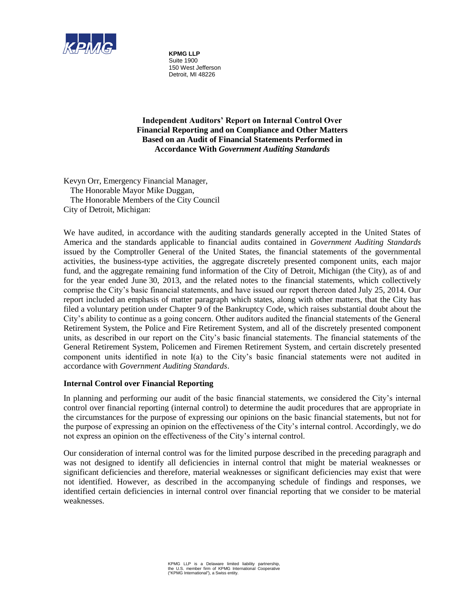

**KPMG LLP** Suite 1900 150 West Jefferson Detroit, MI 48226

**Independent Auditors' Report on Internal Control Over Financial Reporting and on Compliance and Other Matters Based on an Audit of Financial Statements Performed in Accordance With** *Government Auditing Standards*

Kevyn Orr, Emergency Financial Manager, The Honorable Mayor Mike Duggan, The Honorable Members of the City Council City of Detroit, Michigan:

We have audited, in accordance with the auditing standards generally accepted in the United States of America and the standards applicable to financial audits contained in *Government Auditing Standards* issued by the Comptroller General of the United States, the financial statements of the governmental activities, the business-type activities, the aggregate discretely presented component units, each major fund, and the aggregate remaining fund information of the City of Detroit, Michigan (the City), as of and for the year ended June 30, 2013, and the related notes to the financial statements, which collectively comprise the City's basic financial statements, and have issued our report thereon dated July 25, 2014. Our report included an emphasis of matter paragraph which states, along with other matters, that the City has filed a voluntary petition under Chapter 9 of the Bankruptcy Code, which raises substantial doubt about the City's ability to continue as a going concern. Other auditors audited the financial statements of the General Retirement System, the Police and Fire Retirement System, and all of the discretely presented component units, as described in our report on the City's basic financial statements. The financial statements of the General Retirement System, Policemen and Firemen Retirement System, and certain discretely presented component units identified in note I(a) to the City's basic financial statements were not audited in accordance with *Government Auditing Standards*.

# **Internal Control over Financial Reporting**

In planning and performing our audit of the basic financial statements, we considered the City's internal control over financial reporting (internal control) to determine the audit procedures that are appropriate in the circumstances for the purpose of expressing our opinions on the basic financial statements, but not for the purpose of expressing an opinion on the effectiveness of the City's internal control. Accordingly, we do not express an opinion on the effectiveness of the City's internal control.

Our consideration of internal control was for the limited purpose described in the preceding paragraph and was not designed to identify all deficiencies in internal control that might be material weaknesses or significant deficiencies and therefore, material weaknesses or significant deficiencies may exist that were not identified. However, as described in the accompanying schedule of findings and responses, we identified certain deficiencies in internal control over financial reporting that we consider to be material weaknesses.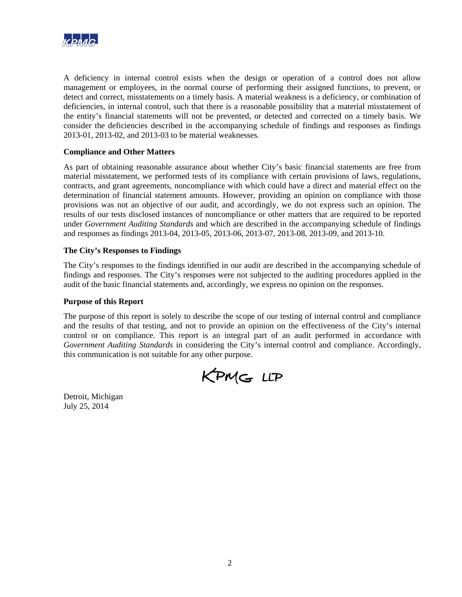

A deficiency in internal control exists when the design or operation of a control does not allow management or employees, in the normal course of performing their assigned functions, to prevent, or detect and correct, misstatements on a timely basis. A material weakness is a deficiency, or combination of deficiencies, in internal control, such that there is a reasonable possibility that a material misstatement of the entity's financial statements will not be prevented, or detected and corrected on a timely basis. We consider the deficiencies described in the accompanying schedule of findings and responses as findings 2013-01, 2013-02, and 2013-03 to be material weaknesses.

## **Compliance and Other Matters**

As part of obtaining reasonable assurance about whether City's basic financial statements are free from material misstatement, we performed tests of its compliance with certain provisions of laws, regulations, contracts, and grant agreements, noncompliance with which could have a direct and material effect on the determination of financial statement amounts. However, providing an opinion on compliance with those provisions was not an objective of our audit, and accordingly, we do not express such an opinion. The results of our tests disclosed instances of noncompliance or other matters that are required to be reported under *Government Auditing Standards* and which are described in the accompanying schedule of findings and responses as findings 2013-04, 2013-05, 2013-06, 2013-07, 2013-08, 2013-09, and 2013-10.

### **The City's Responses to Findings**

The City's responses to the findings identified in our audit are described in the accompanying schedule of findings and responses. The City's responses were not subjected to the auditing procedures applied in the audit of the basic financial statements and, accordingly, we express no opinion on the responses.

#### **Purpose of this Report**

The purpose of this report is solely to describe the scope of our testing of internal control and compliance and the results of that testing, and not to provide an opinion on the effectiveness of the City's internal control or on compliance. This report is an integral part of an audit performed in accordance with *Government Auditing Standards* in considering the City's internal control and compliance. Accordingly, this communication is not suitable for any other purpose.

KPMG LLP

Detroit, Michigan July 25, 2014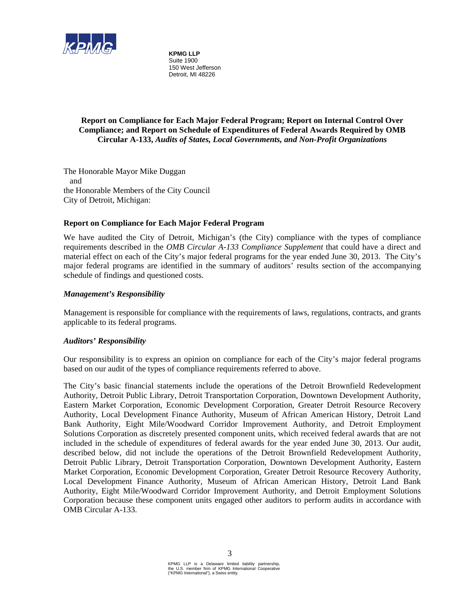

**KPMG LLP** Suite 1900 150 West Jefferson Detroit, MI 48226

**Report on Compliance for Each Major Federal Program; Report on Internal Control Over Compliance; and Report on Schedule of Expenditures of Federal Awards Required by OMB Circular A-133,** *Audits of States, Local Governments, and Non-Profit Organizations*

The Honorable Mayor Mike Duggan and the Honorable Members of the City Council City of Detroit, Michigan:

### **Report on Compliance for Each Major Federal Program**

We have audited the City of Detroit, Michigan's (the City) compliance with the types of compliance requirements described in the *OMB Circular A-133 Compliance Supplement* that could have a direct and material effect on each of the City's major federal programs for the year ended June 30, 2013. The City's major federal programs are identified in the summary of auditors' results section of the accompanying schedule of findings and questioned costs.

### *Management's Responsibility*

Management is responsible for compliance with the requirements of laws, regulations, contracts, and grants applicable to its federal programs.

#### *Auditors' Responsibility*

Our responsibility is to express an opinion on compliance for each of the City's major federal programs based on our audit of the types of compliance requirements referred to above.

The City's basic financial statements include the operations of the Detroit Brownfield Redevelopment Authority, Detroit Public Library, Detroit Transportation Corporation, Downtown Development Authority, Eastern Market Corporation, Economic Development Corporation, Greater Detroit Resource Recovery Authority, Local Development Finance Authority, Museum of African American History, Detroit Land Bank Authority, Eight Mile/Woodward Corridor Improvement Authority, and Detroit Employment Solutions Corporation as discretely presented component units, which received federal awards that are not included in the schedule of expenditures of federal awards for the year ended June 30, 2013. Our audit, described below, did not include the operations of the Detroit Brownfield Redevelopment Authority, Detroit Public Library, Detroit Transportation Corporation, Downtown Development Authority, Eastern Market Corporation, Economic Development Corporation, Greater Detroit Resource Recovery Authority, Local Development Finance Authority, Museum of African American History, Detroit Land Bank Authority, Eight Mile/Woodward Corridor Improvement Authority, and Detroit Employment Solutions Corporation because these component units engaged other auditors to perform audits in accordance with OMB Circular A-133.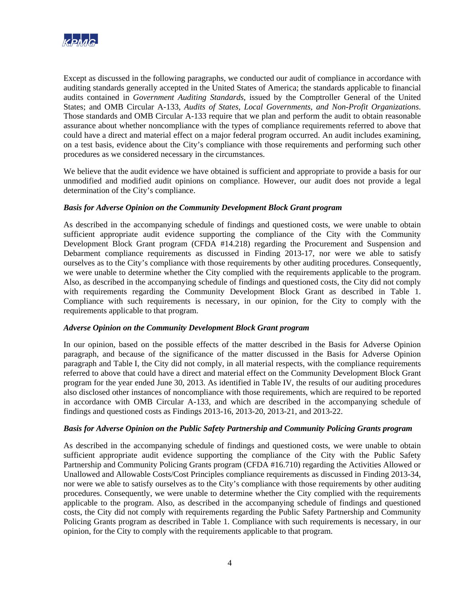

Except as discussed in the following paragraphs, we conducted our audit of compliance in accordance with auditing standards generally accepted in the United States of America; the standards applicable to financial audits contained in *Government Auditing Standards*, issued by the Comptroller General of the United States; and OMB Circular A-133, *Audits of States, Local Governments, and Non-Profit Organizations*. Those standards and OMB Circular A-133 require that we plan and perform the audit to obtain reasonable assurance about whether noncompliance with the types of compliance requirements referred to above that could have a direct and material effect on a major federal program occurred. An audit includes examining, on a test basis, evidence about the City's compliance with those requirements and performing such other procedures as we considered necessary in the circumstances.

We believe that the audit evidence we have obtained is sufficient and appropriate to provide a basis for our unmodified and modified audit opinions on compliance. However, our audit does not provide a legal determination of the City's compliance.

# *Basis for Adverse Opinion on the Community Development Block Grant program*

As described in the accompanying schedule of findings and questioned costs, we were unable to obtain sufficient appropriate audit evidence supporting the compliance of the City with the Community Development Block Grant program (CFDA #14.218) regarding the Procurement and Suspension and Debarment compliance requirements as discussed in Finding 2013-17, nor were we able to satisfy ourselves as to the City's compliance with those requirements by other auditing procedures. Consequently, we were unable to determine whether the City complied with the requirements applicable to the program. Also, as described in the accompanying schedule of findings and questioned costs, the City did not comply with requirements regarding the Community Development Block Grant as described in Table 1. Compliance with such requirements is necessary, in our opinion, for the City to comply with the requirements applicable to that program.

#### *Adverse Opinion on the Community Development Block Grant program*

In our opinion, based on the possible effects of the matter described in the Basis for Adverse Opinion paragraph, and because of the significance of the matter discussed in the Basis for Adverse Opinion paragraph and Table I, the City did not comply, in all material respects, with the compliance requirements referred to above that could have a direct and material effect on the Community Development Block Grant program for the year ended June 30, 2013. As identified in Table IV, the results of our auditing procedures also disclosed other instances of noncompliance with those requirements, which are required to be reported in accordance with OMB Circular A-133, and which are described in the accompanying schedule of findings and questioned costs as Findings 2013-16, 2013-20, 2013-21, and 2013-22.

# *Basis for Adverse Opinion on the Public Safety Partnership and Community Policing Grants program*

As described in the accompanying schedule of findings and questioned costs, we were unable to obtain sufficient appropriate audit evidence supporting the compliance of the City with the Public Safety Partnership and Community Policing Grants program (CFDA #16.710) regarding the Activities Allowed or Unallowed and Allowable Costs/Cost Principles compliance requirements as discussed in Finding 2013-34, nor were we able to satisfy ourselves as to the City's compliance with those requirements by other auditing procedures. Consequently, we were unable to determine whether the City complied with the requirements applicable to the program. Also, as described in the accompanying schedule of findings and questioned costs, the City did not comply with requirements regarding the Public Safety Partnership and Community Policing Grants program as described in Table 1. Compliance with such requirements is necessary, in our opinion, for the City to comply with the requirements applicable to that program.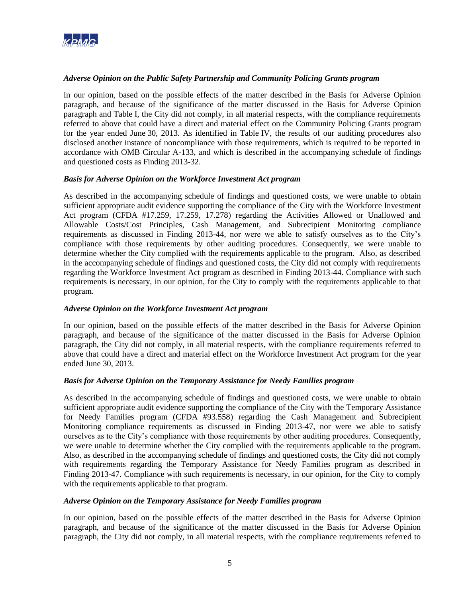

# *Adverse Opinion on the Public Safety Partnership and Community Policing Grants program*

In our opinion, based on the possible effects of the matter described in the Basis for Adverse Opinion paragraph, and because of the significance of the matter discussed in the Basis for Adverse Opinion paragraph and Table I, the City did not comply, in all material respects, with the compliance requirements referred to above that could have a direct and material effect on the Community Policing Grants program for the year ended June 30, 2013. As identified in Table IV, the results of our auditing procedures also disclosed another instance of noncompliance with those requirements, which is required to be reported in accordance with OMB Circular A-133, and which is described in the accompanying schedule of findings and questioned costs as Finding 2013-32.

### *Basis for Adverse Opinion on the Workforce Investment Act program*

As described in the accompanying schedule of findings and questioned costs, we were unable to obtain sufficient appropriate audit evidence supporting the compliance of the City with the Workforce Investment Act program (CFDA #17.259, 17.259, 17.278) regarding the Activities Allowed or Unallowed and Allowable Costs/Cost Principles, Cash Management, and Subrecipient Monitoring compliance requirements as discussed in Finding 2013-44, nor were we able to satisfy ourselves as to the City's compliance with those requirements by other auditing procedures. Consequently, we were unable to determine whether the City complied with the requirements applicable to the program. Also, as described in the accompanying schedule of findings and questioned costs, the City did not comply with requirements regarding the Workforce Investment Act program as described in Finding 2013-44. Compliance with such requirements is necessary, in our opinion, for the City to comply with the requirements applicable to that program.

# *Adverse Opinion on the Workforce Investment Act program*

In our opinion, based on the possible effects of the matter described in the Basis for Adverse Opinion paragraph, and because of the significance of the matter discussed in the Basis for Adverse Opinion paragraph, the City did not comply, in all material respects, with the compliance requirements referred to above that could have a direct and material effect on the Workforce Investment Act program for the year ended June 30, 2013.

# *Basis for Adverse Opinion on the Temporary Assistance for Needy Families program*

As described in the accompanying schedule of findings and questioned costs, we were unable to obtain sufficient appropriate audit evidence supporting the compliance of the City with the Temporary Assistance for Needy Families program (CFDA #93.558) regarding the Cash Management and Subrecipient Monitoring compliance requirements as discussed in Finding 2013-47, nor were we able to satisfy ourselves as to the City's compliance with those requirements by other auditing procedures. Consequently, we were unable to determine whether the City complied with the requirements applicable to the program. Also, as described in the accompanying schedule of findings and questioned costs, the City did not comply with requirements regarding the Temporary Assistance for Needy Families program as described in Finding 2013-47. Compliance with such requirements is necessary, in our opinion, for the City to comply with the requirements applicable to that program.

#### *Adverse Opinion on the Temporary Assistance for Needy Families program*

In our opinion, based on the possible effects of the matter described in the Basis for Adverse Opinion paragraph, and because of the significance of the matter discussed in the Basis for Adverse Opinion paragraph, the City did not comply, in all material respects, with the compliance requirements referred to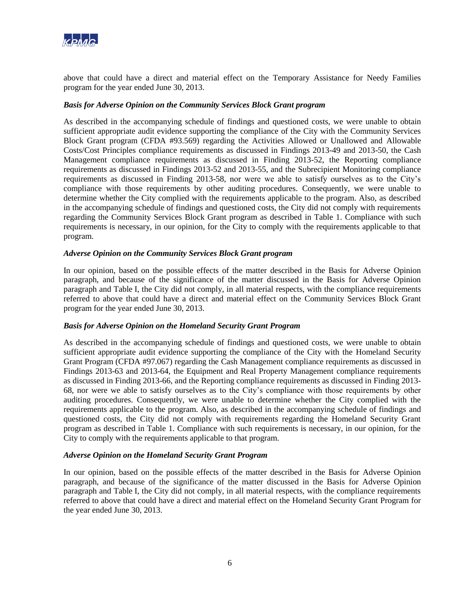

above that could have a direct and material effect on the Temporary Assistance for Needy Families program for the year ended June 30, 2013.

### *Basis for Adverse Opinion on the Community Services Block Grant program*

As described in the accompanying schedule of findings and questioned costs, we were unable to obtain sufficient appropriate audit evidence supporting the compliance of the City with the Community Services Block Grant program (CFDA #93.569) regarding the Activities Allowed or Unallowed and Allowable Costs/Cost Principles compliance requirements as discussed in Findings 2013-49 and 2013-50, the Cash Management compliance requirements as discussed in Finding 2013-52, the Reporting compliance requirements as discussed in Findings 2013-52 and 2013-55, and the Subrecipient Monitoring compliance requirements as discussed in Finding 2013-58, nor were we able to satisfy ourselves as to the City's compliance with those requirements by other auditing procedures. Consequently, we were unable to determine whether the City complied with the requirements applicable to the program. Also, as described in the accompanying schedule of findings and questioned costs, the City did not comply with requirements regarding the Community Services Block Grant program as described in Table 1. Compliance with such requirements is necessary, in our opinion, for the City to comply with the requirements applicable to that program.

#### *Adverse Opinion on the Community Services Block Grant program*

In our opinion, based on the possible effects of the matter described in the Basis for Adverse Opinion paragraph, and because of the significance of the matter discussed in the Basis for Adverse Opinion paragraph and Table I, the City did not comply, in all material respects, with the compliance requirements referred to above that could have a direct and material effect on the Community Services Block Grant program for the year ended June 30, 2013.

#### *Basis for Adverse Opinion on the Homeland Security Grant Program*

As described in the accompanying schedule of findings and questioned costs, we were unable to obtain sufficient appropriate audit evidence supporting the compliance of the City with the Homeland Security Grant Program (CFDA #97.067) regarding the Cash Management compliance requirements as discussed in Findings 2013-63 and 2013-64, the Equipment and Real Property Management compliance requirements as discussed in Finding 2013-66, and the Reporting compliance requirements as discussed in Finding 2013- 68, nor were we able to satisfy ourselves as to the City's compliance with those requirements by other auditing procedures. Consequently, we were unable to determine whether the City complied with the requirements applicable to the program. Also, as described in the accompanying schedule of findings and questioned costs, the City did not comply with requirements regarding the Homeland Security Grant program as described in Table 1. Compliance with such requirements is necessary, in our opinion, for the City to comply with the requirements applicable to that program.

#### *Adverse Opinion on the Homeland Security Grant Program*

In our opinion, based on the possible effects of the matter described in the Basis for Adverse Opinion paragraph, and because of the significance of the matter discussed in the Basis for Adverse Opinion paragraph and Table I, the City did not comply, in all material respects, with the compliance requirements referred to above that could have a direct and material effect on the Homeland Security Grant Program for the year ended June 30, 2013.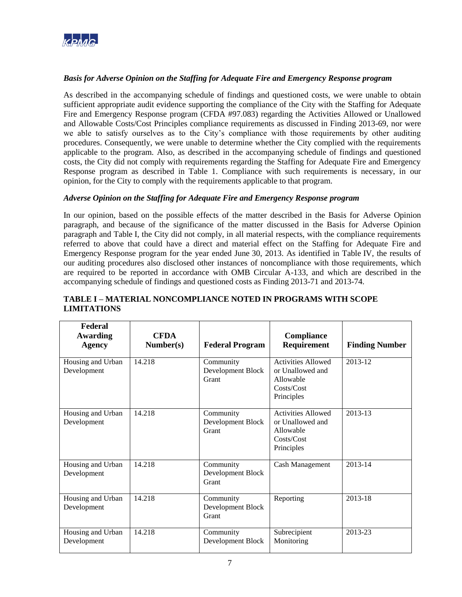

# *Basis for Adverse Opinion on the Staffing for Adequate Fire and Emergency Response program*

As described in the accompanying schedule of findings and questioned costs, we were unable to obtain sufficient appropriate audit evidence supporting the compliance of the City with the Staffing for Adequate Fire and Emergency Response program (CFDA #97.083) regarding the Activities Allowed or Unallowed and Allowable Costs/Cost Principles compliance requirements as discussed in Finding 2013-69, nor were we able to satisfy ourselves as to the City's compliance with those requirements by other auditing procedures. Consequently, we were unable to determine whether the City complied with the requirements applicable to the program. Also, as described in the accompanying schedule of findings and questioned costs, the City did not comply with requirements regarding the Staffing for Adequate Fire and Emergency Response program as described in Table 1. Compliance with such requirements is necessary, in our opinion, for the City to comply with the requirements applicable to that program.

### *Adverse Opinion on the Staffing for Adequate Fire and Emergency Response program*

In our opinion, based on the possible effects of the matter described in the Basis for Adverse Opinion paragraph, and because of the significance of the matter discussed in the Basis for Adverse Opinion paragraph and Table I, the City did not comply, in all material respects, with the compliance requirements referred to above that could have a direct and material effect on the Staffing for Adequate Fire and Emergency Response program for the year ended June 30, 2013. As identified in Table IV, the results of our auditing procedures also disclosed other instances of noncompliance with those requirements, which are required to be reported in accordance with OMB Circular A-133, and which are described in the accompanying schedule of findings and questioned costs as Finding 2013-71 and 2013-74.

| Federal<br><b>Awarding</b><br><b>Agency</b> | <b>CFDA</b><br>Number(s) | <b>Federal Program</b>                  | Compliance<br>Requirement                                                              | <b>Finding Number</b> |
|---------------------------------------------|--------------------------|-----------------------------------------|----------------------------------------------------------------------------------------|-----------------------|
| Housing and Urban<br>Development            | 14.218                   | Community<br>Development Block<br>Grant | <b>Activities Allowed</b><br>or Unallowed and<br>Allowable<br>Costs/Cost<br>Principles | 2013-12               |
| Housing and Urban<br>Development            | 14.218                   | Community<br>Development Block<br>Grant | <b>Activities Allowed</b><br>or Unallowed and<br>Allowable<br>Costs/Cost<br>Principles | 2013-13               |
| Housing and Urban<br>Development            | 14.218                   | Community<br>Development Block<br>Grant | Cash Management                                                                        | 2013-14               |
| Housing and Urban<br>Development            | 14.218                   | Community<br>Development Block<br>Grant | Reporting                                                                              | 2013-18               |
| Housing and Urban<br>Development            | 14.218                   | Community<br>Development Block          | Subrecipient<br>Monitoring                                                             | 2013-23               |

# **TABLE I – MATERIAL NONCOMPLIANCE NOTED IN PROGRAMS WITH SCOPE LIMITATIONS**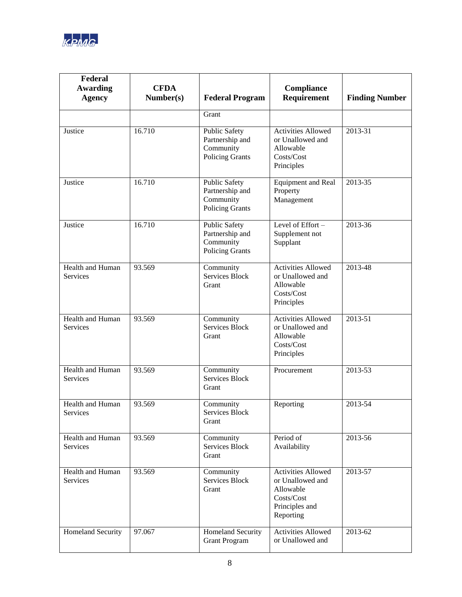

| Federal<br><b>Awarding</b><br><b>Agency</b> | <b>CFDA</b><br>Number(s) | <b>Federal Program</b>                                                         | Compliance<br><b>Requirement</b>                                                                        | <b>Finding Number</b> |
|---------------------------------------------|--------------------------|--------------------------------------------------------------------------------|---------------------------------------------------------------------------------------------------------|-----------------------|
|                                             |                          | Grant                                                                          |                                                                                                         |                       |
| Justice                                     | 16.710                   | Public Safety<br>Partnership and<br>Community<br><b>Policing Grants</b>        | <b>Activities Allowed</b><br>or Unallowed and<br>Allowable<br>Costs/Cost<br>Principles                  | 2013-31               |
| Justice                                     | 16.710                   | <b>Public Safety</b><br>Partnership and<br>Community<br><b>Policing Grants</b> | <b>Equipment and Real</b><br>Property<br>Management                                                     | 2013-35               |
| Justice                                     | 16.710                   | Public Safety<br>Partnership and<br>Community<br>Policing Grants               | Level of Effort -<br>Supplement not<br>Supplant                                                         | 2013-36               |
| Health and Human<br>Services                | 93.569                   | Community<br><b>Services Block</b><br>Grant                                    | <b>Activities Allowed</b><br>or Unallowed and<br>Allowable<br>Costs/Cost<br>Principles                  | 2013-48               |
| Health and Human<br>Services                | 93.569                   | Community<br><b>Services Block</b><br>Grant                                    | <b>Activities Allowed</b><br>or Unallowed and<br>Allowable<br>Costs/Cost<br>Principles                  | 2013-51               |
| Health and Human<br>Services                | 93.569                   | Community<br>Services Block<br>Grant                                           | Procurement                                                                                             | 2013-53               |
| Health and Human<br>Services                | 93.569                   | Community<br>Services Block<br>Grant                                           | Reporting                                                                                               | 2013-54               |
| Health and Human<br>Services                | 93.569                   | Community<br><b>Services Block</b><br>Grant                                    | Period of<br>Availability                                                                               | 2013-56               |
| Health and Human<br>Services                | 93.569                   | Community<br>Services Block<br>Grant                                           | <b>Activities Allowed</b><br>or Unallowed and<br>Allowable<br>Costs/Cost<br>Principles and<br>Reporting | 2013-57               |
| Homeland Security                           | 97.067                   | Homeland Security<br><b>Grant Program</b>                                      | <b>Activities Allowed</b><br>or Unallowed and                                                           | 2013-62               |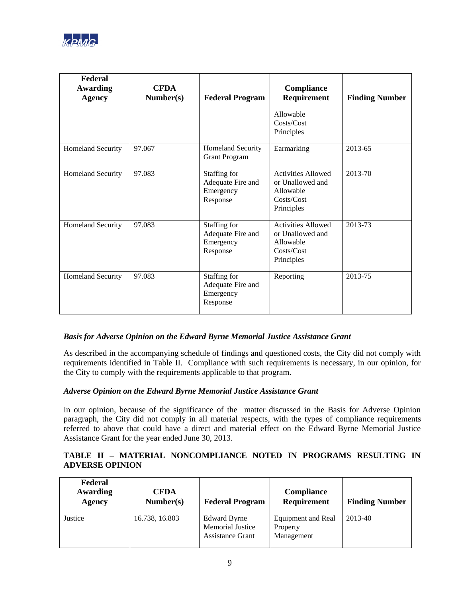

| Federal<br>Awarding<br><b>Agency</b> | <b>CFDA</b><br>Number(s) | <b>Federal Program</b>                                     | Compliance<br>Requirement                                                              | <b>Finding Number</b> |
|--------------------------------------|--------------------------|------------------------------------------------------------|----------------------------------------------------------------------------------------|-----------------------|
|                                      |                          |                                                            | Allowable<br>Costs/Cost<br>Principles                                                  |                       |
| Homeland Security                    | 97.067                   | Homeland Security<br><b>Grant Program</b>                  | Earmarking                                                                             | 2013-65               |
| Homeland Security                    | 97.083                   | Staffing for<br>Adequate Fire and<br>Emergency<br>Response | <b>Activities Allowed</b><br>or Unallowed and<br>Allowable<br>Costs/Cost<br>Principles | 2013-70               |
| Homeland Security                    | 97.083                   | Staffing for<br>Adequate Fire and<br>Emergency<br>Response | <b>Activities Allowed</b><br>or Unallowed and<br>Allowable<br>Costs/Cost<br>Principles | 2013-73               |
| Homeland Security                    | 97.083                   | Staffing for<br>Adequate Fire and<br>Emergency<br>Response | Reporting                                                                              | 2013-75               |

# *Basis for Adverse Opinion on the Edward Byrne Memorial Justice Assistance Grant*

As described in the accompanying schedule of findings and questioned costs, the City did not comply with requirements identified in Table II. Compliance with such requirements is necessary, in our opinion, for the City to comply with the requirements applicable to that program.

# *Adverse Opinion on the Edward Byrne Memorial Justice Assistance Grant*

In our opinion, because of the significance of the matter discussed in the Basis for Adverse Opinion paragraph, the City did not comply in all material respects, with the types of compliance requirements referred to above that could have a direct and material effect on the Edward Byrne Memorial Justice Assistance Grant for the year ended June 30, 2013.

# **TABLE II – MATERIAL NONCOMPLIANCE NOTED IN PROGRAMS RESULTING IN ADVERSE OPINION**

| Federal<br>Awarding<br>Agency | <b>CFDA</b><br>Number(s) | <b>Federal Program</b>                                                    | <b>Compliance</b><br><b>Requirement</b>      | <b>Finding Number</b> |
|-------------------------------|--------------------------|---------------------------------------------------------------------------|----------------------------------------------|-----------------------|
| Justice                       | 16.738, 16.803           | <b>Edward Byrne</b><br><b>Memorial Justice</b><br><b>Assistance Grant</b> | Equipment and Real<br>Property<br>Management | 2013-40               |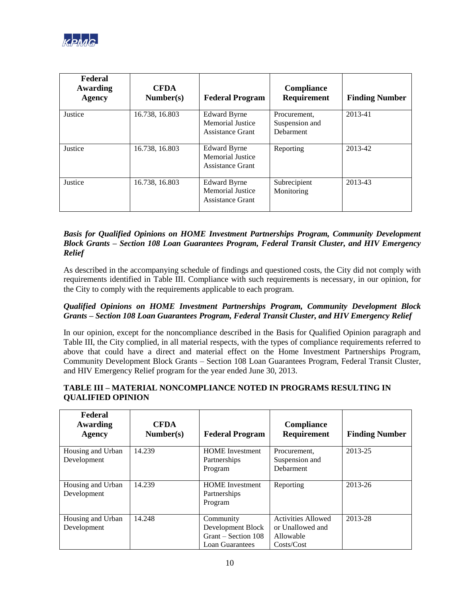

| Federal<br>Awarding<br><b>Agency</b> | <b>CFDA</b><br>Number(s) | <b>Federal Program</b>                                             | Compliance<br>Requirement                          | <b>Finding Number</b> |
|--------------------------------------|--------------------------|--------------------------------------------------------------------|----------------------------------------------------|-----------------------|
| Justice                              | 16.738, 16.803           | <b>Edward Byrne</b><br>Memorial Justice<br><b>Assistance Grant</b> | Procurement.<br>Suspension and<br><b>Debarment</b> | 2013-41               |
| Justice                              | 16.738, 16.803           | <b>Edward Byrne</b><br>Memorial Justice<br><b>Assistance Grant</b> | Reporting                                          | 2013-42               |
| Justice                              | 16.738, 16.803           | <b>Edward Byrne</b><br><b>Memorial Justice</b><br>Assistance Grant | Subrecipient<br>Monitoring                         | 2013-43               |

# *Basis for Qualified Opinions on HOME Investment Partnerships Program, Community Development Block Grants – Section 108 Loan Guarantees Program, Federal Transit Cluster, and HIV Emergency Relief*

As described in the accompanying schedule of findings and questioned costs, the City did not comply with requirements identified in Table III. Compliance with such requirements is necessary, in our opinion, for the City to comply with the requirements applicable to each program.

# *Qualified Opinions on HOME Investment Partnerships Program, Community Development Block Grants – Section 108 Loan Guarantees Program, Federal Transit Cluster, and HIV Emergency Relief*

In our opinion, except for the noncompliance described in the Basis for Qualified Opinion paragraph and Table III, the City complied, in all material respects, with the types of compliance requirements referred to above that could have a direct and material effect on the Home Investment Partnerships Program, Community Development Block Grants – Section 108 Loan Guarantees Program, Federal Transit Cluster, and HIV Emergency Relief program for the year ended June 30, 2013.

# **TABLE III – MATERIAL NONCOMPLIANCE NOTED IN PROGRAMS RESULTING IN QUALIFIED OPINION**

| Federal<br>Awarding<br><b>Agency</b> | <b>CFDA</b><br>Number(s) | <b>Federal Program</b>                                                   | <b>Compliance</b><br>Requirement                                         | <b>Finding Number</b> |
|--------------------------------------|--------------------------|--------------------------------------------------------------------------|--------------------------------------------------------------------------|-----------------------|
| Housing and Urban<br>Development     | 14.239                   | <b>HOME</b> Investment<br>Partnerships<br>Program                        | Procurement.<br>Suspension and<br><b>Debarment</b>                       | 2013-25               |
| Housing and Urban<br>Development     | 14.239                   | <b>HOME</b> Investment<br>Partnerships<br>Program                        | Reporting                                                                | 2013-26               |
| Housing and Urban<br>Development     | 14.248                   | Community<br>Development Block<br>Grant - Section 108<br>Loan Guarantees | <b>Activities Allowed</b><br>or Unallowed and<br>Allowable<br>Costs/Cost | 2013-28               |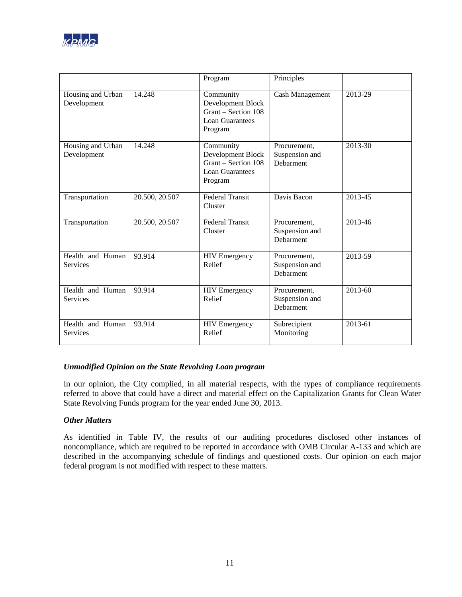

|                                  |                | Program                                                                                    | Principles                                  |         |
|----------------------------------|----------------|--------------------------------------------------------------------------------------------|---------------------------------------------|---------|
| Housing and Urban<br>Development | 14.248         | Community<br>Development Block<br>Grant - Section 108<br><b>Loan Guarantees</b><br>Program | Cash Management                             | 2013-29 |
| Housing and Urban<br>Development | 14.248         | Community<br>Development Block<br>Grant - Section 108<br><b>Loan Guarantees</b><br>Program | Procurement.<br>Suspension and<br>Debarment | 2013-30 |
| Transportation                   | 20.500, 20.507 | <b>Federal Transit</b><br>Cluster                                                          | Davis Bacon                                 | 2013-45 |
| Transportation                   | 20.500, 20.507 | <b>Federal Transit</b><br>Cluster                                                          | Procurement,<br>Suspension and<br>Debarment | 2013-46 |
| Health and Human<br>Services     | 93.914         | <b>HIV</b> Emergency<br>Relief                                                             | Procurement,<br>Suspension and<br>Debarment | 2013-59 |
| Health and Human<br>Services     | 93.914         | <b>HIV</b> Emergency<br>Relief                                                             | Procurement,<br>Suspension and<br>Debarment | 2013-60 |
| Health and Human<br>Services     | 93.914         | <b>HIV</b> Emergency<br>Relief                                                             | Subrecipient<br>Monitoring                  | 2013-61 |

# *Unmodified Opinion on the State Revolving Loan program*

In our opinion, the City complied, in all material respects, with the types of compliance requirements referred to above that could have a direct and material effect on the Capitalization Grants for Clean Water State Revolving Funds program for the year ended June 30, 2013.

# *Other Matters*

As identified in Table IV, the results of our auditing procedures disclosed other instances of noncompliance, which are required to be reported in accordance with OMB Circular A-133 and which are described in the accompanying schedule of findings and questioned costs. Our opinion on each major federal program is not modified with respect to these matters.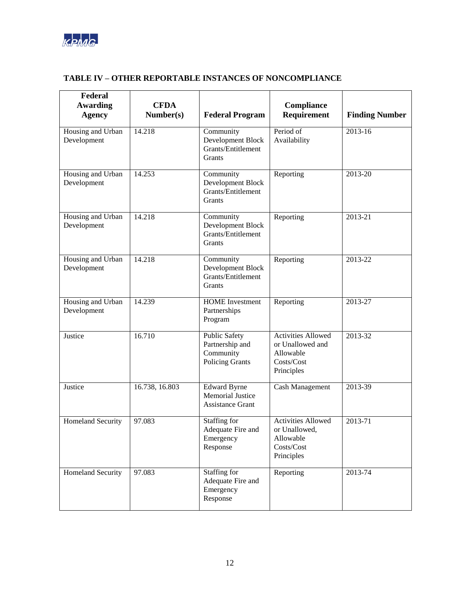

# **TABLE IV – OTHER REPORTABLE INSTANCES OF NONCOMPLIANCE**

| Federal<br><b>Awarding</b><br><b>Agency</b> | <b>CFDA</b><br>Number(s) | <b>Federal Program</b>                                                         | Compliance<br>Requirement                                                              | <b>Finding Number</b> |
|---------------------------------------------|--------------------------|--------------------------------------------------------------------------------|----------------------------------------------------------------------------------------|-----------------------|
| Housing and Urban<br>Development            | 14.218                   | Community<br>Development Block<br>Grants/Entitlement<br>Grants                 | Period of<br>Availability                                                              | 2013-16               |
| Housing and Urban<br>Development            | 14.253                   | Community<br>Development Block<br>Grants/Entitlement<br>Grants                 | Reporting                                                                              | 2013-20               |
| Housing and Urban<br>Development            | 14.218                   | Community<br>Development Block<br>Grants/Entitlement<br>Grants                 | Reporting                                                                              | 2013-21               |
| Housing and Urban<br>Development            | 14.218                   | Community<br>Development Block<br>Grants/Entitlement<br>Grants                 | Reporting                                                                              | 2013-22               |
| Housing and Urban<br>Development            | 14.239                   | <b>HOME</b> Investment<br>Partnerships<br>Program                              | Reporting                                                                              | 2013-27               |
| Justice                                     | 16.710                   | <b>Public Safety</b><br>Partnership and<br>Community<br><b>Policing Grants</b> | <b>Activities Allowed</b><br>or Unallowed and<br>Allowable<br>Costs/Cost<br>Principles | 2013-32               |
| Justice                                     | 16.738, 16.803           | <b>Edward Byrne</b><br><b>Memorial Justice</b><br><b>Assistance Grant</b>      | Cash Management                                                                        | 2013-39               |
| Homeland Security                           | 97.083                   | Staffing for<br>Adequate Fire and<br>Emergency<br>Response                     | <b>Activities Allowed</b><br>or Unallowed,<br>Allowable<br>Costs/Cost<br>Principles    | 2013-71               |
| <b>Homeland Security</b>                    | 97.083                   | Staffing for<br>Adequate Fire and<br>Emergency<br>Response                     | Reporting                                                                              | 2013-74               |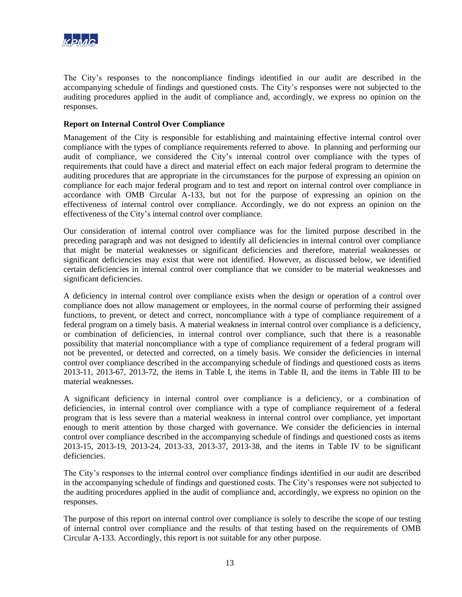

The City's responses to the noncompliance findings identified in our audit are described in the accompanying schedule of findings and questioned costs. The City's responses were not subjected to the auditing procedures applied in the audit of compliance and, accordingly, we express no opinion on the responses.

# **Report on Internal Control Over Compliance**

Management of the City is responsible for establishing and maintaining effective internal control over compliance with the types of compliance requirements referred to above. In planning and performing our audit of compliance, we considered the City's internal control over compliance with the types of requirements that could have a direct and material effect on each major federal program to determine the auditing procedures that are appropriate in the circumstances for the purpose of expressing an opinion on compliance for each major federal program and to test and report on internal control over compliance in accordance with OMB Circular A-133, but not for the purpose of expressing an opinion on the effectiveness of internal control over compliance. Accordingly, we do not express an opinion on the effectiveness of the City's internal control over compliance.

Our consideration of internal control over compliance was for the limited purpose described in the preceding paragraph and was not designed to identify all deficiencies in internal control over compliance that might be material weaknesses or significant deficiencies and therefore, material weaknesses or significant deficiencies may exist that were not identified. However, as discussed below, we identified certain deficiencies in internal control over compliance that we consider to be material weaknesses and significant deficiencies.

A deficiency in internal control over compliance exists when the design or operation of a control over compliance does not allow management or employees, in the normal course of performing their assigned functions, to prevent, or detect and correct, noncompliance with a type of compliance requirement of a federal program on a timely basis. A material weakness in internal control over compliance is a deficiency, or combination of deficiencies, in internal control over compliance, such that there is a reasonable possibility that material noncompliance with a type of compliance requirement of a federal program will not be prevented, or detected and corrected, on a timely basis. We consider the deficiencies in internal control over compliance described in the accompanying schedule of findings and questioned costs as items 2013-11, 2013-67, 2013-72, the items in Table I, the items in Table II, and the items in Table III to be material weaknesses.

A significant deficiency in internal control over compliance is a deficiency, or a combination of deficiencies, in internal control over compliance with a type of compliance requirement of a federal program that is less severe than a material weakness in internal control over compliance, yet important enough to merit attention by those charged with governance. We consider the deficiencies in internal control over compliance described in the accompanying schedule of findings and questioned costs as items 2013-15, 2013-19, 2013-24, 2013-33, 2013-37, 2013-38, and the items in Table IV to be significant deficiencies.

The City's responses to the internal control over compliance findings identified in our audit are described in the accompanying schedule of findings and questioned costs. The City's responses were not subjected to the auditing procedures applied in the audit of compliance and, accordingly, we express no opinion on the responses.

The purpose of this report on internal control over compliance is solely to describe the scope of our testing of internal control over compliance and the results of that testing based on the requirements of OMB Circular A-133. Accordingly, this report is not suitable for any other purpose.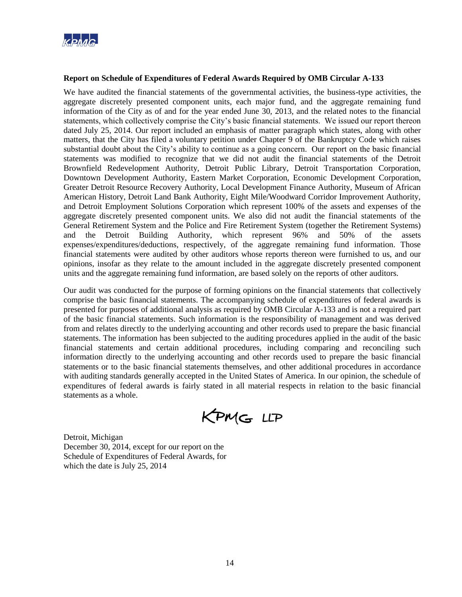

## **Report on Schedule of Expenditures of Federal Awards Required by OMB Circular A-133**

We have audited the financial statements of the governmental activities, the business-type activities, the aggregate discretely presented component units, each major fund, and the aggregate remaining fund information of the City as of and for the year ended June 30, 2013, and the related notes to the financial statements, which collectively comprise the City's basic financial statements. We issued our report thereon dated July 25, 2014. Our report included an emphasis of matter paragraph which states, along with other matters, that the City has filed a voluntary petition under Chapter 9 of the Bankruptcy Code which raises substantial doubt about the City's ability to continue as a going concern. Our report on the basic financial statements was modified to recognize that we did not audit the financial statements of the Detroit Brownfield Redevelopment Authority, Detroit Public Library, Detroit Transportation Corporation, Downtown Development Authority, Eastern Market Corporation, Economic Development Corporation, Greater Detroit Resource Recovery Authority, Local Development Finance Authority, Museum of African American History, Detroit Land Bank Authority, Eight Mile/Woodward Corridor Improvement Authority, and Detroit Employment Solutions Corporation which represent 100% of the assets and expenses of the aggregate discretely presented component units. We also did not audit the financial statements of the General Retirement System and the Police and Fire Retirement System (together the Retirement Systems) and the Detroit Building Authority, which represent 96% and 50% of the assets expenses/expenditures/deductions, respectively, of the aggregate remaining fund information. Those financial statements were audited by other auditors whose reports thereon were furnished to us, and our opinions, insofar as they relate to the amount included in the aggregate discretely presented component units and the aggregate remaining fund information, are based solely on the reports of other auditors.

Our audit was conducted for the purpose of forming opinions on the financial statements that collectively comprise the basic financial statements. The accompanying schedule of expenditures of federal awards is presented for purposes of additional analysis as required by OMB Circular A-133 and is not a required part of the basic financial statements. Such information is the responsibility of management and was derived from and relates directly to the underlying accounting and other records used to prepare the basic financial statements. The information has been subjected to the auditing procedures applied in the audit of the basic financial statements and certain additional procedures, including comparing and reconciling such information directly to the underlying accounting and other records used to prepare the basic financial statements or to the basic financial statements themselves, and other additional procedures in accordance with auditing standards generally accepted in the United States of America. In our opinion, the schedule of expenditures of federal awards is fairly stated in all material respects in relation to the basic financial statements as a whole.

KPMG LLP

Detroit, Michigan December 30, 2014, except for our report on the Schedule of Expenditures of Federal Awards, for which the date is July 25, 2014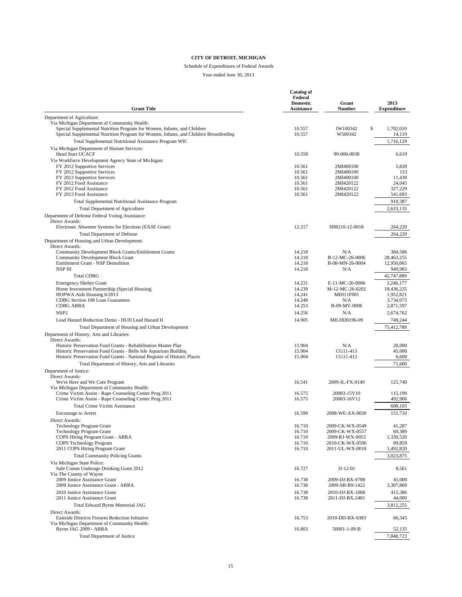#### Schedule of Expenditures of Federal Awards

| <b>Grant Title</b>                                                                                                                                               | <b>Catalog of</b><br>Federal<br><b>Domestic</b><br>Assistance | Grant<br>Number                    | 2013<br><b>Expenditure</b> |
|------------------------------------------------------------------------------------------------------------------------------------------------------------------|---------------------------------------------------------------|------------------------------------|----------------------------|
| Department of Agriculture:                                                                                                                                       |                                                               |                                    |                            |
| Via Michigan Department of Community Health:                                                                                                                     |                                                               |                                    |                            |
| Special Supplemental Nutrition Program for Women, Infants, and Children<br>Special Supplemental Nutrition Program for Women, Infants, and Children Breastfeeding | 10.557<br>10.557                                              | \$<br>IW100342<br>W500342          | 1,702,010                  |
| Total Supplemental Nutritional Assistance Program WIC                                                                                                            |                                                               |                                    | 14,119<br>1,716,129        |
| Via Michigan Department of Human Services:                                                                                                                       |                                                               |                                    |                            |
| <b>Head Start UCACF</b>                                                                                                                                          | 10.558                                                        | 99-000-0038                        | 6,619                      |
| Via Workforce Development Agency State of Michigan:                                                                                                              |                                                               |                                    |                            |
| FY 2012 Supportive Services                                                                                                                                      | 10.561                                                        | 2MI400100                          | 5,828                      |
| FY 2012 Supportive Services<br>FY 2013 Supportive Services                                                                                                       | 10.561<br>10.561                                              | 2MI400100<br>2MI400100             | 153<br>11,439              |
| FY 2012 Food Assistance                                                                                                                                          | 10.561                                                        | 2MI420122                          | 24,045                     |
| FY 2012 Food Assistance                                                                                                                                          | 10.561                                                        | 2MI420122                          | 327.229                    |
| FY 2013 Food Assistance                                                                                                                                          | 10.561                                                        | 2MI420122                          | 541,693                    |
| Total Supplemental Nutritional Assistance Program                                                                                                                |                                                               |                                    | 910,387                    |
| Total Department of Agriculture                                                                                                                                  |                                                               |                                    | 2,633,135                  |
| Department of Defense Federal Voting Assistance:<br>Direct Awards:                                                                                               |                                                               |                                    |                            |
| Electronic Absentee Systems for Elections (EASE Grant)                                                                                                           | 12.217                                                        | H98210-12-0018                     | 264,220                    |
| <b>Total Department of Defense</b>                                                                                                                               |                                                               |                                    | 264,220                    |
| Department of Housing and Urban Development:                                                                                                                     |                                                               |                                    |                            |
| Direct Awards:                                                                                                                                                   |                                                               |                                    |                            |
| Community Development Block Grants/Entitlement Grants                                                                                                            | 14.218                                                        | N/A                                | 384,586                    |
| <b>Community Development Block Grant</b><br><b>Entitlement Grant - NSP Demolition</b>                                                                            | 14.218<br>14.218                                              | B-12-MC-26-0006<br>B-08-MN-26-0004 | 28,463,255<br>12,950,065   |
| NSP III                                                                                                                                                          | 14.218                                                        | N/A                                | 949,983                    |
| <b>Total CDBG</b>                                                                                                                                                |                                                               |                                    | 42,747,889                 |
| <b>Emergency Shelter Grant</b>                                                                                                                                   | 14.231                                                        | E-11-MC-26-0006                    | 2,246,177                  |
| Home Investment Partnership (Special Housing)                                                                                                                    | 14.239                                                        | M-12-MC-26-0202                    | 18,436,225                 |
| HOPWA Aids Housing 6/2013<br>CDBG Section 108 Loan Guarantees                                                                                                    | 14.241<br>14.248                                              | <b>MIH11F001</b><br>N/A            | 1,952,821<br>3,734,073     |
| <b>CDBG ARRA</b>                                                                                                                                                 | 14.253                                                        | B-09-MY-0006                       | 2,871,597                  |
| NSP <sub>2</sub>                                                                                                                                                 | 14.256                                                        | N/A                                | 2,674,762                  |
| Lead Hazard Reduction Demo - HUD Lead Hazard II                                                                                                                  | 14.905                                                        | MILHD0196-09                       | 749,244                    |
| Total Department of Housing and Urban Development                                                                                                                |                                                               |                                    | 75,412,789                 |
| Department of History, Arts and Libraries:                                                                                                                       |                                                               |                                    |                            |
| Direct Awards:                                                                                                                                                   |                                                               |                                    |                            |
| Historic Preservation Fund Grants - Rehabilitation Master Plan                                                                                                   | 15.904                                                        | N/A<br>CG11-413                    | 20,000                     |
| Historic Preservation Fund Grants - Belle Isle Aquarium Building<br>Historic Preservation Fund Grants - National Register of Historic Places                     | 15.904<br>15.904                                              | CG11-412                           | 45,000<br>6,600            |
| Total Department of History, Arts and Libraries                                                                                                                  |                                                               |                                    | 71,600                     |
| Department of Justice:                                                                                                                                           |                                                               |                                    |                            |
| Direct Awards:                                                                                                                                                   |                                                               |                                    |                            |
| We're Here and We Care Program                                                                                                                                   | 16.541                                                        | 2009-JL-FX-0149                    | 125,740                    |
| Via Michigan Department of Community Health:<br>Crime Victim Assist - Rape Counseling Center Prog 2011                                                           | 16.575                                                        | 20083-15V10                        | 115,199                    |
| Crime Victim Assist - Rape Counseling Center Prog 2011                                                                                                           | 16.575                                                        | 20083-16V12                        | 492,906                    |
| <b>Total Crime Victim Assistance</b>                                                                                                                             |                                                               |                                    | 608,105                    |
| <b>Encourage to Arrest</b>                                                                                                                                       | 16.590                                                        | 2008-WE-AX-0030                    | 151,710                    |
| Direct Awards:                                                                                                                                                   |                                                               |                                    |                            |
| <b>Technology Program Grant</b>                                                                                                                                  | 16.710                                                        | 2009-CK-WX-0549                    | 41,287                     |
| <b>Technology Program Grant</b><br>COPS Hiring Program Grant - ARRA                                                                                              | 16.710<br>16.710                                              | 2009-CK-WX-0557<br>2009-RJ-WX-0053 | 69,389<br>1,330,520        |
| <b>COPS</b> Technology Program                                                                                                                                   | 16.710                                                        | 2010-CK-WX-0506                    | 89,859                     |
| 2011 COPS Hiring Program Grant                                                                                                                                   | 16.710                                                        | 2011-UL-WX-0018                    | 1,492,820                  |
| <b>Total Community Policing Grants</b>                                                                                                                           |                                                               |                                    | 3,023,875                  |
| Via Michigan State Police:                                                                                                                                       |                                                               |                                    |                            |
| Safe Comm Underage Drinking Grant 2012                                                                                                                           | 16.727                                                        | $JJ-12-01$                         | 8,561                      |
| Via The County of Wayne<br>2009 Justice Assistance Grant                                                                                                         | 16.738                                                        | 2009-DJ-BX-0788                    | 45,000                     |
| 2009 Justice Assistance Grant - ARRA                                                                                                                             | 16.738                                                        | 2009-SB-B9-1422                    | 3,307,869                  |
| 2010 Justice Assistance Grant                                                                                                                                    | 16.738                                                        | 2010-DJ-BX-1068                    | 415,386                    |
| 2011 Justice Assistance Grant                                                                                                                                    | 16.738                                                        | 2011-DJ-BX-2481                    | 44,000                     |
| Total Edward Byrne Memorial JAG                                                                                                                                  |                                                               |                                    | 3,812,255                  |
| Direct Awards:                                                                                                                                                   |                                                               |                                    |                            |
| Eastside Districts Firearm Reduction Initiative<br>Via Michigan Department of Community Health:                                                                  | 16.753                                                        | 2010-DD-BX-0383                    | 66,343                     |
| Byrne JAG 2009 - ARRA                                                                                                                                            | 16.803                                                        | 50001-1-09-B                       | 52,135                     |
| <b>Total Department of Justice</b>                                                                                                                               |                                                               |                                    | 7,848,723                  |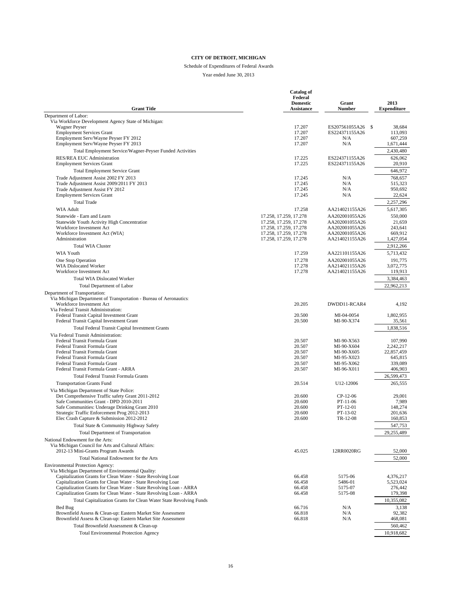#### Schedule of Expenditures of Federal Awards

| <b>Grant Title</b>                                                                                                              | <b>Catalog of</b><br>Federal<br><b>Domestic</b><br>Assistance | Grant<br><b>Number</b>                          | 2013<br><b>Expenditure</b> |
|---------------------------------------------------------------------------------------------------------------------------------|---------------------------------------------------------------|-------------------------------------------------|----------------------------|
| Department of Labor:                                                                                                            |                                                               |                                                 |                            |
| Via Workforce Development Agency State of Michigan:<br><b>Wagner Peyser</b><br><b>Employment Services Grant</b>                 | 17.207<br>17.207<br>17.207                                    | - \$<br>ES207561055A26<br>ES224371155A26<br>N/A | 38,684<br>113,093          |
| Employment Serv/Wayne Peyser FY 2012<br>Employment Serv/Wayne Peyser FY 2013                                                    | 17.207                                                        | N/A                                             | 607,259<br>1,671,444       |
| Total Employment Service/Wagner-Peyser Funded Activities                                                                        |                                                               |                                                 | 2,430,480                  |
| RES/REA EUC Administration                                                                                                      | 17.225                                                        | ES224371155A26                                  | 626,062                    |
| <b>Employment Services Grant</b>                                                                                                | 17.225                                                        | ES224371155A26                                  | 20,910                     |
| <b>Total Employment Service Grant</b>                                                                                           |                                                               |                                                 | 646,972                    |
| Trade Adjustment Assist 2002 FY 2013<br>Trade Adjustment Assist 2009/2011 FY 2013                                               | 17.245<br>17.245                                              | N/A<br>N/A                                      | 768,657<br>515,323         |
| Trade Adjustment Assist FY 2012                                                                                                 | 17.245                                                        | N/A                                             | 950,692                    |
| <b>Employment Services Grant</b>                                                                                                | 17.245                                                        | N/A                                             | 22,624                     |
| <b>Total Trade</b>                                                                                                              |                                                               |                                                 | 2,257,296                  |
| WIA Adult                                                                                                                       | 17.258                                                        | AA214021155A26                                  | 5,617,305                  |
| Statewide - Earn and Learn                                                                                                      | 17.258, 17.259, 17.278                                        | AA202001055A26                                  | 550,000                    |
| Statewide Youth Activity High Concentration<br>Workforce Investment Act                                                         | 17.258, 17.259, 17.278<br>17.258, 17.259, 17.278              | AA202001055A26<br>AA202001055A26                | 21,659<br>243,641          |
| Workforce Investment Act (WIA)                                                                                                  | 17.258, 17.259, 17.278                                        | AA202001055A26                                  | 669,912                    |
| Administration                                                                                                                  | 17.258, 17.259, 17.278                                        | AA214021155A26                                  | 1,427,054                  |
| <b>Total WIA Cluster</b>                                                                                                        |                                                               |                                                 | 2,912,266                  |
| WIA Youth                                                                                                                       | 17.259                                                        | AA221101155A26                                  | 5,713,432                  |
| One Stop Operation<br><b>WIA Dislocated Worker</b>                                                                              | 17.278<br>17.278                                              | AA202001055A26<br>AA214021155A26                | 191,775<br>3,072,775       |
| Workforce Investment Act                                                                                                        | 17.278                                                        | AA214021155A26                                  | 119,913                    |
| <b>Total WIA Dislocated Worker</b>                                                                                              |                                                               |                                                 | 3,384,463                  |
| <b>Total Department of Labor</b>                                                                                                |                                                               |                                                 | 22,962,213                 |
| Department of Transportation:<br>Via Michigan Department of Transportation - Bureau of Aeronautics:<br>Workforce Investment Act | 20.205                                                        | DWDD11-RCAR4                                    | 4,192                      |
| Via Federal Transit Administration:                                                                                             |                                                               |                                                 |                            |
| Federal Transit Capital Investment Grant<br>Federal Transit Capital Investment Grant                                            | 20.500<br>20.500                                              | MI-04-0054<br>MI-90-X374                        | 1,802,955<br>35,561        |
| Total Federal Transit Capital Investment Grants                                                                                 |                                                               |                                                 | 1,838,516                  |
| Via Federal Transit Administration:<br>Federal Transit Formula Grant                                                            | 20.507                                                        | MI-90-X563                                      | 107,990                    |
| Federal Transit Formula Grant                                                                                                   | 20.507                                                        | MI-90-X604                                      | 2,242,217                  |
| Federal Transit Formula Grant<br>Federal Transit Formula Grant                                                                  | 20.507<br>20.507                                              | MI-90-X605                                      | 22,857,459                 |
| Federal Transit Formula Grant                                                                                                   | 20.507                                                        | MI-95-X023<br>MI-95-X062                        | 645,815<br>339,089         |
| Federal Transit Formula Grant - ARRA                                                                                            | 20.507                                                        | MI-96-X011                                      | 406,903                    |
| Total Federal Transit Formula Grants                                                                                            |                                                               |                                                 | 26,599,473                 |
| <b>Transportation Grants Fund</b>                                                                                               | 20.514                                                        | U12-12006                                       | 265,555                    |
| Via Michigan Department of State Police:                                                                                        |                                                               |                                                 |                            |
| Det Comprehensive Traffic safety Grant 2011-2012<br>Safe Communities Grant - DPD 2010-2011                                      | 20.600<br>20.600                                              | CP-12-06<br>$PT-11-06$                          | 29,001<br>7,989            |
| Safe Communities: Underage Drinking Grant 2010                                                                                  | 20.600                                                        | PT-12-01                                        | 148,274                    |
| Strategic Traffic Enforcement Prog 2012-2013                                                                                    | 20.600                                                        | PT-13-02                                        | 201.636                    |
| Elec Crash Capture & Submission 2012-2012<br>Total State & Community Highway Safety                                             | 20.600                                                        | TR-12-08                                        | 160,853<br>547,753         |
| Total Department of Transportation                                                                                              |                                                               |                                                 | 29,255,489                 |
| National Endowment for the Arts:                                                                                                |                                                               |                                                 |                            |
| Via Michigan Council for Arts and Cultural Affairs:<br>2012-13 Mini-Grants Program Awards                                       | 45.025                                                        | 12RR0020RG                                      | 52,000                     |
| Total National Endowment for the Arts                                                                                           |                                                               |                                                 | 52,000                     |
| Environmental Protection Agency:                                                                                                |                                                               |                                                 |                            |
| Via Michigan Department of Environmental Quality:<br>Capitalization Grants for Clean Water - State Revolving Loan               | 66.458                                                        | 5175-06                                         | 4,376,217                  |
| Capitalization Grants for Clean Water - State Revolving Loan                                                                    | 66.458                                                        | 5486-01                                         | 5,523,024                  |
| Capitalization Grants for Clean Water - State Revolving Loan - ARRA                                                             | 66.458                                                        | 5175-07                                         | 276,442                    |
| Capitalization Grants for Clean Water - State Revolving Loan - ARRA                                                             | 66.458                                                        | 5175-08                                         | 179,398                    |
| Total Capitalization Grants for Clean Water State Revolving Funds<br>Bed Bug                                                    |                                                               |                                                 | 10,355,082                 |
| Brownfield Assess & Clean-up: Eastern Market Site Assessment                                                                    | 66.716<br>66.818                                              | N/A<br>N/A                                      | 3,138<br>92,382            |
| Brownfield Assess & Clean-up: Eastern Market Site Assessment                                                                    | 66.818                                                        | N/A                                             | 468,081                    |
| Total Brownfield Assessment & Clean-up                                                                                          |                                                               |                                                 | 560,462                    |
| <b>Total Environmental Protection Agency</b>                                                                                    |                                                               |                                                 | 10,918,682                 |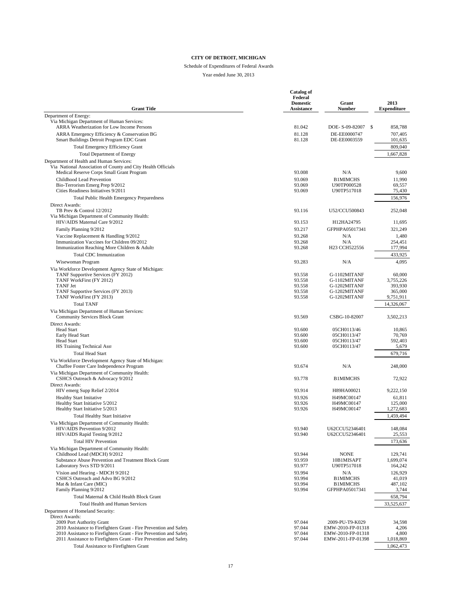#### Schedule of Expenditures of Federal Awards

| <b>Grant Title</b>                                                                                       | <b>Catalog of</b><br>Federal<br><b>Domestic</b><br>Assistance | Grant<br>Number              | 2013<br><b>Expenditure</b> |
|----------------------------------------------------------------------------------------------------------|---------------------------------------------------------------|------------------------------|----------------------------|
| Department of Energy:                                                                                    |                                                               |                              |                            |
| Via Michigan Department of Human Services:<br>ARRA Weatherization for Low Income Persons                 | 81.042                                                        | DOE- S-09-82007<br>-S        | 858,788                    |
| ARRA Emergency Efficiency & Conservation BG                                                              | 81.128                                                        | DE-EE0000747                 | 707,405                    |
| Smart Buildings Detroit Program EDC Grant                                                                | 81.128                                                        | DE-EE0003559                 | 101,635                    |
| <b>Total Emergency Efficiency Grant</b>                                                                  |                                                               |                              | 809,040                    |
| <b>Total Department of Energy</b>                                                                        |                                                               |                              | 1,667,828                  |
| Department of Health and Human Services:<br>Via National Association of County and City Health Officials |                                                               |                              |                            |
| Medical Reserve Corps Small Grant Program                                                                | 93.008                                                        | N/A<br><b>B1MIMCHS</b>       | 9,600                      |
| Childhood Lead Prevention<br>Bio-Terrorism Emerg Prep 9/2012                                             | 93.069<br>93.069                                              | U90TP000528                  | 11,990<br>69,557           |
| Cities Readiness Initiatives 9/2011                                                                      | 93.069                                                        | U90TP517018                  | 75,430                     |
| Total Public Health Emergency Preparedness                                                               |                                                               |                              | 156,976                    |
| Direct Awards:                                                                                           |                                                               |                              |                            |
| TB Prev & Control 12/2012                                                                                | 93.116                                                        | U52/CCU500843                | 252,048                    |
| Via Michigan Department of Community Health:<br>HIV/AIDS Maternal Care 9/2012                            | 93.153                                                        | H12HA24795                   | 11,695                     |
| Family Planning 9/2012                                                                                   | 93.217                                                        | GFPHPA05017341               | 321,249                    |
| Vaccine Replacement & Handling 9/2012                                                                    | 93.268                                                        | N/A                          | 1,480                      |
| Immunization Vaccines for Children 09/2012                                                               | 93.268                                                        | N/A                          | 254,451                    |
| Immunization Reaching More Children & Adults                                                             | 93.268                                                        | H23 CCH522556                | 177,994                    |
| <b>Total CDC Immunization</b>                                                                            |                                                               |                              | 433,925                    |
| Wisewoman Program                                                                                        | 93.283                                                        | N/A                          | 4,095                      |
| Via Workforce Development Agency State of Michigan:                                                      |                                                               |                              |                            |
| TANF Supportive Services (FY 2012)<br>TANF WorkFirst (FY 2012)                                           | 93.558<br>93.558                                              | G-1102MITANF<br>G-1102MITANF | 60,000<br>3,755,226        |
| TANF Jet                                                                                                 | 93.558                                                        | G-1202MITANF                 | 393,930                    |
| TANF Supportive Services (FY 2013)                                                                       | 93.558                                                        | G-1202MITANF                 | 365,000                    |
| TANF WorkFirst (FY 2013)                                                                                 | 93.558                                                        | G-1202MITANF                 | 9,751,911                  |
| <b>Total TANF</b>                                                                                        |                                                               |                              | 14,326,067                 |
| Via Michigan Department of Human Services:<br><b>Community Services Block Grant</b>                      | 93.569                                                        | CSBG-10-82007                | 3,502,213                  |
| Direct Awards:                                                                                           |                                                               |                              |                            |
| <b>Head Start</b><br>Early Head Start                                                                    | 93.600<br>93.600                                              | 05CH0113/46<br>05CH0113/47   | 10,865<br>70,769           |
| <b>Head Start</b>                                                                                        | 93.600                                                        | 05CH0113/47                  | 592,403                    |
| <b>HS Training Technical Asst</b>                                                                        | 93.600                                                        | 05CH0113/47                  | 5,679                      |
| <b>Total Head Start</b>                                                                                  |                                                               |                              | 679,716                    |
| Via Workforce Development Agency State of Michigan:                                                      |                                                               |                              |                            |
| Chaffee Foster Care Independence Program                                                                 | 93.674                                                        | N/A                          | 248,000                    |
| Via Michigan Department of Community Health:<br>CSHCS Outreach & Advocacy 9/2012                         | 93.778                                                        | <b>B1MIMCHS</b>              | 72,922                     |
| Direct Awards:                                                                                           |                                                               |                              |                            |
| HIV emerg Supp Relief 2/2014                                                                             | 93.914                                                        | H89HA00021                   | 9,222,150                  |
| <b>Healthy Start Imitative</b>                                                                           | 93.926                                                        | H49MC00147                   | 61,811                     |
| Healthy Start Initiative 5/2012                                                                          | 93.926                                                        | H49MC00147                   | 125,000                    |
| Healthy Start Initiative 5/2013                                                                          | 93.926                                                        | H49MC00147                   | 1,272,683                  |
| <b>Total Healthy Start Initiative</b>                                                                    |                                                               |                              | 1,459,494                  |
| Via Michigan Department of Community Health:<br>HIV/AIDS Prevention 9/2012                               | 93.940                                                        | U62CCU52346401               | 148,084                    |
| HIV/AIDS Rapid Testing 9/2012                                                                            | 93.940                                                        | U62CCU52346401               | 25,553                     |
| <b>Total HIV Prevention</b>                                                                              |                                                               |                              | 173,636                    |
| Via Michigan Department of Community Health:                                                             |                                                               |                              |                            |
| Childhood Lead (MDCH) 9/2012                                                                             | 93.944                                                        | <b>NONE</b>                  | 129,741                    |
| Substance Abuse Prevention and Treatment Block Grant<br>Laboratory Svcs STD 9/2011                       | 93.959<br>93.977                                              | 10B1MISAPT<br>U90TP517018    | 1,699,074<br>164,242       |
| Vision and Hearing - MDCH 9/2012                                                                         | 93.994                                                        | N/A                          | 126,929                    |
| CSHCS Outreach and Advo BG 9/2012                                                                        | 93.994                                                        | <b>B1MIMCHS</b>              | 41,019                     |
| Mat & Infant Care (MIC)                                                                                  | 93.994                                                        | <b>B1MIMCHS</b>              | 487,102                    |
| Family Planning 9/2012                                                                                   | 93.994                                                        | GFPHPA05017341               | 3,744                      |
| Total Maternal & Child Health Block Grant                                                                |                                                               |                              | 658,794                    |
| <b>Total Health and Human Services</b>                                                                   |                                                               |                              | 33,525,637                 |
| Department of Homeland Security:                                                                         |                                                               |                              |                            |
| Direct Awards:<br>2009 Port Authority Grant                                                              | 97.044                                                        | 2009-PU-T9-K029              | 34,598                     |
| 2010 Assistance to Firefighters Grant - Fire Prevention and Safety                                       | 97.044                                                        | EMW-2010-FP-01318            | 4,206                      |
| 2010 Assistance to Firefighters Grant - Fire Prevention and Safety                                       | 97.044                                                        | EMW-2010-FP-01318            | 4,800                      |
| 2011 Assistance to Firefighters Grant - Fire Prevention and Safety                                       | 97.044                                                        | EMW-2011-FP-01398            | 1,018,869                  |
| Total Assistance to Firefighters Grant                                                                   |                                                               |                              | 1,062,473                  |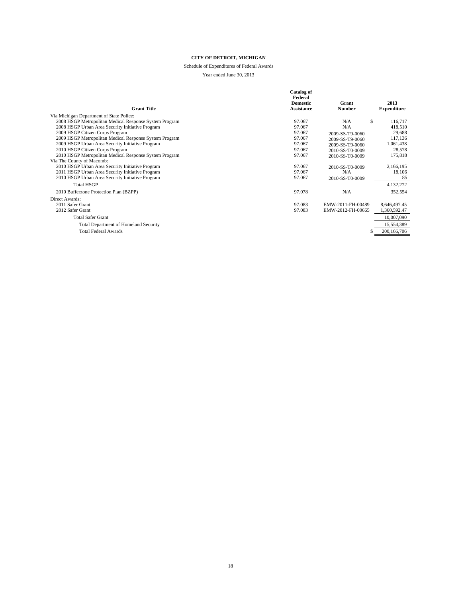#### Schedule of Expenditures of Federal Awards

| <b>Grant Title</b>                                     | <b>Catalog of</b><br>Federal<br><b>Domestic</b><br>Assistance | Grant<br><b>Number</b> | 2013<br><b>Expenditure</b> |
|--------------------------------------------------------|---------------------------------------------------------------|------------------------|----------------------------|
| Via Michigan Department of State Police:               |                                                               |                        |                            |
| 2008 HSGP Metropolitan Medical Response System Program | 97.067                                                        | \$<br>N/A              | 116,717                    |
| 2008 HSGP Urban Area Security Initiative Program       | 97.067                                                        | N/A                    | 418,510                    |
| 2009 HSGP Citizen Corps Program                        | 97.067                                                        | 2009-SS-T9-0060        | 29,688                     |
| 2009 HSGP Metropolitan Medical Response System Program | 97.067                                                        | 2009-SS-T9-0060        | 117,136                    |
| 2009 HSGP Urban Area Security Initiative Program       | 97.067                                                        | 2009-SS-T9-0060        | 1,061,438                  |
| 2010 HSGP Citizen Corps Program                        | 97.067                                                        | 2010-SS-T0-0009        | 28,578                     |
| 2010 HSGP Metropolitan Medical Response System Program | 97.067                                                        | 2010-SS-T0-0009        | 175,818                    |
| Via The County of Macomb:                              |                                                               |                        |                            |
| 2010 HSGP Urban Area Security Initiative Program       | 97.067                                                        | 2010-SS-T0-0009        | 2,166,195                  |
| 2011 HSGP Urban Area Security Initiative Program       | 97.067                                                        | N/A                    | 18,106                     |
| 2010 HSGP Urban Area Security Initiative Program       | 97.067                                                        | 2010-SS-T0-0009        | 85                         |
| <b>Total HSGP</b>                                      |                                                               |                        | 4,132,272                  |
| 2010 Bufferzone Protection Plan (BZPP)                 | 97.078                                                        | N/A                    | 352,554                    |
| Direct Awards:                                         |                                                               |                        |                            |
| 2011 Safer Grant                                       | 97.083                                                        | EMW-2011-FH-00489      | 8,646,497.45               |
| 2012 Safer Grant                                       | 97.083                                                        | EMW-2012-FH-00665      | 1,360,592.47               |
| <b>Total Safer Grant</b>                               |                                                               |                        | 10,007,090                 |
| <b>Total Department of Homeland Security</b>           |                                                               |                        | 15,554,389                 |
| <b>Total Federal Awards</b>                            |                                                               |                        | 200,166,706                |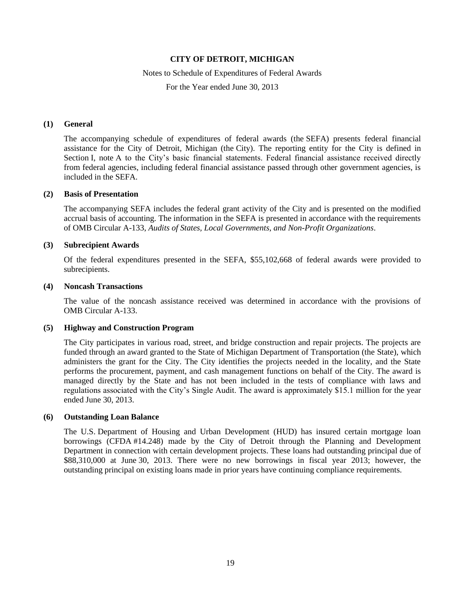#### Notes to Schedule of Expenditures of Federal Awards

For the Year ended June 30, 2013

### **(1) General**

The accompanying schedule of expenditures of federal awards (the SEFA) presents federal financial assistance for the City of Detroit, Michigan (the City). The reporting entity for the City is defined in Section I, note A to the City's basic financial statements. Federal financial assistance received directly from federal agencies, including federal financial assistance passed through other government agencies, is included in the SEFA.

#### **(2) Basis of Presentation**

The accompanying SEFA includes the federal grant activity of the City and is presented on the modified accrual basis of accounting. The information in the SEFA is presented in accordance with the requirements of OMB Circular A-133, *Audits of States, Local Governments, and Non-Profit Organizations*.

### **(3) Subrecipient Awards**

Of the federal expenditures presented in the SEFA, \$55,102,668 of federal awards were provided to subrecipients.

### **(4) Noncash Transactions**

The value of the noncash assistance received was determined in accordance with the provisions of OMB Circular A-133.

# **(5) Highway and Construction Program**

The City participates in various road, street, and bridge construction and repair projects. The projects are funded through an award granted to the State of Michigan Department of Transportation (the State), which administers the grant for the City. The City identifies the projects needed in the locality, and the State performs the procurement, payment, and cash management functions on behalf of the City. The award is managed directly by the State and has not been included in the tests of compliance with laws and regulations associated with the City's Single Audit. The award is approximately \$15.1 million for the year ended June 30, 2013.

#### **(6) Outstanding Loan Balance**

The U.S. Department of Housing and Urban Development (HUD) has insured certain mortgage loan borrowings (CFDA #14.248) made by the City of Detroit through the Planning and Development Department in connection with certain development projects. These loans had outstanding principal due of \$88,310,000 at June 30, 2013. There were no new borrowings in fiscal year 2013; however, the outstanding principal on existing loans made in prior years have continuing compliance requirements.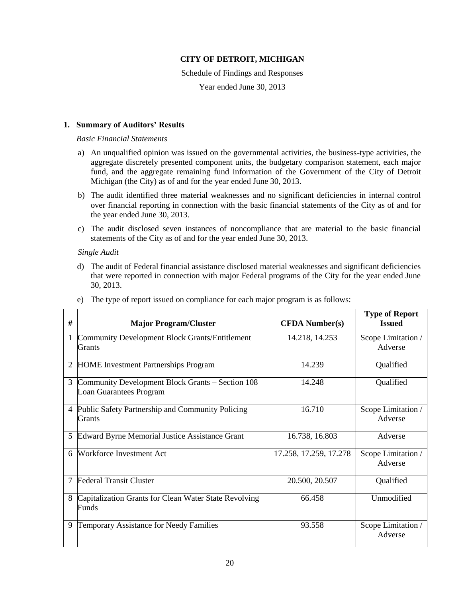Schedule of Findings and Responses

Year ended June 30, 2013

# **1. Summary of Auditors' Results**

#### *Basic Financial Statements*

- a) An unqualified opinion was issued on the governmental activities, the business-type activities, the aggregate discretely presented component units, the budgetary comparison statement, each major fund, and the aggregate remaining fund information of the Government of the City of Detroit Michigan (the City) as of and for the year ended June 30, 2013.
- b) The audit identified three material weaknesses and no significant deficiencies in internal control over financial reporting in connection with the basic financial statements of the City as of and for the year ended June 30, 2013.
- c) The audit disclosed seven instances of noncompliance that are material to the basic financial statements of the City as of and for the year ended June 30, 2013.

### *Single Audit*

d) The audit of Federal financial assistance disclosed material weaknesses and significant deficiencies that were reported in connection with major Federal programs of the City for the year ended June 30, 2013.

| $\#$ | <b>Major Program/Cluster</b>                                                | <b>CFDA Number(s)</b>  | <b>Type of Report</b><br><b>Issued</b> |
|------|-----------------------------------------------------------------------------|------------------------|----------------------------------------|
| 1    | <b>Community Development Block Grants/Entitlement</b><br><b>Grants</b>      | 14.218, 14.253         | Scope Limitation /<br>Adverse          |
|      | <b>HOME</b> Investment Partnerships Program                                 | 14.239                 | Qualified                              |
| 3    | Community Development Block Grants – Section 108<br>Loan Guarantees Program | 14.248                 | Qualified                              |
| 4    | Public Safety Partnership and Community Policing<br>Grants                  | 16.710                 | Scope Limitation /<br>Adverse          |
| 5    | <b>Edward Byrne Memorial Justice Assistance Grant</b>                       | 16.738, 16.803         | Adverse                                |
| 6    | <b>Workforce Investment Act</b>                                             | 17.258, 17.259, 17.278 | Scope Limitation /<br>Adverse          |
| 7    | <b>Federal Transit Cluster</b>                                              | 20.500, 20.507         | Qualified                              |
| 8    | Capitalization Grants for Clean Water State Revolving<br>Funds              | 66.458                 | Unmodified                             |
| 9    | Temporary Assistance for Needy Families                                     | 93.558                 | Scope Limitation /<br>Adverse          |

e) The type of report issued on compliance for each major program is as follows: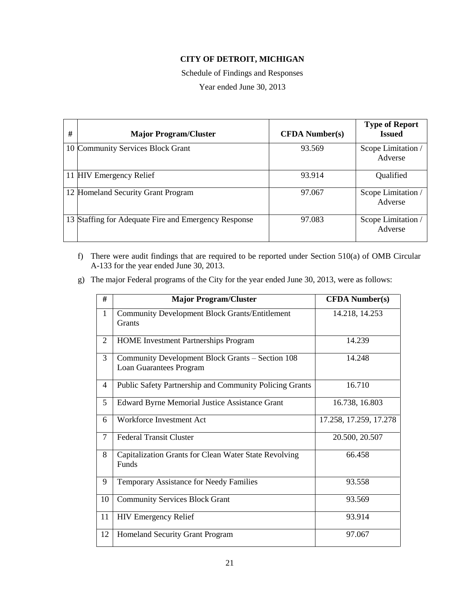Schedule of Findings and Responses

| # | <b>Major Program/Cluster</b>                         | <b>CFDA</b> Number(s) | <b>Type of Report</b><br><b>Issued</b> |
|---|------------------------------------------------------|-----------------------|----------------------------------------|
|   | 10 Community Services Block Grant                    | 93.569                | Scope Limitation /<br>Adverse          |
|   | 11 HIV Emergency Relief                              | 93.914                | Qualified                              |
|   | 12 Homeland Security Grant Program                   | 97.067                | Scope Limitation /<br>Adverse          |
|   | 13 Staffing for Adequate Fire and Emergency Response | 97.083                | Scope Limitation /<br>Adverse          |

- f) There were audit findings that are required to be reported under Section 510(a) of OMB Circular A-133 for the year ended June 30, 2013.
- g) The major Federal programs of the City for the year ended June 30, 2013, were as follows:

| #              | <b>Major Program/Cluster</b>                                                | <b>CFDA Number(s)</b>  |
|----------------|-----------------------------------------------------------------------------|------------------------|
| $\mathbf{1}$   | <b>Community Development Block Grants/Entitlement</b><br>Grants             | 14.218, 14.253         |
| $\overline{2}$ | <b>HOME</b> Investment Partnerships Program                                 | 14.239                 |
| 3              | Community Development Block Grants - Section 108<br>Loan Guarantees Program | 14.248                 |
| 4              | Public Safety Partnership and Community Policing Grants                     | 16.710                 |
| 5              | <b>Edward Byrne Memorial Justice Assistance Grant</b>                       | 16.738, 16.803         |
| 6              | Workforce Investment Act                                                    | 17.258, 17.259, 17.278 |
| 7              | <b>Federal Transit Cluster</b>                                              | 20.500, 20.507         |
| 8              | Capitalization Grants for Clean Water State Revolving<br>Funds              | 66.458                 |
| 9              | Temporary Assistance for Needy Families                                     | 93.558                 |
| 10             | <b>Community Services Block Grant</b>                                       | 93.569                 |
| 11             | <b>HIV Emergency Relief</b>                                                 | 93.914                 |
| 12             | Homeland Security Grant Program                                             | 97.067                 |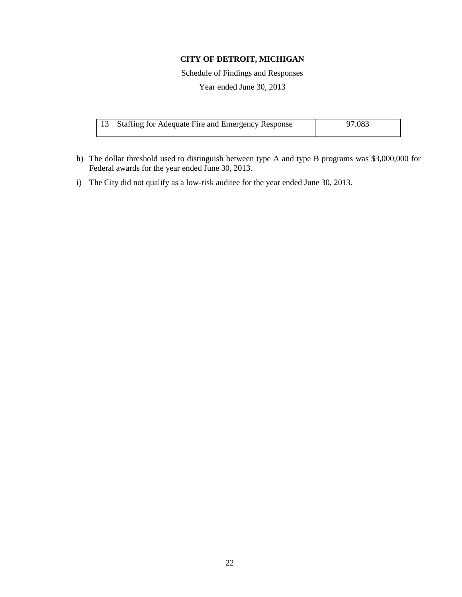Schedule of Findings and Responses

| 13   Staffing for Adequate Fire and Emergency Response | 97.083 |
|--------------------------------------------------------|--------|
|                                                        |        |

- h) The dollar threshold used to distinguish between type A and type B programs was \$3,000,000 for Federal awards for the year ended June 30, 2013.
- i) The City did not qualify as a low-risk auditee for the year ended June 30, 2013.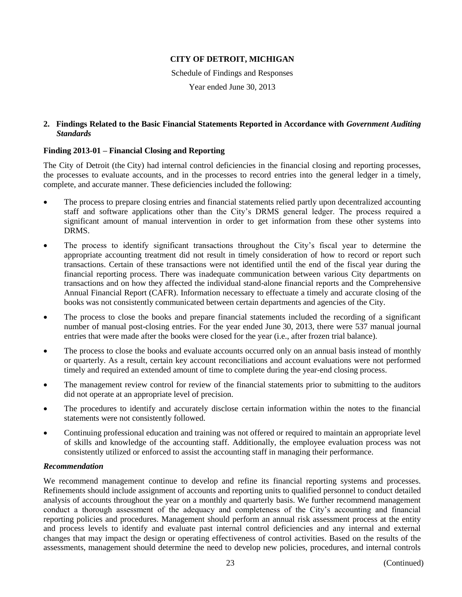Schedule of Findings and Responses

Year ended June 30, 2013

# **2. Findings Related to the Basic Financial Statements Reported in Accordance with** *Government Auditing Standards*

# **Finding 2013-01 – Financial Closing and Reporting**

The City of Detroit (the City) had internal control deficiencies in the financial closing and reporting processes, the processes to evaluate accounts, and in the processes to record entries into the general ledger in a timely, complete, and accurate manner. These deficiencies included the following:

- The process to prepare closing entries and financial statements relied partly upon decentralized accounting staff and software applications other than the City's DRMS general ledger. The process required a significant amount of manual intervention in order to get information from these other systems into DRMS.
- The process to identify significant transactions throughout the City's fiscal year to determine the appropriate accounting treatment did not result in timely consideration of how to record or report such transactions. Certain of these transactions were not identified until the end of the fiscal year during the financial reporting process. There was inadequate communication between various City departments on transactions and on how they affected the individual stand-alone financial reports and the Comprehensive Annual Financial Report (CAFR). Information necessary to effectuate a timely and accurate closing of the books was not consistently communicated between certain departments and agencies of the City.
- The process to close the books and prepare financial statements included the recording of a significant number of manual post-closing entries. For the year ended June 30, 2013, there were 537 manual journal entries that were made after the books were closed for the year (i.e., after frozen trial balance).
- The process to close the books and evaluate accounts occurred only on an annual basis instead of monthly or quarterly. As a result, certain key account reconciliations and account evaluations were not performed timely and required an extended amount of time to complete during the year-end closing process.
- The management review control for review of the financial statements prior to submitting to the auditors did not operate at an appropriate level of precision.
- The procedures to identify and accurately disclose certain information within the notes to the financial statements were not consistently followed.
- Continuing professional education and training was not offered or required to maintain an appropriate level of skills and knowledge of the accounting staff. Additionally, the employee evaluation process was not consistently utilized or enforced to assist the accounting staff in managing their performance.

# *Recommendation*

We recommend management continue to develop and refine its financial reporting systems and processes. Refinements should include assignment of accounts and reporting units to qualified personnel to conduct detailed analysis of accounts throughout the year on a monthly and quarterly basis. We further recommend management conduct a thorough assessment of the adequacy and completeness of the City's accounting and financial reporting policies and procedures. Management should perform an annual risk assessment process at the entity and process levels to identify and evaluate past internal control deficiencies and any internal and external changes that may impact the design or operating effectiveness of control activities. Based on the results of the assessments, management should determine the need to develop new policies, procedures, and internal controls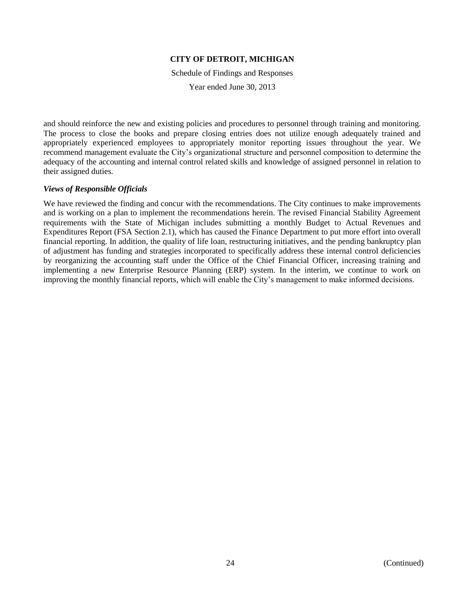Schedule of Findings and Responses

Year ended June 30, 2013

and should reinforce the new and existing policies and procedures to personnel through training and monitoring. The process to close the books and prepare closing entries does not utilize enough adequately trained and appropriately experienced employees to appropriately monitor reporting issues throughout the year. We recommend management evaluate the City's organizational structure and personnel composition to determine the adequacy of the accounting and internal control related skills and knowledge of assigned personnel in relation to their assigned duties.

### *Views of Responsible Officials*

We have reviewed the finding and concur with the recommendations. The City continues to make improvements and is working on a plan to implement the recommendations herein. The revised Financial Stability Agreement requirements with the State of Michigan includes submitting a monthly Budget to Actual Revenues and Expenditures Report (FSA Section 2.1), which has caused the Finance Department to put more effort into overall financial reporting. In addition, the quality of life loan, restructuring initiatives, and the pending bankruptcy plan of adjustment has funding and strategies incorporated to specifically address these internal control deficiencies by reorganizing the accounting staff under the Office of the Chief Financial Officer, increasing training and implementing a new Enterprise Resource Planning (ERP) system. In the interim, we continue to work on improving the monthly financial reports, which will enable the City's management to make informed decisions.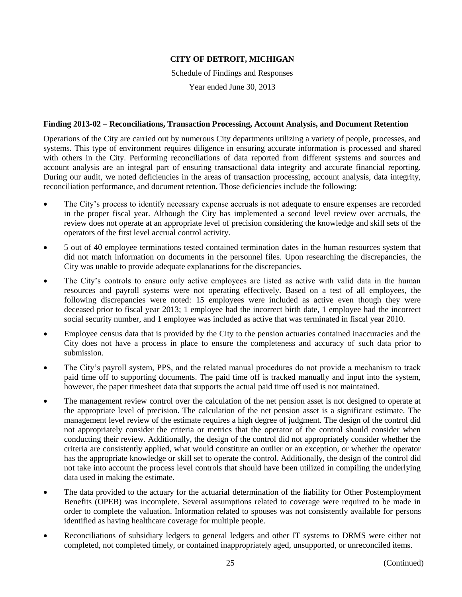Schedule of Findings and Responses

Year ended June 30, 2013

# **Finding 2013-02 – Reconciliations, Transaction Processing, Account Analysis, and Document Retention**

Operations of the City are carried out by numerous City departments utilizing a variety of people, processes, and systems. This type of environment requires diligence in ensuring accurate information is processed and shared with others in the City. Performing reconciliations of data reported from different systems and sources and account analysis are an integral part of ensuring transactional data integrity and accurate financial reporting. During our audit, we noted deficiencies in the areas of transaction processing, account analysis, data integrity, reconciliation performance, and document retention. Those deficiencies include the following:

- The City's process to identify necessary expense accruals is not adequate to ensure expenses are recorded in the proper fiscal year. Although the City has implemented a second level review over accruals, the review does not operate at an appropriate level of precision considering the knowledge and skill sets of the operators of the first level accrual control activity.
- 5 out of 40 employee terminations tested contained termination dates in the human resources system that did not match information on documents in the personnel files. Upon researching the discrepancies, the City was unable to provide adequate explanations for the discrepancies.
- The City's controls to ensure only active employees are listed as active with valid data in the human resources and payroll systems were not operating effectively. Based on a test of all employees, the following discrepancies were noted: 15 employees were included as active even though they were deceased prior to fiscal year 2013; 1 employee had the incorrect birth date, 1 employee had the incorrect social security number, and 1 employee was included as active that was terminated in fiscal year 2010.
- Employee census data that is provided by the City to the pension actuaries contained inaccuracies and the City does not have a process in place to ensure the completeness and accuracy of such data prior to submission.
- The City's payroll system, PPS, and the related manual procedures do not provide a mechanism to track paid time off to supporting documents. The paid time off is tracked manually and input into the system, however, the paper timesheet data that supports the actual paid time off used is not maintained.
- The management review control over the calculation of the net pension asset is not designed to operate at the appropriate level of precision. The calculation of the net pension asset is a significant estimate. The management level review of the estimate requires a high degree of judgment. The design of the control did not appropriately consider the criteria or metrics that the operator of the control should consider when conducting their review. Additionally, the design of the control did not appropriately consider whether the criteria are consistently applied, what would constitute an outlier or an exception, or whether the operator has the appropriate knowledge or skill set to operate the control. Additionally, the design of the control did not take into account the process level controls that should have been utilized in compiling the underlying data used in making the estimate.
- The data provided to the actuary for the actuarial determination of the liability for Other Postemployment Benefits (OPEB) was incomplete. Several assumptions related to coverage were required to be made in order to complete the valuation. Information related to spouses was not consistently available for persons identified as having healthcare coverage for multiple people.
- Reconciliations of subsidiary ledgers to general ledgers and other IT systems to DRMS were either not completed, not completed timely, or contained inappropriately aged, unsupported, or unreconciled items.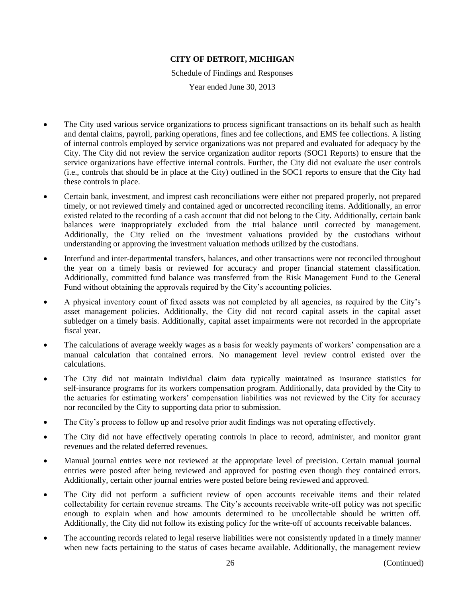Schedule of Findings and Responses

- The City used various service organizations to process significant transactions on its behalf such as health and dental claims, payroll, parking operations, fines and fee collections, and EMS fee collections. A listing of internal controls employed by service organizations was not prepared and evaluated for adequacy by the City. The City did not review the service organization auditor reports (SOC1 Reports) to ensure that the service organizations have effective internal controls. Further, the City did not evaluate the user controls (i.e., controls that should be in place at the City) outlined in the SOC1 reports to ensure that the City had these controls in place.
- Certain bank, investment, and imprest cash reconciliations were either not prepared properly, not prepared timely, or not reviewed timely and contained aged or uncorrected reconciling items. Additionally, an error existed related to the recording of a cash account that did not belong to the City. Additionally, certain bank balances were inappropriately excluded from the trial balance until corrected by management. Additionally, the City relied on the investment valuations provided by the custodians without understanding or approving the investment valuation methods utilized by the custodians.
- Interfund and inter-departmental transfers, balances, and other transactions were not reconciled throughout the year on a timely basis or reviewed for accuracy and proper financial statement classification. Additionally, committed fund balance was transferred from the Risk Management Fund to the General Fund without obtaining the approvals required by the City's accounting policies.
- A physical inventory count of fixed assets was not completed by all agencies, as required by the City's asset management policies. Additionally, the City did not record capital assets in the capital asset subledger on a timely basis. Additionally, capital asset impairments were not recorded in the appropriate fiscal year.
- The calculations of average weekly wages as a basis for weekly payments of workers' compensation are a manual calculation that contained errors. No management level review control existed over the calculations.
- The City did not maintain individual claim data typically maintained as insurance statistics for self-insurance programs for its workers compensation program. Additionally, data provided by the City to the actuaries for estimating workers' compensation liabilities was not reviewed by the City for accuracy nor reconciled by the City to supporting data prior to submission.
- The City's process to follow up and resolve prior audit findings was not operating effectively.
- The City did not have effectively operating controls in place to record, administer, and monitor grant revenues and the related deferred revenues.
- Manual journal entries were not reviewed at the appropriate level of precision. Certain manual journal entries were posted after being reviewed and approved for posting even though they contained errors. Additionally, certain other journal entries were posted before being reviewed and approved.
- The City did not perform a sufficient review of open accounts receivable items and their related collectability for certain revenue streams. The City's accounts receivable write-off policy was not specific enough to explain when and how amounts determined to be uncollectable should be written off. Additionally, the City did not follow its existing policy for the write-off of accounts receivable balances.
- The accounting records related to legal reserve liabilities were not consistently updated in a timely manner when new facts pertaining to the status of cases became available. Additionally, the management review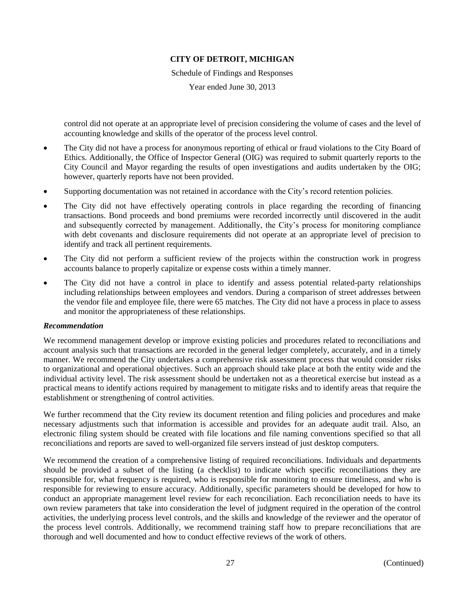Schedule of Findings and Responses

Year ended June 30, 2013

control did not operate at an appropriate level of precision considering the volume of cases and the level of accounting knowledge and skills of the operator of the process level control.

- The City did not have a process for anonymous reporting of ethical or fraud violations to the City Board of Ethics. Additionally, the Office of Inspector General (OIG) was required to submit quarterly reports to the City Council and Mayor regarding the results of open investigations and audits undertaken by the OIG; however, quarterly reports have not been provided.
- Supporting documentation was not retained in accordance with the City's record retention policies.
- The City did not have effectively operating controls in place regarding the recording of financing transactions. Bond proceeds and bond premiums were recorded incorrectly until discovered in the audit and subsequently corrected by management. Additionally, the City's process for monitoring compliance with debt covenants and disclosure requirements did not operate at an appropriate level of precision to identify and track all pertinent requirements.
- The City did not perform a sufficient review of the projects within the construction work in progress accounts balance to properly capitalize or expense costs within a timely manner.
- The City did not have a control in place to identify and assess potential related-party relationships including relationships between employees and vendors. During a comparison of street addresses between the vendor file and employee file, there were 65 matches. The City did not have a process in place to assess and monitor the appropriateness of these relationships.

#### *Recommendation*

We recommend management develop or improve existing policies and procedures related to reconciliations and account analysis such that transactions are recorded in the general ledger completely, accurately, and in a timely manner. We recommend the City undertakes a comprehensive risk assessment process that would consider risks to organizational and operational objectives. Such an approach should take place at both the entity wide and the individual activity level. The risk assessment should be undertaken not as a theoretical exercise but instead as a practical means to identify actions required by management to mitigate risks and to identify areas that require the establishment or strengthening of control activities.

We further recommend that the City review its document retention and filing policies and procedures and make necessary adjustments such that information is accessible and provides for an adequate audit trail. Also, an electronic filing system should be created with file locations and file naming conventions specified so that all reconciliations and reports are saved to well-organized file servers instead of just desktop computers.

We recommend the creation of a comprehensive listing of required reconciliations. Individuals and departments should be provided a subset of the listing (a checklist) to indicate which specific reconciliations they are responsible for, what frequency is required, who is responsible for monitoring to ensure timeliness, and who is responsible for reviewing to ensure accuracy. Additionally, specific parameters should be developed for how to conduct an appropriate management level review for each reconciliation. Each reconciliation needs to have its own review parameters that take into consideration the level of judgment required in the operation of the control activities, the underlying process level controls, and the skills and knowledge of the reviewer and the operator of the process level controls. Additionally, we recommend training staff how to prepare reconciliations that are thorough and well documented and how to conduct effective reviews of the work of others.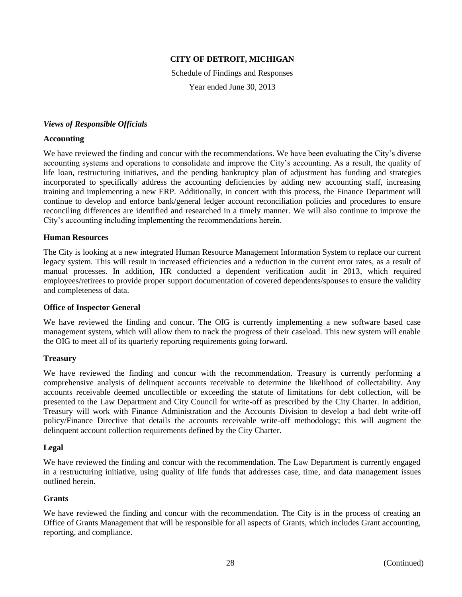Schedule of Findings and Responses

Year ended June 30, 2013

# *Views of Responsible Officials*

# **Accounting**

We have reviewed the finding and concur with the recommendations. We have been evaluating the City's diverse accounting systems and operations to consolidate and improve the City's accounting. As a result, the quality of life loan, restructuring initiatives, and the pending bankruptcy plan of adjustment has funding and strategies incorporated to specifically address the accounting deficiencies by adding new accounting staff, increasing training and implementing a new ERP. Additionally, in concert with this process, the Finance Department will continue to develop and enforce bank/general ledger account reconciliation policies and procedures to ensure reconciling differences are identified and researched in a timely manner. We will also continue to improve the City's accounting including implementing the recommendations herein.

### **Human Resources**

The City is looking at a new integrated Human Resource Management Information System to replace our current legacy system. This will result in increased efficiencies and a reduction in the current error rates, as a result of manual processes. In addition, HR conducted a dependent verification audit in 2013, which required employees/retirees to provide proper support documentation of covered dependents/spouses to ensure the validity and completeness of data.

#### **Office of Inspector General**

We have reviewed the finding and concur. The OIG is currently implementing a new software based case management system, which will allow them to track the progress of their caseload. This new system will enable the OIG to meet all of its quarterly reporting requirements going forward.

# **Treasury**

We have reviewed the finding and concur with the recommendation. Treasury is currently performing a comprehensive analysis of delinquent accounts receivable to determine the likelihood of collectability. Any accounts receivable deemed uncollectible or exceeding the statute of limitations for debt collection, will be presented to the Law Department and City Council for write-off as prescribed by the City Charter. In addition, Treasury will work with Finance Administration and the Accounts Division to develop a bad debt write-off policy/Finance Directive that details the accounts receivable write-off methodology; this will augment the delinquent account collection requirements defined by the City Charter.

# **Legal**

We have reviewed the finding and concur with the recommendation. The Law Department is currently engaged in a restructuring initiative, using quality of life funds that addresses case, time, and data management issues outlined herein.

# **Grants**

We have reviewed the finding and concur with the recommendation. The City is in the process of creating an Office of Grants Management that will be responsible for all aspects of Grants, which includes Grant accounting, reporting, and compliance.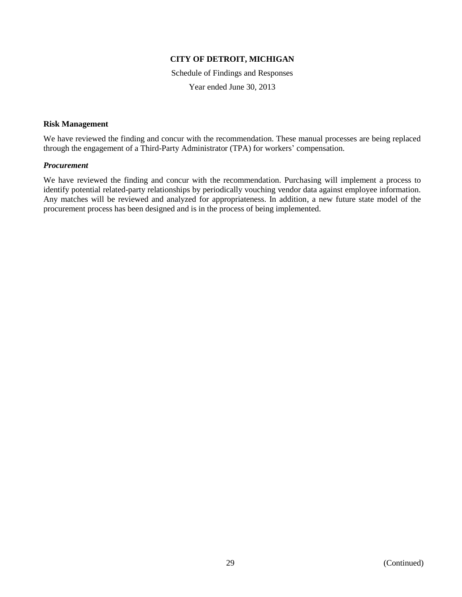Schedule of Findings and Responses

Year ended June 30, 2013

#### **Risk Management**

We have reviewed the finding and concur with the recommendation. These manual processes are being replaced through the engagement of a Third-Party Administrator (TPA) for workers' compensation.

#### *Procurement*

We have reviewed the finding and concur with the recommendation. Purchasing will implement a process to identify potential related-party relationships by periodically vouching vendor data against employee information. Any matches will be reviewed and analyzed for appropriateness. In addition, a new future state model of the procurement process has been designed and is in the process of being implemented.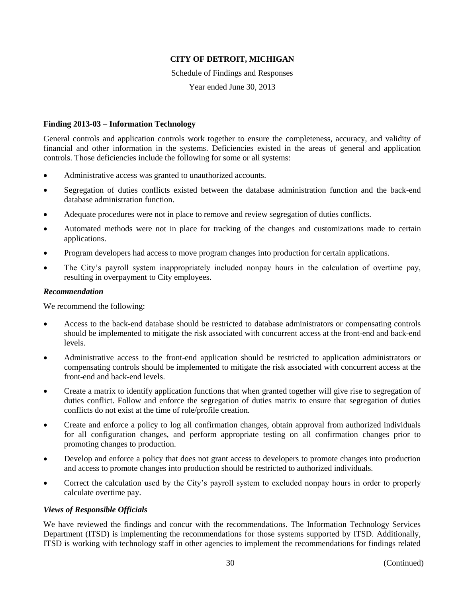Schedule of Findings and Responses

Year ended June 30, 2013

# **Finding 2013-03 – Information Technology**

General controls and application controls work together to ensure the completeness, accuracy, and validity of financial and other information in the systems. Deficiencies existed in the areas of general and application controls. Those deficiencies include the following for some or all systems:

- Administrative access was granted to unauthorized accounts.
- Segregation of duties conflicts existed between the database administration function and the back-end database administration function.
- Adequate procedures were not in place to remove and review segregation of duties conflicts.
- Automated methods were not in place for tracking of the changes and customizations made to certain applications.
- Program developers had access to move program changes into production for certain applications.
- The City's payroll system inappropriately included nonpay hours in the calculation of overtime pay, resulting in overpayment to City employees.

### *Recommendation*

We recommend the following:

- Access to the back-end database should be restricted to database administrators or compensating controls should be implemented to mitigate the risk associated with concurrent access at the front-end and back-end levels.
- Administrative access to the front-end application should be restricted to application administrators or compensating controls should be implemented to mitigate the risk associated with concurrent access at the front-end and back-end levels.
- Create a matrix to identify application functions that when granted together will give rise to segregation of duties conflict. Follow and enforce the segregation of duties matrix to ensure that segregation of duties conflicts do not exist at the time of role/profile creation.
- Create and enforce a policy to log all confirmation changes, obtain approval from authorized individuals for all configuration changes, and perform appropriate testing on all confirmation changes prior to promoting changes to production.
- Develop and enforce a policy that does not grant access to developers to promote changes into production and access to promote changes into production should be restricted to authorized individuals.
- Correct the calculation used by the City's payroll system to excluded nonpay hours in order to properly calculate overtime pay.

# *Views of Responsible Officials*

We have reviewed the findings and concur with the recommendations. The Information Technology Services Department (ITSD) is implementing the recommendations for those systems supported by ITSD. Additionally, ITSD is working with technology staff in other agencies to implement the recommendations for findings related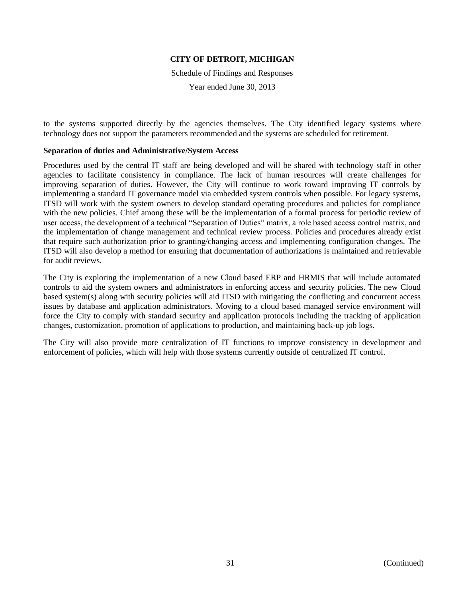Schedule of Findings and Responses

Year ended June 30, 2013

to the systems supported directly by the agencies themselves. The City identified legacy systems where technology does not support the parameters recommended and the systems are scheduled for retirement.

## **Separation of duties and Administrative/System Access**

Procedures used by the central IT staff are being developed and will be shared with technology staff in other agencies to facilitate consistency in compliance. The lack of human resources will create challenges for improving separation of duties. However, the City will continue to work toward improving IT controls by implementing a standard IT governance model via embedded system controls when possible. For legacy systems, ITSD will work with the system owners to develop standard operating procedures and policies for compliance with the new policies. Chief among these will be the implementation of a formal process for periodic review of user access, the development of a technical "Separation of Duties" matrix, a role based access control matrix, and the implementation of change management and technical review process. Policies and procedures already exist that require such authorization prior to granting/changing access and implementing configuration changes. The ITSD will also develop a method for ensuring that documentation of authorizations is maintained and retrievable for audit reviews.

The City is exploring the implementation of a new Cloud based ERP and HRMIS that will include automated controls to aid the system owners and administrators in enforcing access and security policies. The new Cloud based system(s) along with security policies will aid ITSD with mitigating the conflicting and concurrent access issues by database and application administrators. Moving to a cloud based managed service environment will force the City to comply with standard security and application protocols including the tracking of application changes, customization, promotion of applications to production, and maintaining back-up job logs.

The City will also provide more centralization of IT functions to improve consistency in development and enforcement of policies, which will help with those systems currently outside of centralized IT control.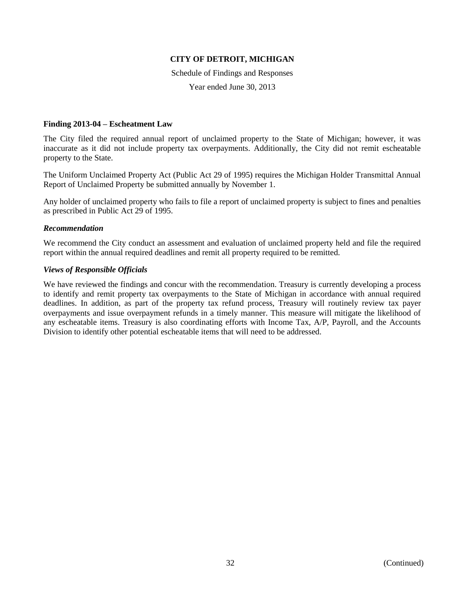Schedule of Findings and Responses

Year ended June 30, 2013

### **Finding 2013-04 – Escheatment Law**

The City filed the required annual report of unclaimed property to the State of Michigan; however, it was inaccurate as it did not include property tax overpayments. Additionally, the City did not remit escheatable property to the State.

The Uniform Unclaimed Property Act (Public Act 29 of 1995) requires the Michigan Holder Transmittal Annual Report of Unclaimed Property be submitted annually by November 1.

Any holder of unclaimed property who fails to file a report of unclaimed property is subject to fines and penalties as prescribed in Public Act 29 of 1995.

### *Recommendation*

We recommend the City conduct an assessment and evaluation of unclaimed property held and file the required report within the annual required deadlines and remit all property required to be remitted.

# *Views of Responsible Officials*

We have reviewed the findings and concur with the recommendation. Treasury is currently developing a process to identify and remit property tax overpayments to the State of Michigan in accordance with annual required deadlines. In addition, as part of the property tax refund process, Treasury will routinely review tax payer overpayments and issue overpayment refunds in a timely manner. This measure will mitigate the likelihood of any escheatable items. Treasury is also coordinating efforts with Income Tax, A/P, Payroll, and the Accounts Division to identify other potential escheatable items that will need to be addressed.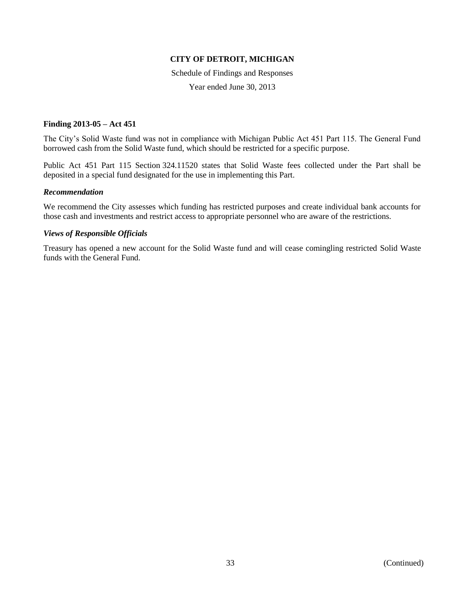Schedule of Findings and Responses

Year ended June 30, 2013

#### **Finding 2013-05 – Act 451**

The City's Solid Waste fund was not in compliance with Michigan Public Act 451 Part 115. The General Fund borrowed cash from the Solid Waste fund, which should be restricted for a specific purpose.

Public Act 451 Part 115 Section 324.11520 states that Solid Waste fees collected under the Part shall be deposited in a special fund designated for the use in implementing this Part.

## *Recommendation*

We recommend the City assesses which funding has restricted purposes and create individual bank accounts for those cash and investments and restrict access to appropriate personnel who are aware of the restrictions.

### *Views of Responsible Officials*

Treasury has opened a new account for the Solid Waste fund and will cease comingling restricted Solid Waste funds with the General Fund.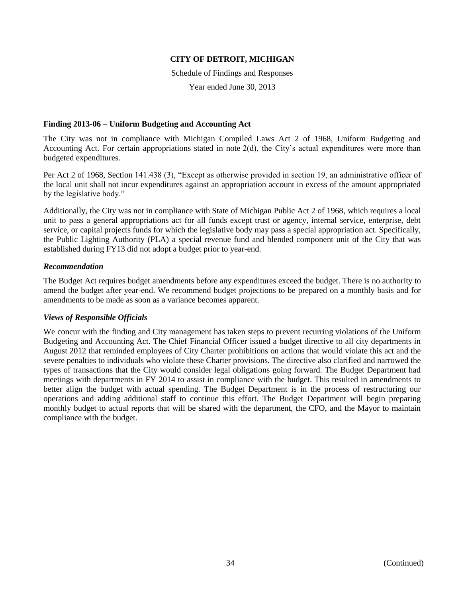Schedule of Findings and Responses

Year ended June 30, 2013

# **Finding 2013-06 – Uniform Budgeting and Accounting Act**

The City was not in compliance with Michigan Compiled Laws Act 2 of 1968, Uniform Budgeting and Accounting Act. For certain appropriations stated in note 2(d), the City's actual expenditures were more than budgeted expenditures.

Per Act 2 of 1968, Section 141.438 (3), "Except as otherwise provided in section 19, an administrative officer of the local unit shall not incur expenditures against an appropriation account in excess of the amount appropriated by the legislative body."

Additionally, the City was not in compliance with State of Michigan Public Act 2 of 1968, which requires a local unit to pass a general appropriations act for all funds except trust or agency, internal service, enterprise, debt service, or capital projects funds for which the legislative body may pass a special appropriation act. Specifically, the Public Lighting Authority (PLA) a special revenue fund and blended component unit of the City that was established during FY13 did not adopt a budget prior to year-end.

### *Recommendation*

The Budget Act requires budget amendments before any expenditures exceed the budget. There is no authority to amend the budget after year-end. We recommend budget projections to be prepared on a monthly basis and for amendments to be made as soon as a variance becomes apparent.

# *Views of Responsible Officials*

We concur with the finding and City management has taken steps to prevent recurring violations of the Uniform Budgeting and Accounting Act. The Chief Financial Officer issued a budget directive to all city departments in August 2012 that reminded employees of City Charter prohibitions on actions that would violate this act and the severe penalties to individuals who violate these Charter provisions. The directive also clarified and narrowed the types of transactions that the City would consider legal obligations going forward. The Budget Department had meetings with departments in FY 2014 to assist in compliance with the budget. This resulted in amendments to better align the budget with actual spending. The Budget Department is in the process of restructuring our operations and adding additional staff to continue this effort. The Budget Department will begin preparing monthly budget to actual reports that will be shared with the department, the CFO, and the Mayor to maintain compliance with the budget.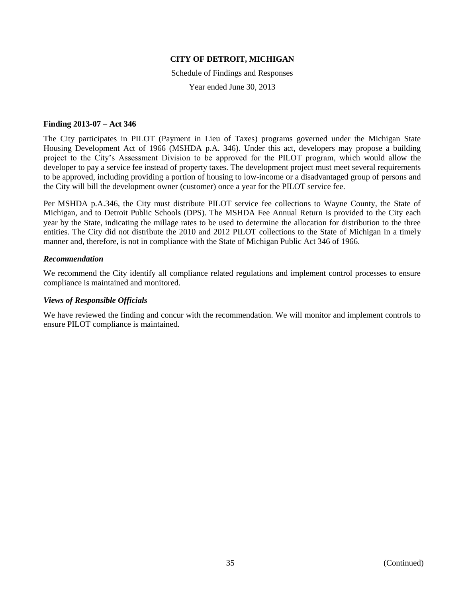Schedule of Findings and Responses

Year ended June 30, 2013

# **Finding 2013-07 – Act 346**

The City participates in PILOT (Payment in Lieu of Taxes) programs governed under the Michigan State Housing Development Act of 1966 (MSHDA p.A. 346). Under this act, developers may propose a building project to the City's Assessment Division to be approved for the PILOT program, which would allow the developer to pay a service fee instead of property taxes. The development project must meet several requirements to be approved, including providing a portion of housing to low-income or a disadvantaged group of persons and the City will bill the development owner (customer) once a year for the PILOT service fee.

Per MSHDA p.A.346, the City must distribute PILOT service fee collections to Wayne County, the State of Michigan, and to Detroit Public Schools (DPS). The MSHDA Fee Annual Return is provided to the City each year by the State, indicating the millage rates to be used to determine the allocation for distribution to the three entities. The City did not distribute the 2010 and 2012 PILOT collections to the State of Michigan in a timely manner and, therefore, is not in compliance with the State of Michigan Public Act 346 of 1966.

# *Recommendation*

We recommend the City identify all compliance related regulations and implement control processes to ensure compliance is maintained and monitored.

## *Views of Responsible Officials*

We have reviewed the finding and concur with the recommendation. We will monitor and implement controls to ensure PILOT compliance is maintained.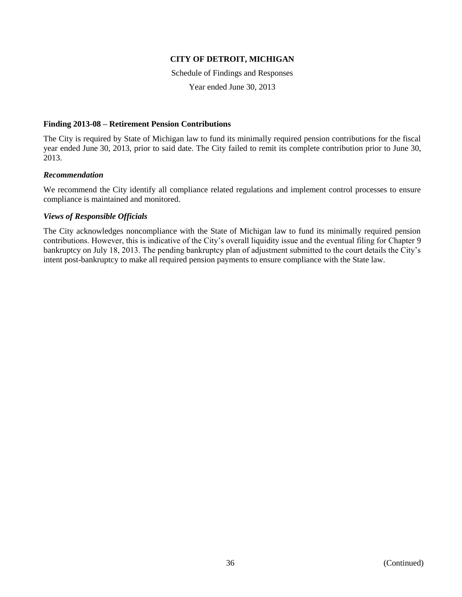Schedule of Findings and Responses

Year ended June 30, 2013

# **Finding 2013-08 – Retirement Pension Contributions**

The City is required by State of Michigan law to fund its minimally required pension contributions for the fiscal year ended June 30, 2013, prior to said date. The City failed to remit its complete contribution prior to June 30, 2013.

# *Recommendation*

We recommend the City identify all compliance related regulations and implement control processes to ensure compliance is maintained and monitored.

# *Views of Responsible Officials*

The City acknowledges noncompliance with the State of Michigan law to fund its minimally required pension contributions. However, this is indicative of the City's overall liquidity issue and the eventual filing for Chapter 9 bankruptcy on July 18, 2013. The pending bankruptcy plan of adjustment submitted to the court details the City's intent post-bankruptcy to make all required pension payments to ensure compliance with the State law.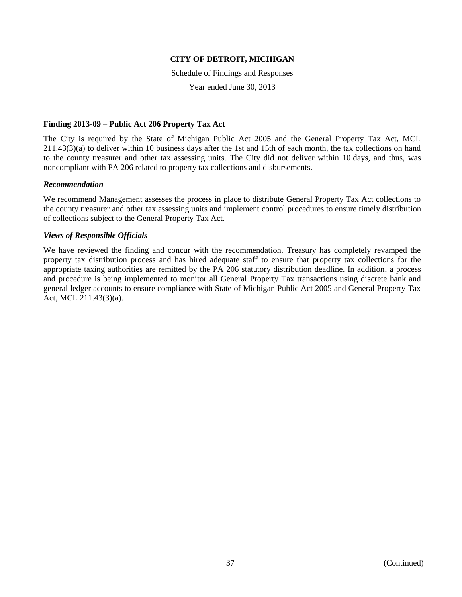Schedule of Findings and Responses

Year ended June 30, 2013

# **Finding 2013-09 – Public Act 206 Property Tax Act**

The City is required by the State of Michigan Public Act 2005 and the General Property Tax Act, MCL 211.43(3)(a) to deliver within 10 business days after the 1st and 15th of each month, the tax collections on hand to the county treasurer and other tax assessing units. The City did not deliver within 10 days, and thus, was noncompliant with PA 206 related to property tax collections and disbursements.

# *Recommendation*

We recommend Management assesses the process in place to distribute General Property Tax Act collections to the county treasurer and other tax assessing units and implement control procedures to ensure timely distribution of collections subject to the General Property Tax Act.

# *Views of Responsible Officials*

We have reviewed the finding and concur with the recommendation. Treasury has completely revamped the property tax distribution process and has hired adequate staff to ensure that property tax collections for the appropriate taxing authorities are remitted by the PA 206 statutory distribution deadline. In addition, a process and procedure is being implemented to monitor all General Property Tax transactions using discrete bank and general ledger accounts to ensure compliance with State of Michigan Public Act 2005 and General Property Tax Act, MCL 211.43(3)(a).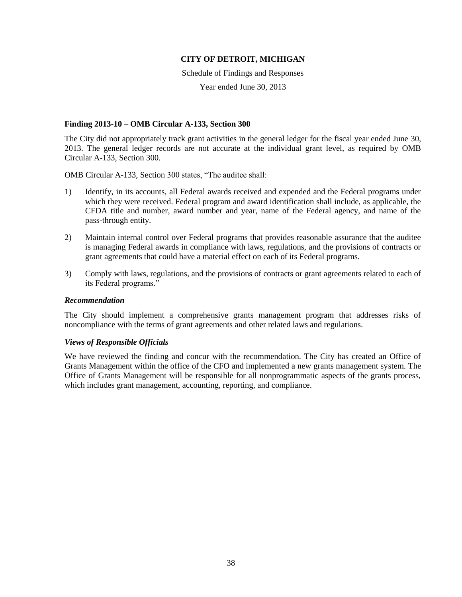Schedule of Findings and Responses

Year ended June 30, 2013

# **Finding 2013-10 – OMB Circular A-133, Section 300**

The City did not appropriately track grant activities in the general ledger for the fiscal year ended June 30, 2013. The general ledger records are not accurate at the individual grant level, as required by OMB Circular A-133, Section 300.

OMB Circular A-133, Section 300 states, "The auditee shall:

- 1) Identify, in its accounts, all Federal awards received and expended and the Federal programs under which they were received. Federal program and award identification shall include, as applicable, the CFDA title and number, award number and year, name of the Federal agency, and name of the pass-through entity.
- 2) Maintain internal control over Federal programs that provides reasonable assurance that the auditee is managing Federal awards in compliance with laws, regulations, and the provisions of contracts or grant agreements that could have a material effect on each of its Federal programs.
- 3) Comply with laws, regulations, and the provisions of contracts or grant agreements related to each of its Federal programs."

## *Recommendation*

The City should implement a comprehensive grants management program that addresses risks of noncompliance with the terms of grant agreements and other related laws and regulations.

# *Views of Responsible Officials*

We have reviewed the finding and concur with the recommendation. The City has created an Office of Grants Management within the office of the CFO and implemented a new grants management system. The Office of Grants Management will be responsible for all nonprogrammatic aspects of the grants process, which includes grant management, accounting, reporting, and compliance.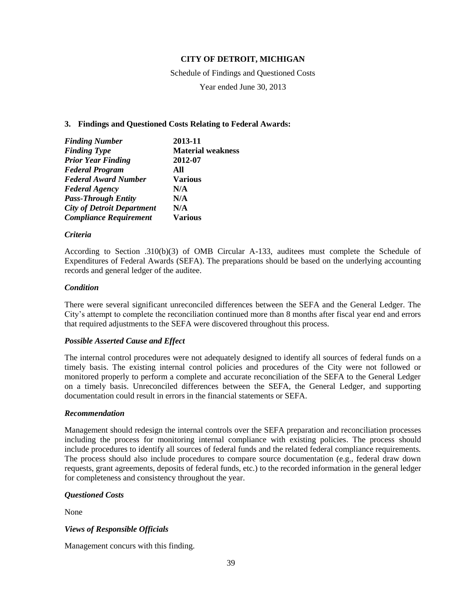Schedule of Findings and Questioned Costs Year ended June 30, 2013

# **3. Findings and Questioned Costs Relating to Federal Awards:**

| <b>Finding Number</b>             | 2013-11                  |
|-----------------------------------|--------------------------|
| <b>Finding Type</b>               | <b>Material weakness</b> |
| <b>Prior Year Finding</b>         | 2012-07                  |
| <b>Federal Program</b>            | All                      |
| <b>Federal Award Number</b>       | <b>Various</b>           |
| <b>Federal Agency</b>             | N/A                      |
| <b>Pass-Through Entity</b>        | N/A                      |
| <b>City of Detroit Department</b> | N/A                      |
| <b>Compliance Requirement</b>     | <b>Various</b>           |

# *Criteria*

According to Section .310(b)(3) of OMB Circular A-133, auditees must complete the Schedule of Expenditures of Federal Awards (SEFA). The preparations should be based on the underlying accounting records and general ledger of the auditee.

# *Condition*

There were several significant unreconciled differences between the SEFA and the General Ledger. The City's attempt to complete the reconciliation continued more than 8 months after fiscal year end and errors that required adjustments to the SEFA were discovered throughout this process.

# *Possible Asserted Cause and Effect*

The internal control procedures were not adequately designed to identify all sources of federal funds on a timely basis. The existing internal control policies and procedures of the City were not followed or monitored properly to perform a complete and accurate reconciliation of the SEFA to the General Ledger on a timely basis. Unreconciled differences between the SEFA, the General Ledger, and supporting documentation could result in errors in the financial statements or SEFA.

#### *Recommendation*

Management should redesign the internal controls over the SEFA preparation and reconciliation processes including the process for monitoring internal compliance with existing policies. The process should include procedures to identify all sources of federal funds and the related federal compliance requirements. The process should also include procedures to compare source documentation (e.g., federal draw down requests, grant agreements, deposits of federal funds, etc.) to the recorded information in the general ledger for completeness and consistency throughout the year.

# *Questioned Costs*

None

# *Views of Responsible Officials*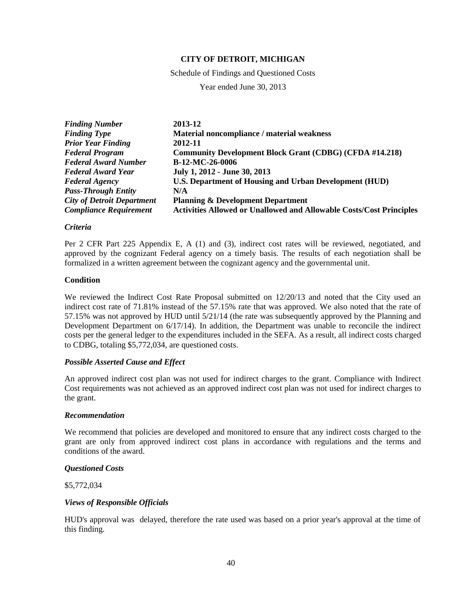Schedule of Findings and Questioned Costs

Year ended June 30, 2013

| <b>Finding Number</b>             | 2013-12                                                                    |
|-----------------------------------|----------------------------------------------------------------------------|
| <b>Finding Type</b>               | Material noncompliance / material weakness                                 |
| <b>Prior Year Finding</b>         | 2012-11                                                                    |
| <b>Federal Program</b>            | <b>Community Development Block Grant (CDBG) (CFDA #14.218)</b>             |
| <b>Federal Award Number</b>       | B-12-MC-26-0006                                                            |
| <b>Federal Award Year</b>         | July 1, 2012 - June 30, 2013                                               |
| <b>Federal Agency</b>             | <b>U.S. Department of Housing and Urban Development (HUD)</b>              |
| <b>Pass-Through Entity</b>        | N/A                                                                        |
| <b>City of Detroit Department</b> | <b>Planning &amp; Development Department</b>                               |
| <b>Compliance Requirement</b>     | <b>Activities Allowed or Unallowed and Allowable Costs/Cost Principles</b> |

#### *Criteria*

Per 2 CFR Part 225 Appendix E, A (1) and (3), indirect cost rates will be reviewed, negotiated, and approved by the cognizant Federal agency on a timely basis. The results of each negotiation shall be formalized in a written agreement between the cognizant agency and the governmental unit.

## **Condition**

We reviewed the Indirect Cost Rate Proposal submitted on 12/20/13 and noted that the City used an indirect cost rate of 71.81% instead of the 57.15% rate that was approved. We also noted that the rate of 57.15% was not approved by HUD until 5/21/14 (the rate was subsequently approved by the Planning and Development Department on 6/17/14). In addition, the Department was unable to reconcile the indirect costs per the general ledger to the expenditures included in the SEFA. As a result, all indirect costs charged to CDBG, totaling \$5,772,034, are questioned costs.

#### *Possible Asserted Cause and Effect*

An approved indirect cost plan was not used for indirect charges to the grant. Compliance with Indirect Cost requirements was not achieved as an approved indirect cost plan was not used for indirect charges to the grant.

# *Recommendation*

We recommend that policies are developed and monitored to ensure that any indirect costs charged to the grant are only from approved indirect cost plans in accordance with regulations and the terms and conditions of the award.

# *Questioned Costs*

\$5,772,034

#### *Views of Responsible Officials*

HUD's approval was delayed, therefore the rate used was based on a prior year's approval at the time of this finding.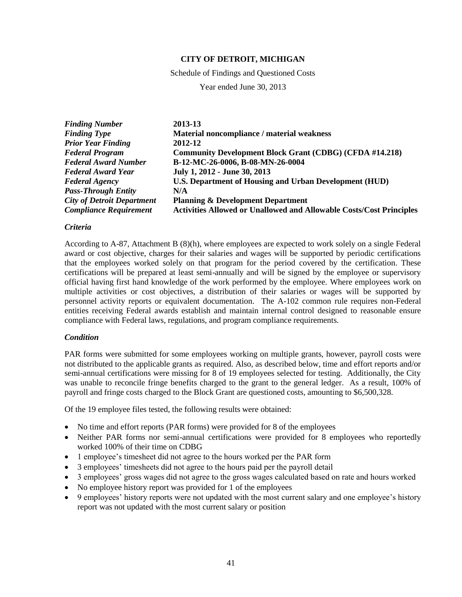Schedule of Findings and Questioned Costs

Year ended June 30, 2013

| <b>Finding Number</b>             | 2013-13                                                                    |
|-----------------------------------|----------------------------------------------------------------------------|
| <b>Finding Type</b>               | Material noncompliance / material weakness                                 |
| <b>Prior Year Finding</b>         | 2012-12                                                                    |
| <b>Federal Program</b>            | <b>Community Development Block Grant (CDBG) (CFDA #14.218)</b>             |
| <b>Federal Award Number</b>       | B-12-MC-26-0006, B-08-MN-26-0004                                           |
| <b>Federal Award Year</b>         | July 1, 2012 - June 30, 2013                                               |
| <b>Federal Agency</b>             | <b>U.S. Department of Housing and Urban Development (HUD)</b>              |
| <b>Pass-Through Entity</b>        | N/A                                                                        |
| <b>City of Detroit Department</b> | <b>Planning &amp; Development Department</b>                               |
| <b>Compliance Requirement</b>     | <b>Activities Allowed or Unallowed and Allowable Costs/Cost Principles</b> |

#### *Criteria*

According to A-87, Attachment B (8)(h), where employees are expected to work solely on a single Federal award or cost objective, charges for their salaries and wages will be supported by periodic certifications that the employees worked solely on that program for the period covered by the certification. These certifications will be prepared at least semi-annually and will be signed by the employee or supervisory official having first hand knowledge of the work performed by the employee. Where employees work on multiple activities or cost objectives, a distribution of their salaries or wages will be supported by personnel activity reports or equivalent documentation. The A-102 common rule requires non-Federal entities receiving Federal awards establish and maintain internal control designed to reasonable ensure compliance with Federal laws, regulations, and program compliance requirements.

# *Condition*

PAR forms were submitted for some employees working on multiple grants, however, payroll costs were not distributed to the applicable grants as required. Also, as described below, time and effort reports and/or semi-annual certifications were missing for 8 of 19 employees selected for testing. Additionally, the City was unable to reconcile fringe benefits charged to the grant to the general ledger. As a result, 100% of payroll and fringe costs charged to the Block Grant are questioned costs, amounting to \$6,500,328.

Of the 19 employee files tested, the following results were obtained:

- No time and effort reports (PAR forms) were provided for 8 of the employees
- Neither PAR forms nor semi-annual certifications were provided for 8 employees who reportedly worked 100% of their time on CDBG
- 1 employee's timesheet did not agree to the hours worked per the PAR form
- 3 employees' timesheets did not agree to the hours paid per the payroll detail
- 3 employees' gross wages did not agree to the gross wages calculated based on rate and hours worked
- No employee history report was provided for 1 of the employees
- 9 employees' history reports were not updated with the most current salary and one employee's history report was not updated with the most current salary or position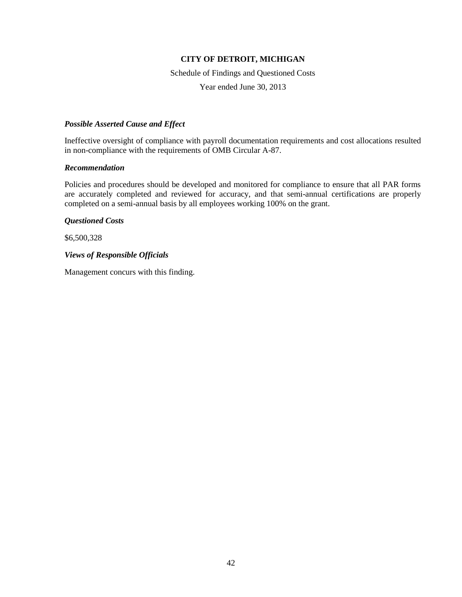Schedule of Findings and Questioned Costs

Year ended June 30, 2013

# *Possible Asserted Cause and Effect*

Ineffective oversight of compliance with payroll documentation requirements and cost allocations resulted in non-compliance with the requirements of OMB Circular A-87.

# *Recommendation*

Policies and procedures should be developed and monitored for compliance to ensure that all PAR forms are accurately completed and reviewed for accuracy, and that semi-annual certifications are properly completed on a semi-annual basis by all employees working 100% on the grant.

# *Questioned Costs*

\$6,500,328

# *Views of Responsible Officials*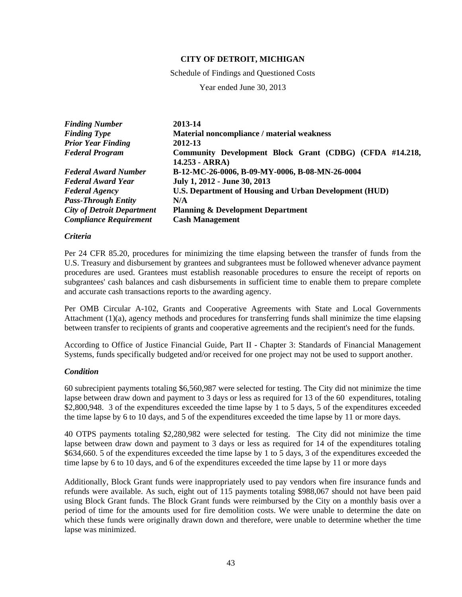Schedule of Findings and Questioned Costs

Year ended June 30, 2013

| <b>Finding Number</b>             | 2013-14                                                 |
|-----------------------------------|---------------------------------------------------------|
| <b>Finding Type</b>               | Material noncompliance / material weakness              |
| <b>Prior Year Finding</b>         | 2012-13                                                 |
| <b>Federal Program</b>            | Community Development Block Grant (CDBG) (CFDA #14.218, |
|                                   | 14.253 - ARRA)                                          |
| <b>Federal Award Number</b>       | B-12-MC-26-0006, B-09-MY-0006, B-08-MN-26-0004          |
| <b>Federal Award Year</b>         | July 1, 2012 - June 30, 2013                            |
| <b>Federal Agency</b>             | U.S. Department of Housing and Urban Development (HUD)  |
| <b>Pass-Through Entity</b>        | N/A                                                     |
| <b>City of Detroit Department</b> | <b>Planning &amp; Development Department</b>            |
| <b>Compliance Requirement</b>     | <b>Cash Management</b>                                  |

#### *Criteria*

Per 24 CFR 85.20, procedures for minimizing the time elapsing between the transfer of funds from the U.S. Treasury and disbursement by grantees and subgrantees must be followed whenever advance payment procedures are used. Grantees must establish reasonable procedures to ensure the receipt of reports on subgrantees' cash balances and cash disbursements in sufficient time to enable them to prepare complete and accurate cash transactions reports to the awarding agency.

Per OMB Circular A-102, Grants and Cooperative Agreements with State and Local Governments Attachment (1)(a), agency methods and procedures for transferring funds shall minimize the time elapsing between transfer to recipients of grants and cooperative agreements and the recipient's need for the funds.

According to Office of Justice Financial Guide, Part II - Chapter 3: Standards of Financial Management Systems, funds specifically budgeted and/or received for one project may not be used to support another.

#### *Condition*

60 subrecipient payments totaling \$6,560,987 were selected for testing. The City did not minimize the time lapse between draw down and payment to 3 days or less as required for 13 of the 60 expenditures, totaling \$2,800,948. 3 of the expenditures exceeded the time lapse by 1 to 5 days, 5 of the expenditures exceeded the time lapse by 6 to 10 days, and 5 of the expenditures exceeded the time lapse by 11 or more days.

40 OTPS payments totaling \$2,280,982 were selected for testing. The City did not minimize the time lapse between draw down and payment to 3 days or less as required for 14 of the expenditures totaling \$634,660. 5 of the expenditures exceeded the time lapse by 1 to 5 days, 3 of the expenditures exceeded the time lapse by 6 to 10 days, and 6 of the expenditures exceeded the time lapse by 11 or more days

Additionally, Block Grant funds were inappropriately used to pay vendors when fire insurance funds and refunds were available. As such, eight out of 115 payments totaling \$988,067 should not have been paid using Block Grant funds. The Block Grant funds were reimbursed by the City on a monthly basis over a period of time for the amounts used for fire demolition costs. We were unable to determine the date on which these funds were originally drawn down and therefore, were unable to determine whether the time lapse was minimized.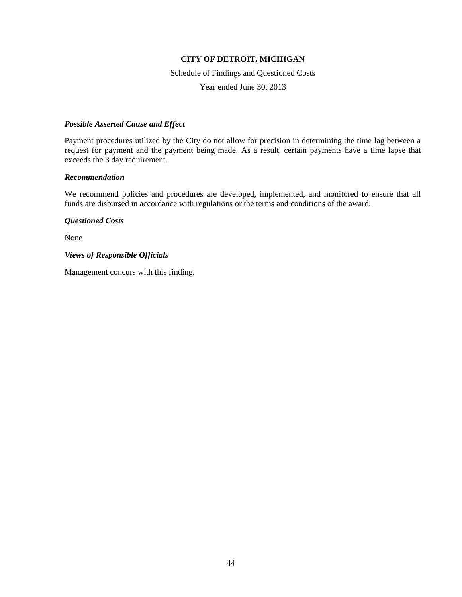Schedule of Findings and Questioned Costs

Year ended June 30, 2013

# *Possible Asserted Cause and Effect*

Payment procedures utilized by the City do not allow for precision in determining the time lag between a request for payment and the payment being made. As a result, certain payments have a time lapse that exceeds the 3 day requirement.

#### *Recommendation*

We recommend policies and procedures are developed, implemented, and monitored to ensure that all funds are disbursed in accordance with regulations or the terms and conditions of the award.

# *Questioned Costs*

None

# *Views of Responsible Officials*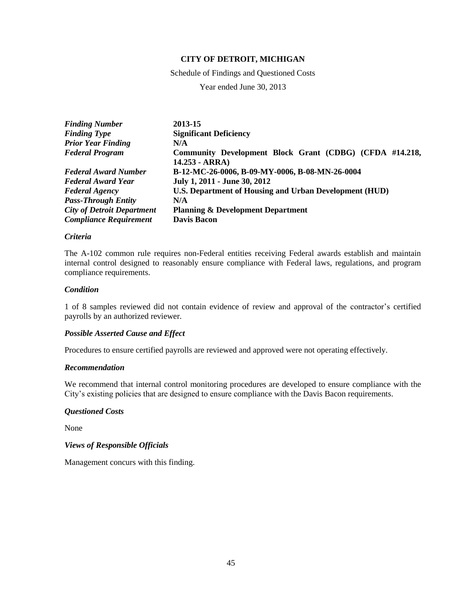Schedule of Findings and Questioned Costs

Year ended June 30, 2013

| <b>Finding Number</b>             | 2013-15                                                                    |
|-----------------------------------|----------------------------------------------------------------------------|
| <b>Finding Type</b>               | <b>Significant Deficiency</b>                                              |
| <b>Prior Year Finding</b>         | N/A                                                                        |
| <b>Federal Program</b>            | Community Development Block Grant (CDBG) (CFDA #14.218,<br>$14.253 - ARRA$ |
| <b>Federal Award Number</b>       | B-12-MC-26-0006, B-09-MY-0006, B-08-MN-26-0004                             |
| <b>Federal Award Year</b>         | July 1, 2011 - June 30, 2012                                               |
| <b>Federal Agency</b>             | U.S. Department of Housing and Urban Development (HUD)                     |
| <b>Pass-Through Entity</b>        | N/A                                                                        |
| <b>City of Detroit Department</b> | <b>Planning &amp; Development Department</b>                               |
| <b>Compliance Requirement</b>     | <b>Davis Bacon</b>                                                         |

## *Criteria*

The A-102 common rule requires non-Federal entities receiving Federal awards establish and maintain internal control designed to reasonably ensure compliance with Federal laws, regulations, and program compliance requirements.

### *Condition*

1 of 8 samples reviewed did not contain evidence of review and approval of the contractor's certified payrolls by an authorized reviewer.

# *Possible Asserted Cause and Effect*

Procedures to ensure certified payrolls are reviewed and approved were not operating effectively.

#### *Recommendation*

We recommend that internal control monitoring procedures are developed to ensure compliance with the City's existing policies that are designed to ensure compliance with the Davis Bacon requirements.

# *Questioned Costs*

None

## *Views of Responsible Officials*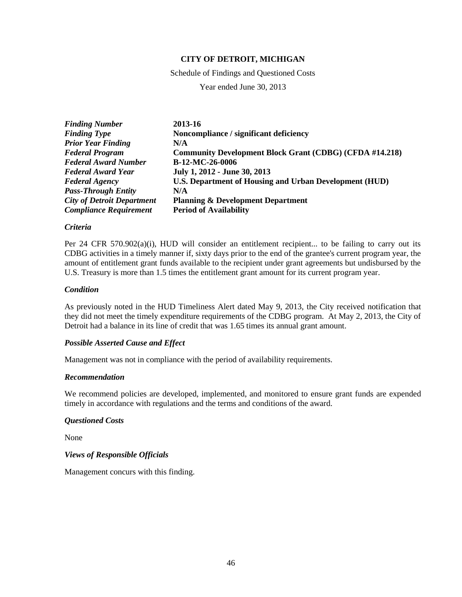Schedule of Findings and Questioned Costs

Year ended June 30, 2013

| <b>Finding Number</b>             | 2013-16                                                        |
|-----------------------------------|----------------------------------------------------------------|
| <b>Finding Type</b>               | Noncompliance / significant deficiency                         |
| <b>Prior Year Finding</b>         | N/A                                                            |
| <b>Federal Program</b>            | <b>Community Development Block Grant (CDBG) (CFDA #14.218)</b> |
| <b>Federal Award Number</b>       | B-12-MC-26-0006                                                |
| <b>Federal Award Year</b>         | July 1, 2012 - June 30, 2013                                   |
| <b>Federal Agency</b>             | <b>U.S. Department of Housing and Urban Development (HUD)</b>  |
| <b>Pass-Through Entity</b>        | N/A                                                            |
| <b>City of Detroit Department</b> | <b>Planning &amp; Development Department</b>                   |
| <b>Compliance Requirement</b>     | <b>Period of Availability</b>                                  |

#### *Criteria*

Per 24 CFR 570.902(a)(i), HUD will consider an entitlement recipient... to be failing to carry out its CDBG activities in a timely manner if, sixty days prior to the end of the grantee's current program year, the amount of entitlement grant funds available to the recipient under grant agreements but undisbursed by the U.S. Treasury is more than 1.5 times the entitlement grant amount for its current program year.

#### *Condition*

As previously noted in the HUD Timeliness Alert dated May 9, 2013, the City received notification that they did not meet the timely expenditure requirements of the CDBG program. At May 2, 2013, the City of Detroit had a balance in its line of credit that was 1.65 times its annual grant amount.

#### *Possible Asserted Cause and Effect*

Management was not in compliance with the period of availability requirements.

# *Recommendation*

We recommend policies are developed, implemented, and monitored to ensure grant funds are expended timely in accordance with regulations and the terms and conditions of the award.

# *Questioned Costs*

None

#### *Views of Responsible Officials*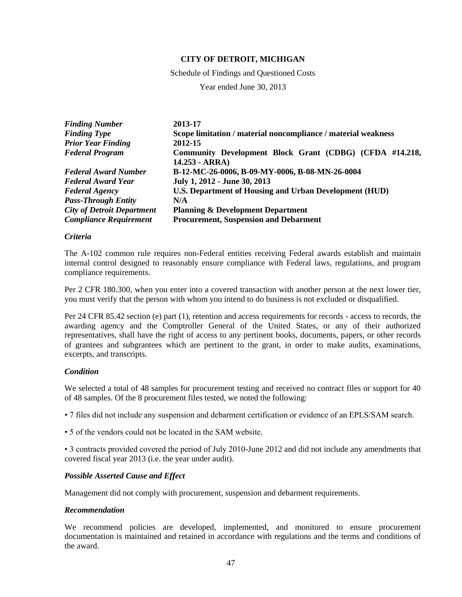Schedule of Findings and Questioned Costs

Year ended June 30, 2013

| <b>Finding Number</b>             | 2013-17                                                       |
|-----------------------------------|---------------------------------------------------------------|
| <b>Finding Type</b>               | Scope limitation / material noncompliance / material weakness |
| <b>Prior Year Finding</b>         | 2012-15                                                       |
| <b>Federal Program</b>            | Community Development Block Grant (CDBG) (CFDA #14.218,       |
|                                   | 14.253 - ARRA)                                                |
| <b>Federal Award Number</b>       | B-12-MC-26-0006, B-09-MY-0006, B-08-MN-26-0004                |
| <b>Federal Award Year</b>         | July 1, 2012 - June 30, 2013                                  |
| <b>Federal Agency</b>             | U.S. Department of Housing and Urban Development (HUD)        |
| <b>Pass-Through Entity</b>        | N/A                                                           |
| <b>City of Detroit Department</b> | <b>Planning &amp; Development Department</b>                  |
| <b>Compliance Requirement</b>     | <b>Procurement, Suspension and Debarment</b>                  |

#### *Criteria*

The A-102 common rule requires non-Federal entities receiving Federal awards establish and maintain internal control designed to reasonably ensure compliance with Federal laws, regulations, and program compliance requirements.

Per 2 CFR 180.300, when you enter into a covered transaction with another person at the next lower tier, you must verify that the person with whom you intend to do business is not excluded or disqualified.

Per 24 CFR 85.42 section (e) part (1), retention and access requirements for records - access to records, the awarding agency and the Comptroller General of the United States, or any of their authorized representatives, shall have the right of access to any pertinent books, documents, papers, or other records of grantees and subgrantees which are pertinent to the grant, in order to make audits, examinations, excerpts, and transcripts.

#### *Condition*

We selected a total of 48 samples for procurement testing and received no contract files or support for 40 of 48 samples. Of the 8 procurement files tested, we noted the following:

• 7 files did not include any suspension and debarment certification or evidence of an EPLS/SAM search.

• 5 of the vendors could not be located in the SAM website.

• 3 contracts provided covered the period of July 2010-June 2012 and did not include any amendments that covered fiscal year 2013 (i.e. the year under audit).

#### *Possible Asserted Cause and Effect*

Management did not comply with procurement, suspension and debarment requirements.

## *Recommendation*

We recommend policies are developed, implemented, and monitored to ensure procurement documentation is maintained and retained in accordance with regulations and the terms and conditions of the award.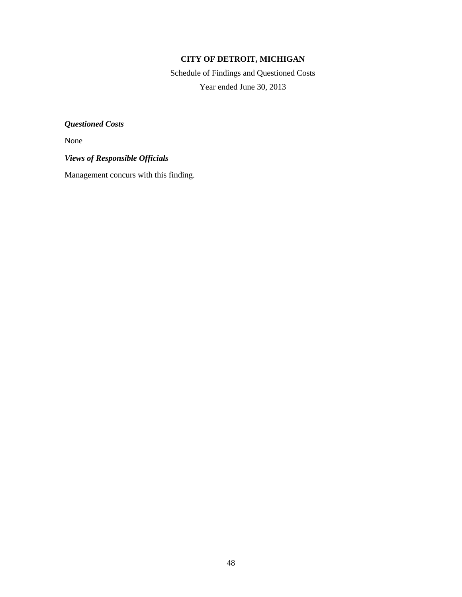Schedule of Findings and Questioned Costs Year ended June 30, 2013

*Questioned Costs*

None

*Views of Responsible Officials*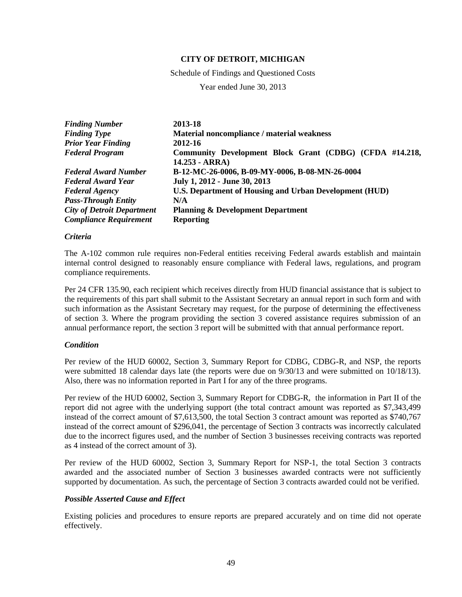Schedule of Findings and Questioned Costs

Year ended June 30, 2013

| <b>Finding Number</b>             | 2013-18                                                 |
|-----------------------------------|---------------------------------------------------------|
| <b>Finding Type</b>               | Material noncompliance / material weakness              |
| <b>Prior Year Finding</b>         | 2012-16                                                 |
| <b>Federal Program</b>            | Community Development Block Grant (CDBG) (CFDA #14.218, |
|                                   | $14.253 - ARRA$                                         |
| <b>Federal Award Number</b>       | B-12-MC-26-0006, B-09-MY-0006, B-08-MN-26-0004          |
| <b>Federal Award Year</b>         | July 1, 2012 - June 30, 2013                            |
| <b>Federal Agency</b>             | U.S. Department of Housing and Urban Development (HUD)  |
| <b>Pass-Through Entity</b>        | N/A                                                     |
| <b>City of Detroit Department</b> | <b>Planning &amp; Development Department</b>            |
| <b>Compliance Requirement</b>     | <b>Reporting</b>                                        |

#### *Criteria*

The A-102 common rule requires non-Federal entities receiving Federal awards establish and maintain internal control designed to reasonably ensure compliance with Federal laws, regulations, and program compliance requirements.

Per 24 CFR 135.90, each recipient which receives directly from HUD financial assistance that is subject to the requirements of this part shall submit to the Assistant Secretary an annual report in such form and with such information as the Assistant Secretary may request, for the purpose of determining the effectiveness of section 3. Where the program providing the section 3 covered assistance requires submission of an annual performance report, the section 3 report will be submitted with that annual performance report.

#### *Condition*

Per review of the HUD 60002, Section 3, Summary Report for CDBG, CDBG-R, and NSP, the reports were submitted 18 calendar days late (the reports were due on 9/30/13 and were submitted on 10/18/13). Also, there was no information reported in Part I for any of the three programs.

Per review of the HUD 60002, Section 3, Summary Report for CDBG-R, the information in Part II of the report did not agree with the underlying support (the total contract amount was reported as \$7,343,499 instead of the correct amount of \$7,613,500, the total Section 3 contract amount was reported as \$740,767 instead of the correct amount of \$296,041, the percentage of Section 3 contracts was incorrectly calculated due to the incorrect figures used, and the number of Section 3 businesses receiving contracts was reported as 4 instead of the correct amount of 3).

Per review of the HUD 60002, Section 3, Summary Report for NSP-1, the total Section 3 contracts awarded and the associated number of Section 3 businesses awarded contracts were not sufficiently supported by documentation. As such, the percentage of Section 3 contracts awarded could not be verified.

# *Possible Asserted Cause and Effect*

Existing policies and procedures to ensure reports are prepared accurately and on time did not operate effectively.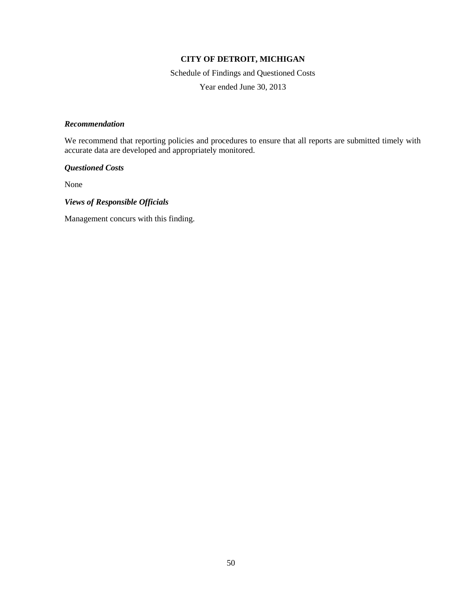Schedule of Findings and Questioned Costs Year ended June 30, 2013

## *Recommendation*

We recommend that reporting policies and procedures to ensure that all reports are submitted timely with accurate data are developed and appropriately monitored.

## *Questioned Costs*

None

*Views of Responsible Officials*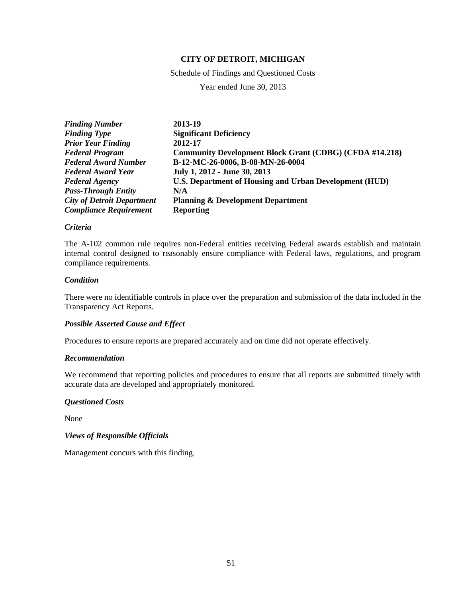Schedule of Findings and Questioned Costs

Year ended June 30, 2013

| <b>Finding Number</b>             | 2013-19                                                        |
|-----------------------------------|----------------------------------------------------------------|
| <b>Finding Type</b>               | <b>Significant Deficiency</b>                                  |
| <b>Prior Year Finding</b>         | 2012-17                                                        |
| <b>Federal Program</b>            | <b>Community Development Block Grant (CDBG) (CFDA #14.218)</b> |
| <b>Federal Award Number</b>       | B-12-MC-26-0006, B-08-MN-26-0004                               |
| <b>Federal Award Year</b>         | July 1, 2012 - June 30, 2013                                   |
| <b>Federal Agency</b>             | <b>U.S. Department of Housing and Urban Development (HUD)</b>  |
| <b>Pass-Through Entity</b>        | N/A                                                            |
| <b>City of Detroit Department</b> | <b>Planning &amp; Development Department</b>                   |
| <b>Compliance Requirement</b>     | <b>Reporting</b>                                               |

#### *Criteria*

The A-102 common rule requires non-Federal entities receiving Federal awards establish and maintain internal control designed to reasonably ensure compliance with Federal laws, regulations, and program compliance requirements.

#### *Condition*

There were no identifiable controls in place over the preparation and submission of the data included in the Transparency Act Reports.

# *Possible Asserted Cause and Effect*

Procedures to ensure reports are prepared accurately and on time did not operate effectively.

#### *Recommendation*

We recommend that reporting policies and procedures to ensure that all reports are submitted timely with accurate data are developed and appropriately monitored.

#### *Questioned Costs*

None

*Views of Responsible Officials*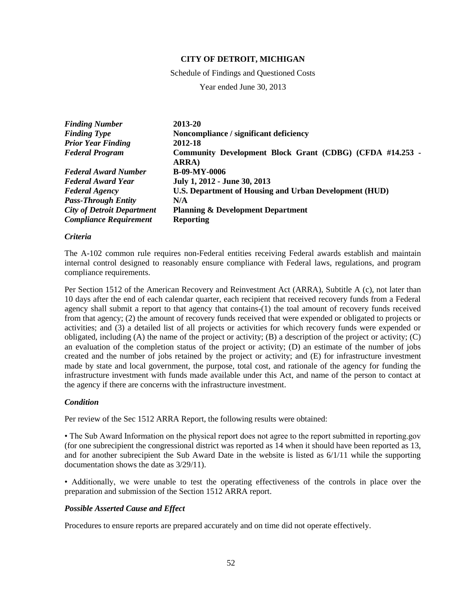Schedule of Findings and Questioned Costs

Year ended June 30, 2013

| <b>Finding Number</b>             | 2013-20                                                  |
|-----------------------------------|----------------------------------------------------------|
| <b>Finding Type</b>               | Noncompliance / significant deficiency                   |
| <b>Prior Year Finding</b>         | 2012-18                                                  |
| <b>Federal Program</b>            | Community Development Block Grant (CDBG) (CFDA #14.253 - |
|                                   | ARRA)                                                    |
| <b>Federal Award Number</b>       | <b>B-09-MY-0006</b>                                      |
| <b>Federal Award Year</b>         | July 1, 2012 - June 30, 2013                             |
| <b>Federal Agency</b>             | U.S. Department of Housing and Urban Development (HUD)   |
| <b>Pass-Through Entity</b>        | N/A                                                      |
| <b>City of Detroit Department</b> | <b>Planning &amp; Development Department</b>             |
| <b>Compliance Requirement</b>     | <b>Reporting</b>                                         |

#### *Criteria*

The A-102 common rule requires non-Federal entities receiving Federal awards establish and maintain internal control designed to reasonably ensure compliance with Federal laws, regulations, and program compliance requirements.

Per Section 1512 of the American Recovery and Reinvestment Act (ARRA), Subtitle A (c), not later than 10 days after the end of each calendar quarter, each recipient that received recovery funds from a Federal agency shall submit a report to that agency that contains-(1) the toal amount of recovery funds received from that agency; (2) the amount of recovery funds received that were expended or obligated to projects or activities; and (3) a detailed list of all projects or activities for which recovery funds were expended or obligated, including (A) the name of the project or activity; (B) a description of the project or activity; (C) an evaluation of the completion status of the project or activity; (D) an estimate of the number of jobs created and the number of jobs retained by the project or activity; and (E) for infrastructure investment made by state and local government, the purpose, total cost, and rationale of the agency for funding the infrastructure investment with funds made available under this Act, and name of the person to contact at the agency if there are concerns with the infrastructure investment.

# *Condition*

Per review of the Sec 1512 ARRA Report, the following results were obtained:

• The Sub Award Information on the physical report does not agree to the report submitted in reporting.gov (for one subrecipient the congressional district was reported as 14 when it should have been reported as 13, and for another subrecipient the Sub Award Date in the website is listed as 6/1/11 while the supporting documentation shows the date as 3/29/11).

• Additionally, we were unable to test the operating effectiveness of the controls in place over the preparation and submission of the Section 1512 ARRA report.

# *Possible Asserted Cause and Effect*

Procedures to ensure reports are prepared accurately and on time did not operate effectively.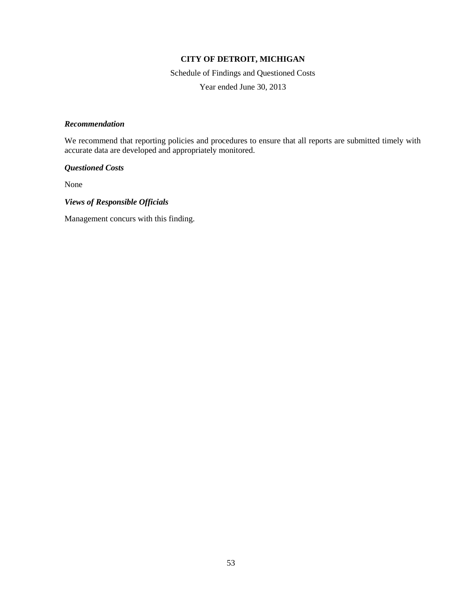Schedule of Findings and Questioned Costs Year ended June 30, 2013

## *Recommendation*

We recommend that reporting policies and procedures to ensure that all reports are submitted timely with accurate data are developed and appropriately monitored.

## *Questioned Costs*

None

*Views of Responsible Officials*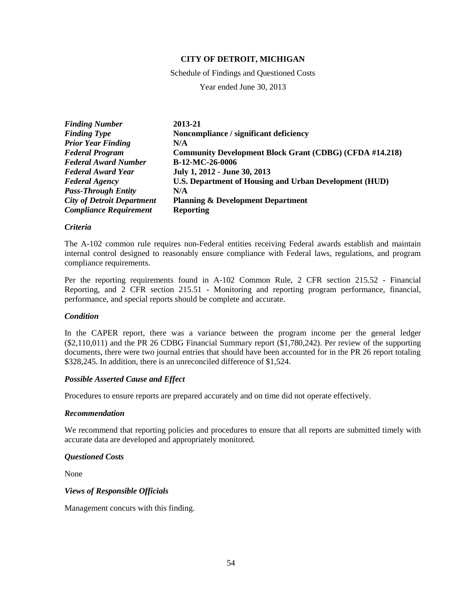Schedule of Findings and Questioned Costs

Year ended June 30, 2013

| <b>Finding Number</b>             | 2013-21                                                        |
|-----------------------------------|----------------------------------------------------------------|
| <b>Finding Type</b>               | Noncompliance / significant deficiency                         |
| <b>Prior Year Finding</b>         | N/A                                                            |
| <b>Federal Program</b>            | <b>Community Development Block Grant (CDBG) (CFDA #14.218)</b> |
| <b>Federal Award Number</b>       | B-12-MC-26-0006                                                |
| <b>Federal Award Year</b>         | July 1, 2012 - June 30, 2013                                   |
| <b>Federal Agency</b>             | <b>U.S. Department of Housing and Urban Development (HUD)</b>  |
| <b>Pass-Through Entity</b>        | N/A                                                            |
| <b>City of Detroit Department</b> | <b>Planning &amp; Development Department</b>                   |
| <b>Compliance Requirement</b>     | <b>Reporting</b>                                               |

#### *Criteria*

The A-102 common rule requires non-Federal entities receiving Federal awards establish and maintain internal control designed to reasonably ensure compliance with Federal laws, regulations, and program compliance requirements.

Per the reporting requirements found in A-102 Common Rule, 2 CFR section 215.52 - Financial Reporting, and 2 CFR section 215.51 - Monitoring and reporting program performance, financial, performance, and special reports should be complete and accurate.

#### *Condition*

In the CAPER report, there was a variance between the program income per the general ledger (\$2,110,011) and the PR 26 CDBG Financial Summary report (\$1,780,242). Per review of the supporting documents, there were two journal entries that should have been accounted for in the PR 26 report totaling \$328,245. In addition, there is an unreconciled difference of \$1,524.

#### *Possible Asserted Cause and Effect*

Procedures to ensure reports are prepared accurately and on time did not operate effectively.

#### *Recommendation*

We recommend that reporting policies and procedures to ensure that all reports are submitted timely with accurate data are developed and appropriately monitored.

#### *Questioned Costs*

None

#### *Views of Responsible Officials*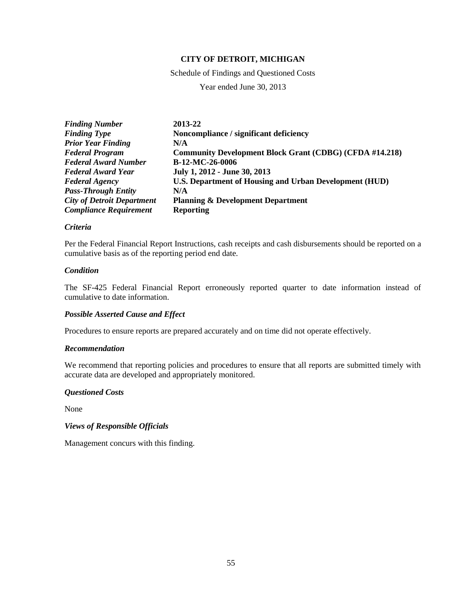Schedule of Findings and Questioned Costs

Year ended June 30, 2013

| <b>Finding Number</b>             | 2013-22                                                        |
|-----------------------------------|----------------------------------------------------------------|
| <b>Finding Type</b>               | Noncompliance / significant deficiency                         |
| <b>Prior Year Finding</b>         | N/A                                                            |
| <b>Federal Program</b>            | <b>Community Development Block Grant (CDBG) (CFDA #14.218)</b> |
| <b>Federal Award Number</b>       | B-12-MC-26-0006                                                |
| <b>Federal Award Year</b>         | July 1, 2012 - June 30, 2013                                   |
| <b>Federal Agency</b>             | <b>U.S. Department of Housing and Urban Development (HUD)</b>  |
| <b>Pass-Through Entity</b>        | N/A                                                            |
| <b>City of Detroit Department</b> | <b>Planning &amp; Development Department</b>                   |
| <b>Compliance Requirement</b>     | <b>Reporting</b>                                               |

#### *Criteria*

Per the Federal Financial Report Instructions, cash receipts and cash disbursements should be reported on a cumulative basis as of the reporting period end date.

#### *Condition*

The SF-425 Federal Financial Report erroneously reported quarter to date information instead of cumulative to date information.

#### *Possible Asserted Cause and Effect*

Procedures to ensure reports are prepared accurately and on time did not operate effectively.

# *Recommendation*

We recommend that reporting policies and procedures to ensure that all reports are submitted timely with accurate data are developed and appropriately monitored.

## *Questioned Costs*

None

#### *Views of Responsible Officials*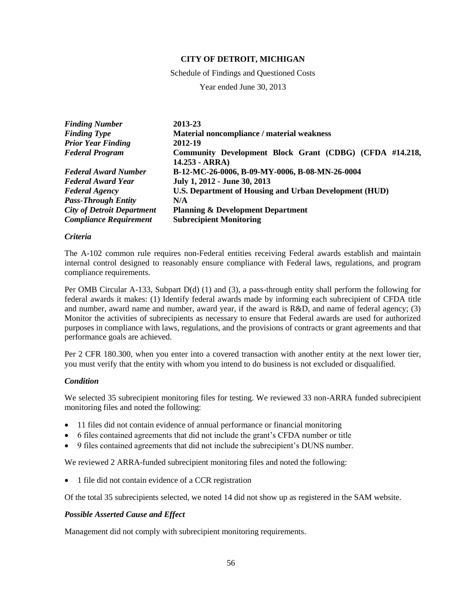Schedule of Findings and Questioned Costs

Year ended June 30, 2013

| <b>Finding Number</b>             | 2013-23                                                 |
|-----------------------------------|---------------------------------------------------------|
| <b>Finding Type</b>               | Material noncompliance / material weakness              |
| <b>Prior Year Finding</b>         | 2012-19                                                 |
| <b>Federal Program</b>            | Community Development Block Grant (CDBG) (CFDA #14.218, |
|                                   | $14.253 - ARRA)$                                        |
| <b>Federal Award Number</b>       | B-12-MC-26-0006, B-09-MY-0006, B-08-MN-26-0004          |
| <b>Federal Award Year</b>         | July 1, 2012 - June 30, 2013                            |
| <b>Federal Agency</b>             | U.S. Department of Housing and Urban Development (HUD)  |
| <b>Pass-Through Entity</b>        | N/A                                                     |
| <b>City of Detroit Department</b> | <b>Planning &amp; Development Department</b>            |
| <b>Compliance Requirement</b>     | <b>Subrecipient Monitoring</b>                          |

#### *Criteria*

The A-102 common rule requires non-Federal entities receiving Federal awards establish and maintain internal control designed to reasonably ensure compliance with Federal laws, regulations, and program compliance requirements.

Per OMB Circular A-133, Subpart D(d) (1) and (3), a pass-through entity shall perform the following for federal awards it makes: (1) Identify federal awards made by informing each subrecipient of CFDA title and number, award name and number, award year, if the award is R&D, and name of federal agency; (3) Monitor the activities of subrecipients as necessary to ensure that Federal awards are used for authorized purposes in compliance with laws, regulations, and the provisions of contracts or grant agreements and that performance goals are achieved.

Per 2 CFR 180.300, when you enter into a covered transaction with another entity at the next lower tier, you must verify that the entity with whom you intend to do business is not excluded or disqualified.

## *Condition*

We selected 35 subrecipient monitoring files for testing. We reviewed 33 non-ARRA funded subrecipient monitoring files and noted the following:

- 11 files did not contain evidence of annual performance or financial monitoring
- 6 files contained agreements that did not include the grant's CFDA number or title
- 9 files contained agreements that did not include the subrecipient's DUNS number.

We reviewed 2 ARRA-funded subrecipient monitoring files and noted the following:

• 1 file did not contain evidence of a CCR registration

Of the total 35 subrecipients selected, we noted 14 did not show up as registered in the SAM website.

# *Possible Asserted Cause and Effect*

Management did not comply with subrecipient monitoring requirements.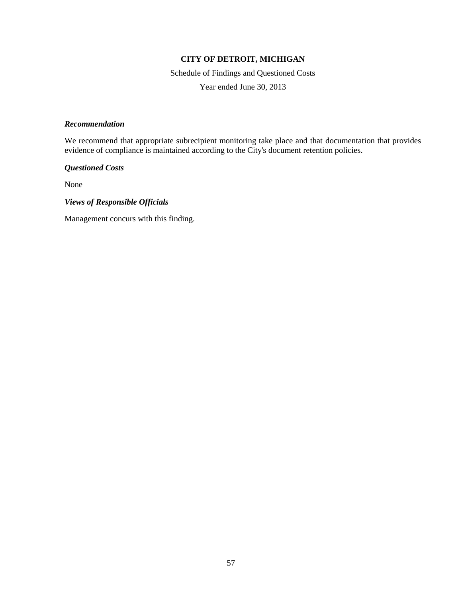Schedule of Findings and Questioned Costs Year ended June 30, 2013

# *Recommendation*

We recommend that appropriate subrecipient monitoring take place and that documentation that provides evidence of compliance is maintained according to the City's document retention policies.

# *Questioned Costs*

None

*Views of Responsible Officials*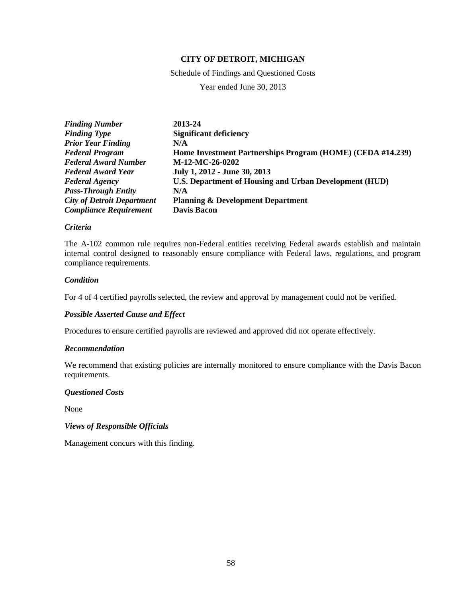Schedule of Findings and Questioned Costs

Year ended June 30, 2013

| <b>Finding Number</b>             | 2013-24                                                    |
|-----------------------------------|------------------------------------------------------------|
| <b>Finding Type</b>               | <b>Significant deficiency</b>                              |
| <b>Prior Year Finding</b>         | N/A                                                        |
| <b>Federal Program</b>            | Home Investment Partnerships Program (HOME) (CFDA #14.239) |
| <b>Federal Award Number</b>       | M-12-MC-26-0202                                            |
| <b>Federal Award Year</b>         | July 1, 2012 - June 30, 2013                               |
| <b>Federal Agency</b>             | U.S. Department of Housing and Urban Development (HUD)     |
| <b>Pass-Through Entity</b>        | N/A                                                        |
| <b>City of Detroit Department</b> | <b>Planning &amp; Development Department</b>               |
| <b>Compliance Requirement</b>     | <b>Davis Bacon</b>                                         |

#### *Criteria*

The A-102 common rule requires non-Federal entities receiving Federal awards establish and maintain internal control designed to reasonably ensure compliance with Federal laws, regulations, and program compliance requirements.

#### *Condition*

For 4 of 4 certified payrolls selected, the review and approval by management could not be verified.

#### *Possible Asserted Cause and Effect*

Procedures to ensure certified payrolls are reviewed and approved did not operate effectively.

# *Recommendation*

We recommend that existing policies are internally monitored to ensure compliance with the Davis Bacon requirements.

## *Questioned Costs*

None

*Views of Responsible Officials*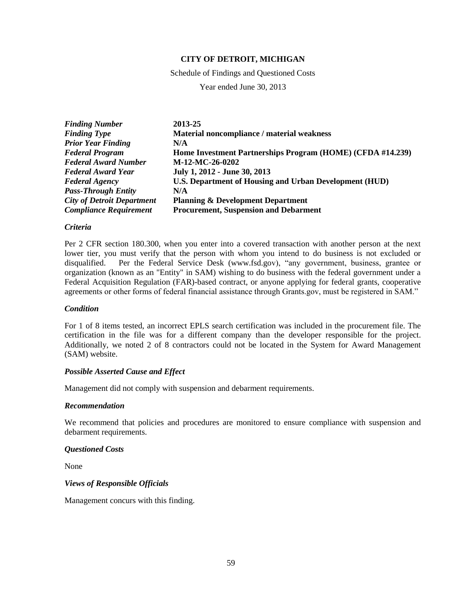Schedule of Findings and Questioned Costs

Year ended June 30, 2013

| <b>Finding Number</b>             | 2013-25                                                       |
|-----------------------------------|---------------------------------------------------------------|
| <b>Finding Type</b>               | Material noncompliance / material weakness                    |
| <b>Prior Year Finding</b>         | N/A                                                           |
| <b>Federal Program</b>            | Home Investment Partnerships Program (HOME) (CFDA #14.239)    |
| <b>Federal Award Number</b>       | M-12-MC-26-0202                                               |
| <b>Federal Award Year</b>         | July 1, 2012 - June 30, 2013                                  |
| <b>Federal Agency</b>             | <b>U.S. Department of Housing and Urban Development (HUD)</b> |
| <b>Pass-Through Entity</b>        | N/A                                                           |
| <b>City of Detroit Department</b> | <b>Planning &amp; Development Department</b>                  |
| <b>Compliance Requirement</b>     | <b>Procurement, Suspension and Debarment</b>                  |

#### *Criteria*

Per 2 CFR section 180.300, when you enter into a covered transaction with another person at the next lower tier, you must verify that the person with whom you intend to do business is not excluded or disqualified. Per the Federal Service Desk (www.fsd.gov), "any government, business, grantee or organization (known as an "Entity" in SAM) wishing to do business with the federal government under a Federal Acquisition Regulation (FAR)-based contract, or anyone applying for federal grants, cooperative agreements or other forms of federal financial assistance through Grants.gov, must be registered in SAM."

#### *Condition*

For 1 of 8 items tested, an incorrect EPLS search certification was included in the procurement file. The certification in the file was for a different company than the developer responsible for the project. Additionally, we noted 2 of 8 contractors could not be located in the System for Award Management (SAM) website.

#### *Possible Asserted Cause and Effect*

Management did not comply with suspension and debarment requirements.

#### *Recommendation*

We recommend that policies and procedures are monitored to ensure compliance with suspension and debarment requirements.

#### *Questioned Costs*

None

# *Views of Responsible Officials*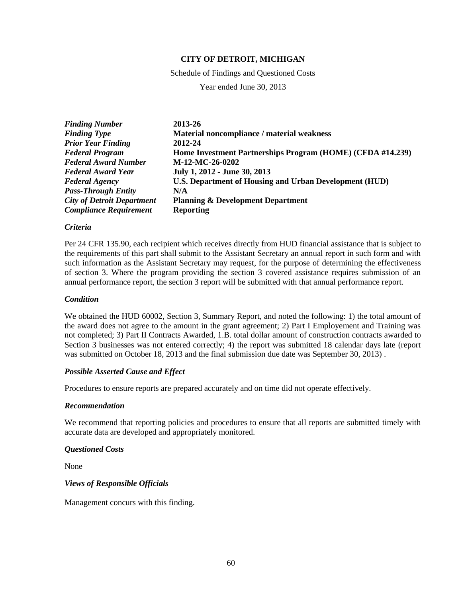Schedule of Findings and Questioned Costs

Year ended June 30, 2013

| <b>Finding Number</b>             | 2013-26                                                    |
|-----------------------------------|------------------------------------------------------------|
| <b>Finding Type</b>               | Material noncompliance / material weakness                 |
| <b>Prior Year Finding</b>         | 2012-24                                                    |
| <b>Federal Program</b>            | Home Investment Partnerships Program (HOME) (CFDA #14.239) |
| <b>Federal Award Number</b>       | M-12-MC-26-0202                                            |
| <b>Federal Award Year</b>         | July 1, 2012 - June 30, 2013                               |
| <b>Federal Agency</b>             | U.S. Department of Housing and Urban Development (HUD)     |
| <b>Pass-Through Entity</b>        | N/A                                                        |
| <b>City of Detroit Department</b> | <b>Planning &amp; Development Department</b>               |
| <b>Compliance Requirement</b>     | <b>Reporting</b>                                           |

#### *Criteria*

Per 24 CFR 135.90, each recipient which receives directly from HUD financial assistance that is subject to the requirements of this part shall submit to the Assistant Secretary an annual report in such form and with such information as the Assistant Secretary may request, for the purpose of determining the effectiveness of section 3. Where the program providing the section 3 covered assistance requires submission of an annual performance report, the section 3 report will be submitted with that annual performance report.

#### *Condition*

We obtained the HUD 60002, Section 3, Summary Report, and noted the following: 1) the total amount of the award does not agree to the amount in the grant agreement; 2) Part I Employement and Training was not completed; 3) Part II Contracts Awarded, 1.B. total dollar amount of construction contracts awarded to Section 3 businesses was not entered correctly; 4) the report was submitted 18 calendar days late (report was submitted on October 18, 2013 and the final submission due date was September 30, 2013).

#### *Possible Asserted Cause and Effect*

Procedures to ensure reports are prepared accurately and on time did not operate effectively.

#### *Recommendation*

We recommend that reporting policies and procedures to ensure that all reports are submitted timely with accurate data are developed and appropriately monitored.

#### *Questioned Costs*

None

*Views of Responsible Officials*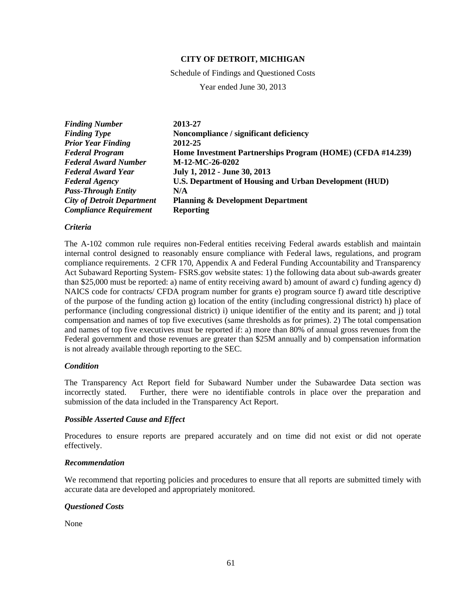Schedule of Findings and Questioned Costs

Year ended June 30, 2013

| <b>Finding Number</b>             | 2013-27                                                    |
|-----------------------------------|------------------------------------------------------------|
| <b>Finding Type</b>               | Noncompliance / significant deficiency                     |
| <b>Prior Year Finding</b>         | 2012-25                                                    |
| <b>Federal Program</b>            | Home Investment Partnerships Program (HOME) (CFDA #14.239) |
| <b>Federal Award Number</b>       | M-12-MC-26-0202                                            |
| <b>Federal Award Year</b>         | July 1, 2012 - June 30, 2013                               |
| <b>Federal Agency</b>             | U.S. Department of Housing and Urban Development (HUD)     |
| <b>Pass-Through Entity</b>        | N/A                                                        |
| <b>City of Detroit Department</b> | <b>Planning &amp; Development Department</b>               |
| <b>Compliance Requirement</b>     | <b>Reporting</b>                                           |

#### *Criteria*

The A-102 common rule requires non-Federal entities receiving Federal awards establish and maintain internal control designed to reasonably ensure compliance with Federal laws, regulations, and program compliance requirements. 2 CFR 170, Appendix A and Federal Funding Accountability and Transparency Act Subaward Reporting System- FSRS.gov website states: 1) the following data about sub-awards greater than \$25,000 must be reported: a) name of entity receiving award b) amount of award c) funding agency d) NAICS code for contracts/ CFDA program number for grants e) program source f) award title descriptive of the purpose of the funding action g) location of the entity (including congressional district) h) place of performance (including congressional district) i) unique identifier of the entity and its parent; and j) total compensation and names of top five executives (same thresholds as for primes). 2) The total compensation and names of top five executives must be reported if: a) more than 80% of annual gross revenues from the Federal government and those revenues are greater than \$25M annually and b) compensation information is not already available through reporting to the SEC.

#### *Condition*

The Transparency Act Report field for Subaward Number under the Subawardee Data section was incorrectly stated. Further, there were no identifiable controls in place over the preparation and submission of the data included in the Transparency Act Report.

## *Possible Asserted Cause and Effect*

Procedures to ensure reports are prepared accurately and on time did not exist or did not operate effectively.

## *Recommendation*

We recommend that reporting policies and procedures to ensure that all reports are submitted timely with accurate data are developed and appropriately monitored.

#### *Questioned Costs*

None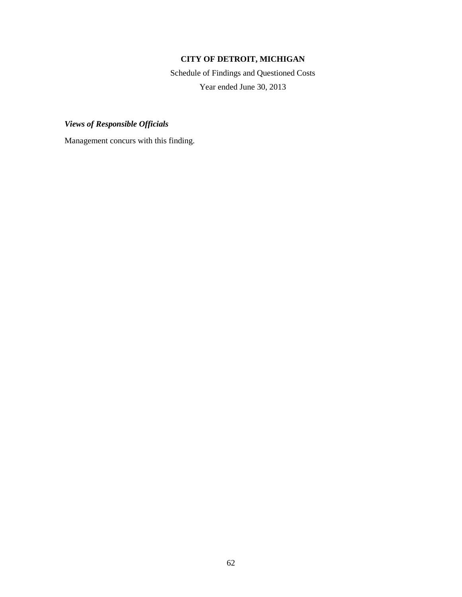Schedule of Findings and Questioned Costs Year ended June 30, 2013

*Views of Responsible Officials*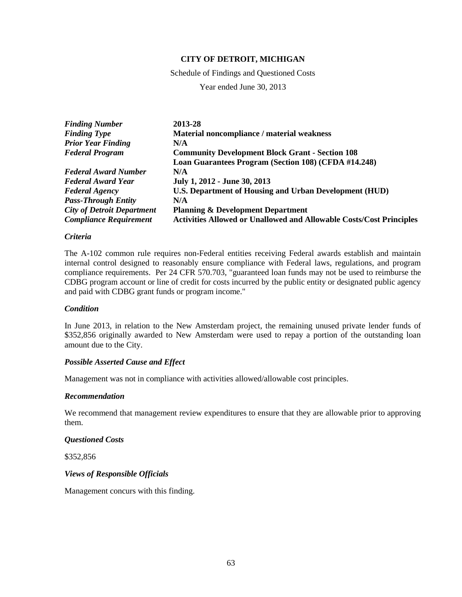Schedule of Findings and Questioned Costs

Year ended June 30, 2013

| <b>Finding Number</b>             | 2013-28                                                                    |
|-----------------------------------|----------------------------------------------------------------------------|
| <b>Finding Type</b>               | Material noncompliance / material weakness                                 |
| <b>Prior Year Finding</b>         | N/A                                                                        |
| <b>Federal Program</b>            | <b>Community Development Block Grant - Section 108</b>                     |
|                                   | Loan Guarantees Program (Section 108) (CFDA #14.248)                       |
| <b>Federal Award Number</b>       | N/A                                                                        |
| <b>Federal Award Year</b>         | July 1, 2012 - June 30, 2013                                               |
| <b>Federal Agency</b>             | U.S. Department of Housing and Urban Development (HUD)                     |
| <b>Pass-Through Entity</b>        | N/A                                                                        |
| <b>City of Detroit Department</b> | <b>Planning &amp; Development Department</b>                               |
| <b>Compliance Requirement</b>     | <b>Activities Allowed or Unallowed and Allowable Costs/Cost Principles</b> |

#### *Criteria*

The A-102 common rule requires non-Federal entities receiving Federal awards establish and maintain internal control designed to reasonably ensure compliance with Federal laws, regulations, and program compliance requirements. Per 24 CFR 570.703, "guaranteed loan funds may not be used to reimburse the CDBG program account or line of credit for costs incurred by the public entity or designated public agency and paid with CDBG grant funds or program income."

#### *Condition*

In June 2013, in relation to the New Amsterdam project, the remaining unused private lender funds of \$352,856 originally awarded to New Amsterdam were used to repay a portion of the outstanding loan amount due to the City.

#### *Possible Asserted Cause and Effect*

Management was not in compliance with activities allowed/allowable cost principles.

#### *Recommendation*

We recommend that management review expenditures to ensure that they are allowable prior to approving them.

#### *Questioned Costs*

\$352,856

## *Views of Responsible Officials*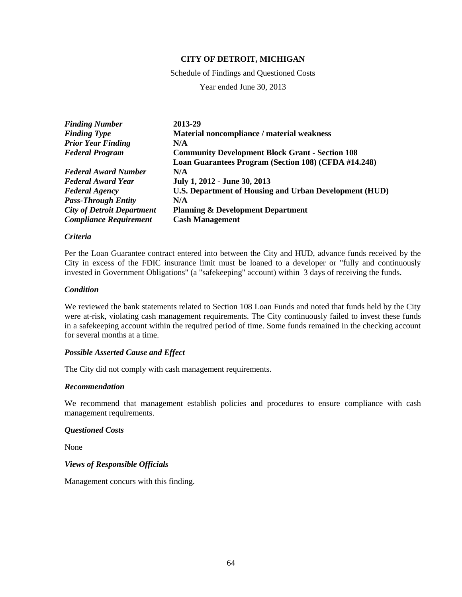Schedule of Findings and Questioned Costs

Year ended June 30, 2013

| <b>Finding Number</b>             | 2013-29                                                       |
|-----------------------------------|---------------------------------------------------------------|
| <b>Finding Type</b>               | Material noncompliance / material weakness                    |
| <b>Prior Year Finding</b>         | N/A                                                           |
| <b>Federal Program</b>            | <b>Community Development Block Grant - Section 108</b>        |
|                                   | Loan Guarantees Program (Section 108) (CFDA #14.248)          |
| <b>Federal Award Number</b>       | N/A                                                           |
| <b>Federal Award Year</b>         | July 1, 2012 - June 30, 2013                                  |
| <b>Federal Agency</b>             | <b>U.S. Department of Housing and Urban Development (HUD)</b> |
| <b>Pass-Through Entity</b>        | N/A                                                           |
| <b>City of Detroit Department</b> | <b>Planning &amp; Development Department</b>                  |
| <b>Compliance Requirement</b>     | <b>Cash Management</b>                                        |

#### *Criteria*

Per the Loan Guarantee contract entered into between the City and HUD, advance funds received by the City in excess of the FDIC insurance limit must be loaned to a developer or "fully and continuously invested in Government Obligations" (a "safekeeping" account) within 3 days of receiving the funds.

#### *Condition*

We reviewed the bank statements related to Section 108 Loan Funds and noted that funds held by the City were at-risk, violating cash management requirements. The City continuously failed to invest these funds in a safekeeping account within the required period of time. Some funds remained in the checking account for several months at a time.

# *Possible Asserted Cause and Effect*

The City did not comply with cash management requirements.

# *Recommendation*

We recommend that management establish policies and procedures to ensure compliance with cash management requirements.

#### *Questioned Costs*

None

# *Views of Responsible Officials*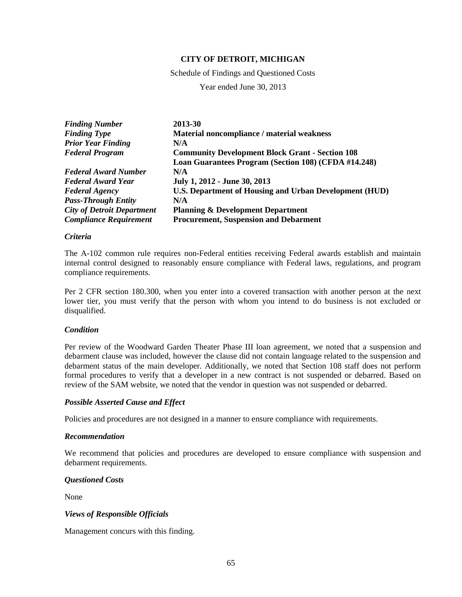Schedule of Findings and Questioned Costs

Year ended June 30, 2013

| <b>Finding Number</b>             | 2013-30                                                       |
|-----------------------------------|---------------------------------------------------------------|
| <b>Finding Type</b>               | Material noncompliance / material weakness                    |
| <b>Prior Year Finding</b>         | N/A                                                           |
| <b>Federal Program</b>            | <b>Community Development Block Grant - Section 108</b>        |
|                                   | Loan Guarantees Program (Section 108) (CFDA #14.248)          |
| <b>Federal Award Number</b>       | N/A                                                           |
| <b>Federal Award Year</b>         | July 1, 2012 - June 30, 2013                                  |
| <b>Federal Agency</b>             | <b>U.S. Department of Housing and Urban Development (HUD)</b> |
| <b>Pass-Through Entity</b>        | N/A                                                           |
| <b>City of Detroit Department</b> | <b>Planning &amp; Development Department</b>                  |
| <b>Compliance Requirement</b>     | <b>Procurement, Suspension and Debarment</b>                  |

#### *Criteria*

The A-102 common rule requires non-Federal entities receiving Federal awards establish and maintain internal control designed to reasonably ensure compliance with Federal laws, regulations, and program compliance requirements.

Per 2 CFR section 180.300, when you enter into a covered transaction with another person at the next lower tier, you must verify that the person with whom you intend to do business is not excluded or disqualified.

#### *Condition*

Per review of the Woodward Garden Theater Phase III loan agreement, we noted that a suspension and debarment clause was included, however the clause did not contain language related to the suspension and debarment status of the main developer. Additionally, we noted that Section 108 staff does not perform formal procedures to verify that a developer in a new contract is not suspended or debarred. Based on review of the SAM website, we noted that the vendor in question was not suspended or debarred.

# *Possible Asserted Cause and Effect*

Policies and procedures are not designed in a manner to ensure compliance with requirements.

#### *Recommendation*

We recommend that policies and procedures are developed to ensure compliance with suspension and debarment requirements.

#### *Questioned Costs*

None

# *Views of Responsible Officials*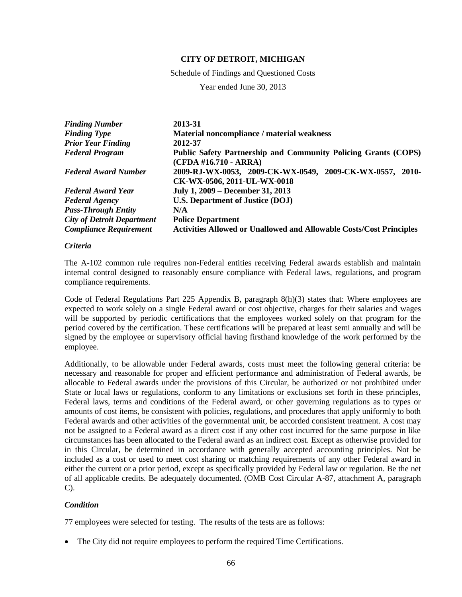Schedule of Findings and Questioned Costs

Year ended June 30, 2013

| <b>Finding Number</b>             | 2013-31                                                                    |
|-----------------------------------|----------------------------------------------------------------------------|
| <b>Finding Type</b>               | Material noncompliance / material weakness                                 |
| <b>Prior Year Finding</b>         | 2012-37                                                                    |
| <b>Federal Program</b>            | <b>Public Safety Partnership and Community Policing Grants (COPS)</b>      |
|                                   | (CFDA #16.710 - ARRA)                                                      |
| <b>Federal Award Number</b>       | 2009-RJ-WX-0053, 2009-CK-WX-0549, 2009-CK-WX-0557,<br><b>2010-</b>         |
|                                   | CK-WX-0506, 2011-UL-WX-0018                                                |
| <b>Federal Award Year</b>         | July 1, 2009 – December 31, 2013                                           |
| <b>Federal Agency</b>             | <b>U.S. Department of Justice (DOJ)</b>                                    |
| <b>Pass-Through Entity</b>        | N/A                                                                        |
| <b>City of Detroit Department</b> | <b>Police Department</b>                                                   |
| <b>Compliance Requirement</b>     | <b>Activities Allowed or Unallowed and Allowable Costs/Cost Principles</b> |

## *Criteria*

The A-102 common rule requires non-Federal entities receiving Federal awards establish and maintain internal control designed to reasonably ensure compliance with Federal laws, regulations, and program compliance requirements.

Code of Federal Regulations Part 225 Appendix B, paragraph 8(h)(3) states that: Where employees are expected to work solely on a single Federal award or cost objective, charges for their salaries and wages will be supported by periodic certifications that the employees worked solely on that program for the period covered by the certification. These certifications will be prepared at least semi annually and will be signed by the employee or supervisory official having firsthand knowledge of the work performed by the employee.

Additionally, to be allowable under Federal awards, costs must meet the following general criteria: be necessary and reasonable for proper and efficient performance and administration of Federal awards, be allocable to Federal awards under the provisions of this Circular, be authorized or not prohibited under State or local laws or regulations, conform to any limitations or exclusions set forth in these principles, Federal laws, terms and conditions of the Federal award, or other governing regulations as to types or amounts of cost items, be consistent with policies, regulations, and procedures that apply uniformly to both Federal awards and other activities of the governmental unit, be accorded consistent treatment. A cost may not be assigned to a Federal award as a direct cost if any other cost incurred for the same purpose in like circumstances has been allocated to the Federal award as an indirect cost. Except as otherwise provided for in this Circular, be determined in accordance with generally accepted accounting principles. Not be included as a cost or used to meet cost sharing or matching requirements of any other Federal award in either the current or a prior period, except as specifically provided by Federal law or regulation. Be the net of all applicable credits. Be adequately documented. (OMB Cost Circular A-87, attachment A, paragraph C).

# *Condition*

77 employees were selected for testing. The results of the tests are as follows:

The City did not require employees to perform the required Time Certifications.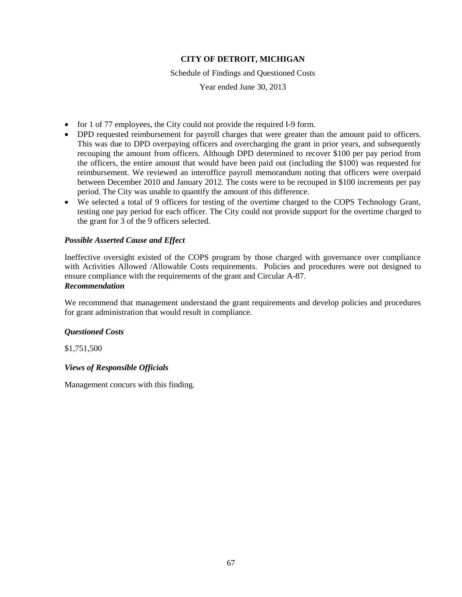Schedule of Findings and Questioned Costs

Year ended June 30, 2013

- for 1 of 77 employees, the City could not provide the required I-9 form.
- DPD requested reimbursement for payroll charges that were greater than the amount paid to officers. This was due to DPD overpaying officers and overcharging the grant in prior years, and subsequently recouping the amount from officers. Although DPD determined to recover \$100 per pay period from the officers, the entire amount that would have been paid out (including the \$100) was requested for reimbursement. We reviewed an interoffice payroll memorandum noting that officers were overpaid between December 2010 and January 2012. The costs were to be recouped in \$100 increments per pay period. The City was unable to quantify the amount of this difference.
- We selected a total of 9 officers for testing of the overtime charged to the COPS Technology Grant, testing one pay period for each officer. The City could not provide support for the overtime charged to the grant for 3 of the 9 officers selected.

# *Possible Asserted Cause and Effect*

Ineffective oversight existed of the COPS program by those charged with governance over compliance with Activities Allowed /Allowable Costs requirements. Policies and procedures were not designed to ensure compliance with the requirements of the grant and Circular A-87.

# *Recommendation*

We recommend that management understand the grant requirements and develop policies and procedures for grant administration that would result in compliance.

# *Questioned Costs*

\$1,751,500

# *Views of Responsible Officials*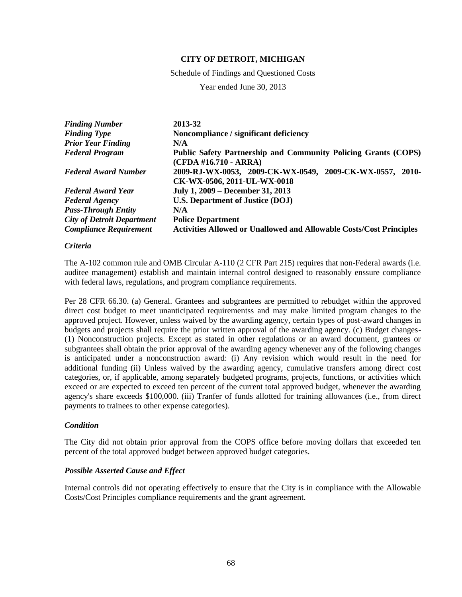Schedule of Findings and Questioned Costs

Year ended June 30, 2013

| <b>Finding Number</b>             | 2013-32                                                                                        |
|-----------------------------------|------------------------------------------------------------------------------------------------|
| <b>Finding Type</b>               | Noncompliance / significant deficiency                                                         |
| <b>Prior Year Finding</b>         | N/A                                                                                            |
| <b>Federal Program</b>            | <b>Public Safety Partnership and Community Policing Grants (COPS)</b><br>(CFDA #16.710 - ARRA) |
| <b>Federal Award Number</b>       | 2009-RJ-WX-0053, 2009-CK-WX-0549, 2009-CK-WX-0557,<br>-2010-<br>CK-WX-0506, 2011-UL-WX-0018    |
| <b>Federal Award Year</b>         | July 1, 2009 – December 31, 2013                                                               |
| <b>Federal Agency</b>             | <b>U.S. Department of Justice (DOJ)</b>                                                        |
| <b>Pass-Through Entity</b>        | N/A                                                                                            |
| <b>City of Detroit Department</b> | <b>Police Department</b>                                                                       |
| <b>Compliance Requirement</b>     | <b>Activities Allowed or Unallowed and Allowable Costs/Cost Principles</b>                     |

## *Criteria*

The A-102 common rule and OMB Circular A-110 (2 CFR Part 215) requires that non-Federal awards (i.e. auditee management) establish and maintain internal control designed to reasonably enssure compliance with federal laws, regulations, and program compliance requirements.

Per 28 CFR 66.30. (a) General. Grantees and subgrantees are permitted to rebudget within the approved direct cost budget to meet unanticipated requirementss and may make limited program changes to the approved project. However, unless waived by the awarding agency, certain types of post-award changes in budgets and projects shall require the prior written approval of the awarding agency. (c) Budget changes- (1) Nonconstruction projects. Except as stated in other regulations or an award document, grantees or subgrantees shall obtain the prior approval of the awarding agency whenever any of the following changes is anticipated under a nonconstruction award: (i) Any revision which would result in the need for additional funding (ii) Unless waived by the awarding agency, cumulative transfers among direct cost categories, or, if applicable, among separately budgeted programs, projects, functions, or activities which exceed or are expected to exceed ten percent of the current total approved budget, whenever the awarding agency's share exceeds \$100,000. (iii) Tranfer of funds allotted for training allowances (i.e., from direct payments to trainees to other expense categories).

# *Condition*

The City did not obtain prior approval from the COPS office before moving dollars that exceeded ten percent of the total approved budget between approved budget categories.

# *Possible Asserted Cause and Effect*

Internal controls did not operating effectively to ensure that the City is in compliance with the Allowable Costs/Cost Principles compliance requirements and the grant agreement.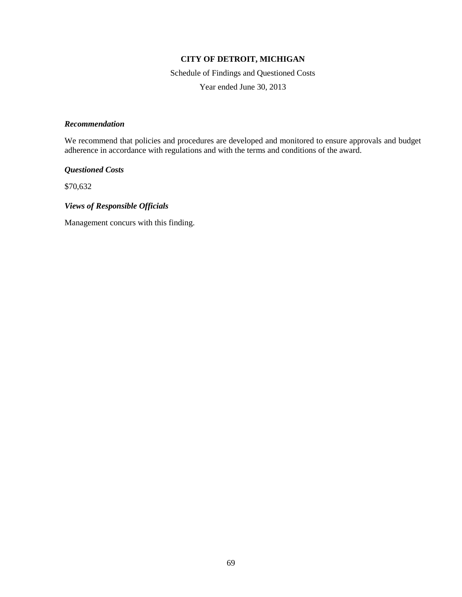Schedule of Findings and Questioned Costs Year ended June 30, 2013

## *Recommendation*

We recommend that policies and procedures are developed and monitored to ensure approvals and budget adherence in accordance with regulations and with the terms and conditions of the award.

# *Questioned Costs*

\$70,632

# *Views of Responsible Officials*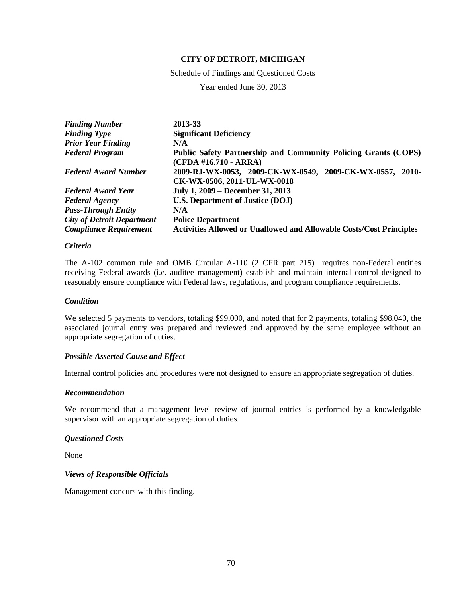Schedule of Findings and Questioned Costs

Year ended June 30, 2013

| <b>Finding Number</b>             | 2013-33                                                                    |
|-----------------------------------|----------------------------------------------------------------------------|
| <b>Finding Type</b>               | <b>Significant Deficiency</b>                                              |
| <b>Prior Year Finding</b>         | N/A                                                                        |
| <b>Federal Program</b>            | <b>Public Safety Partnership and Community Policing Grants (COPS)</b>      |
|                                   | (CFDA #16.710 - ARRA)                                                      |
| <b>Federal Award Number</b>       | 2009-RJ-WX-0053, 2009-CK-WX-0549, 2009-CK-WX-0557,<br>2010-                |
|                                   | CK-WX-0506, 2011-UL-WX-0018                                                |
| <b>Federal Award Year</b>         | July 1, 2009 – December 31, 2013                                           |
| <b>Federal Agency</b>             | <b>U.S. Department of Justice (DOJ)</b>                                    |
| <b>Pass-Through Entity</b>        | N/A                                                                        |
| <b>City of Detroit Department</b> | <b>Police Department</b>                                                   |
| <b>Compliance Requirement</b>     | <b>Activities Allowed or Unallowed and Allowable Costs/Cost Principles</b> |

## *Criteria*

The A-102 common rule and OMB Circular A-110 (2 CFR part 215) requires non-Federal entities receiving Federal awards (i.e. auditee management) establish and maintain internal control designed to reasonably ensure compliance with Federal laws, regulations, and program compliance requirements.

#### *Condition*

We selected 5 payments to vendors, totaling \$99,000, and noted that for 2 payments, totaling \$98,040, the associated journal entry was prepared and reviewed and approved by the same employee without an appropriate segregation of duties.

# *Possible Asserted Cause and Effect*

Internal control policies and procedures were not designed to ensure an appropriate segregation of duties.

#### *Recommendation*

We recommend that a management level review of journal entries is performed by a knowledgable supervisor with an appropriate segregation of duties.

#### *Questioned Costs*

None

# *Views of Responsible Officials*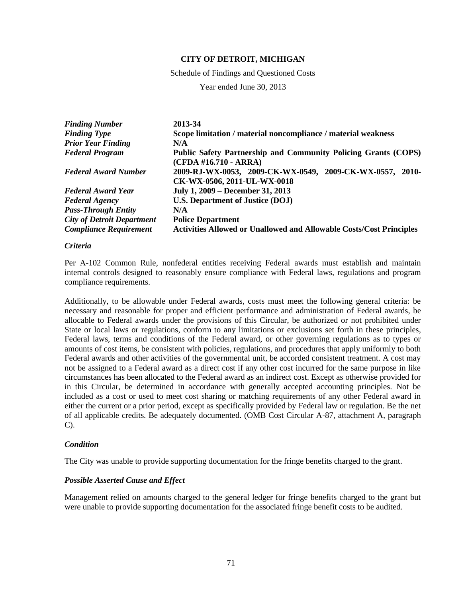Schedule of Findings and Questioned Costs

Year ended June 30, 2013

| <b>Finding Number</b>             | 2013-34                                                                                        |
|-----------------------------------|------------------------------------------------------------------------------------------------|
| <b>Finding Type</b>               | Scope limitation / material noncompliance / material weakness                                  |
| <b>Prior Year Finding</b>         | N/A                                                                                            |
| <b>Federal Program</b>            | <b>Public Safety Partnership and Community Policing Grants (COPS)</b><br>(CFDA #16.710 - ARRA) |
| <b>Federal Award Number</b>       | 2009-RJ-WX-0053, 2009-CK-WX-0549, 2009-CK-WX-0557,<br>2010-<br>CK-WX-0506, 2011-UL-WX-0018     |
| <b>Federal Award Year</b>         | July 1, 2009 – December 31, 2013                                                               |
| <b>Federal Agency</b>             | <b>U.S. Department of Justice (DOJ)</b>                                                        |
| <b>Pass-Through Entity</b>        | N/A                                                                                            |
| <b>City of Detroit Department</b> | <b>Police Department</b>                                                                       |
| <b>Compliance Requirement</b>     | <b>Activities Allowed or Unallowed and Allowable Costs/Cost Principles</b>                     |

#### *Criteria*

Per A-102 Common Rule, nonfederal entities receiving Federal awards must establish and maintain internal controls designed to reasonably ensure compliance with Federal laws, regulations and program compliance requirements.

Additionally, to be allowable under Federal awards, costs must meet the following general criteria: be necessary and reasonable for proper and efficient performance and administration of Federal awards, be allocable to Federal awards under the provisions of this Circular, be authorized or not prohibited under State or local laws or regulations, conform to any limitations or exclusions set forth in these principles, Federal laws, terms and conditions of the Federal award, or other governing regulations as to types or amounts of cost items, be consistent with policies, regulations, and procedures that apply uniformly to both Federal awards and other activities of the governmental unit, be accorded consistent treatment. A cost may not be assigned to a Federal award as a direct cost if any other cost incurred for the same purpose in like circumstances has been allocated to the Federal award as an indirect cost. Except as otherwise provided for in this Circular, be determined in accordance with generally accepted accounting principles. Not be included as a cost or used to meet cost sharing or matching requirements of any other Federal award in either the current or a prior period, except as specifically provided by Federal law or regulation. Be the net of all applicable credits. Be adequately documented. (OMB Cost Circular A-87, attachment A, paragraph C).

# *Condition*

The City was unable to provide supporting documentation for the fringe benefits charged to the grant.

# *Possible Asserted Cause and Effect*

Management relied on amounts charged to the general ledger for fringe benefits charged to the grant but were unable to provide supporting documentation for the associated fringe benefit costs to be audited.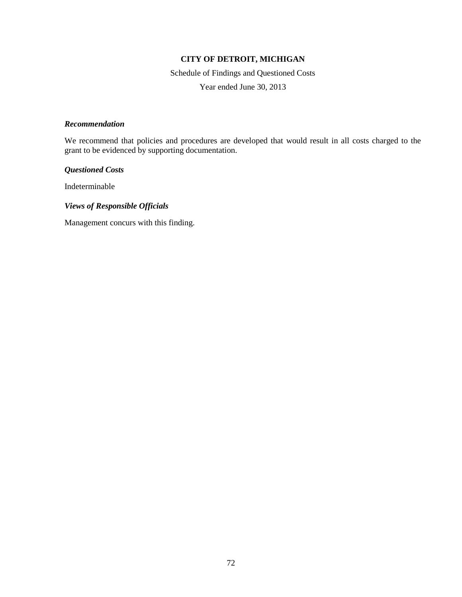Schedule of Findings and Questioned Costs Year ended June 30, 2013

#### *Recommendation*

We recommend that policies and procedures are developed that would result in all costs charged to the grant to be evidenced by supporting documentation.

## *Questioned Costs*

Indeterminable

## *Views of Responsible Officials*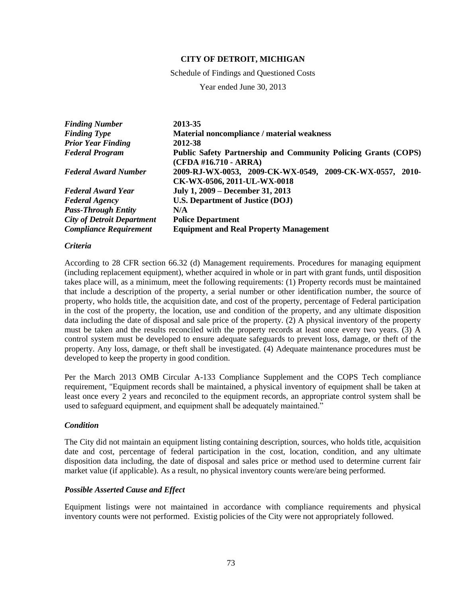Schedule of Findings and Questioned Costs

Year ended June 30, 2013

| <b>Finding Number</b>             | 2013-35                                                               |
|-----------------------------------|-----------------------------------------------------------------------|
| <b>Finding Type</b>               | Material noncompliance / material weakness                            |
| <b>Prior Year Finding</b>         | 2012-38                                                               |
| <b>Federal Program</b>            | <b>Public Safety Partnership and Community Policing Grants (COPS)</b> |
|                                   | (CFDA #16.710 - ARRA)                                                 |
| <b>Federal Award Number</b>       | 2009-RJ-WX-0053, 2009-CK-WX-0549, 2009-CK-WX-0557, 2010-              |
|                                   | CK-WX-0506, 2011-UL-WX-0018                                           |
| <b>Federal Award Year</b>         | July 1, 2009 – December 31, 2013                                      |
| <b>Federal Agency</b>             | U.S. Department of Justice (DOJ)                                      |
| <b>Pass-Through Entity</b>        | N/A                                                                   |
| <b>City of Detroit Department</b> | <b>Police Department</b>                                              |
| <b>Compliance Requirement</b>     | <b>Equipment and Real Property Management</b>                         |

## *Criteria*

According to 28 CFR section 66.32 (d) Management requirements. Procedures for managing equipment (including replacement equipment), whether acquired in whole or in part with grant funds, until disposition takes place will, as a minimum, meet the following requirements: (1) Property records must be maintained that include a description of the property, a serial number or other identification number, the source of property, who holds title, the acquisition date, and cost of the property, percentage of Federal participation in the cost of the property, the location, use and condition of the property, and any ultimate disposition data including the date of disposal and sale price of the property. (2) A physical inventory of the property must be taken and the results reconciled with the property records at least once every two years. (3) A control system must be developed to ensure adequate safeguards to prevent loss, damage, or theft of the property. Any loss, damage, or theft shall be investigated. (4) Adequate maintenance procedures must be developed to keep the property in good condition.

Per the March 2013 OMB Circular A-133 Compliance Supplement and the COPS Tech compliance requirement, "Equipment records shall be maintained, a physical inventory of equipment shall be taken at least once every 2 years and reconciled to the equipment records, an appropriate control system shall be used to safeguard equipment, and equipment shall be adequately maintained."

# *Condition*

The City did not maintain an equipment listing containing description, sources, who holds title, acquisition date and cost, percentage of federal participation in the cost, location, condition, and any ultimate disposition data including, the date of disposal and sales price or method used to determine current fair market value (if applicable). As a result, no physical inventory counts were/are being performed.

# *Possible Asserted Cause and Effect*

Equipment listings were not maintained in accordance with compliance requirements and physical inventory counts were not performed. Existig policies of the City were not appropriately followed.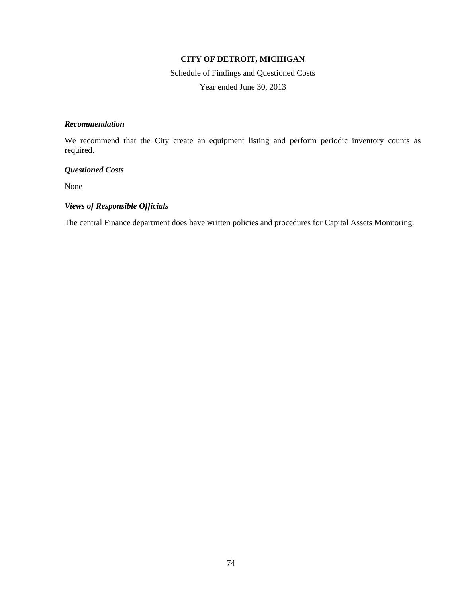Schedule of Findings and Questioned Costs Year ended June 30, 2013

#### *Recommendation*

We recommend that the City create an equipment listing and perform periodic inventory counts as required.

## *Questioned Costs*

None

## *Views of Responsible Officials*

The central Finance department does have written policies and procedures for Capital Assets Monitoring.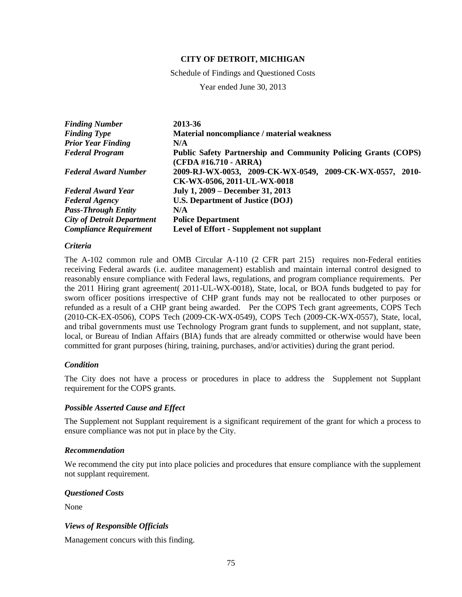Schedule of Findings and Questioned Costs

Year ended June 30, 2013

| <b>Finding Number</b>             | 2013-36                                                               |
|-----------------------------------|-----------------------------------------------------------------------|
| <b>Finding Type</b>               | Material noncompliance / material weakness                            |
| <b>Prior Year Finding</b>         | N/A                                                                   |
| <b>Federal Program</b>            | <b>Public Safety Partnership and Community Policing Grants (COPS)</b> |
| <b>Federal Award Number</b>       | (CFDA #16.710 - ARRA)                                                 |
|                                   | 2009-RJ-WX-0053, 2009-CK-WX-0549, 2009-CK-WX-0557,<br>2010-           |
|                                   | CK-WX-0506, 2011-UL-WX-0018                                           |
| <b>Federal Award Year</b>         | July 1, 2009 – December 31, 2013                                      |
| <b>Federal Agency</b>             | U.S. Department of Justice (DOJ)                                      |
| <b>Pass-Through Entity</b>        | N/A                                                                   |
| <b>City of Detroit Department</b> | <b>Police Department</b>                                              |
| <b>Compliance Requirement</b>     | Level of Effort - Supplement not supplant                             |

#### *Criteria*

The A-102 common rule and OMB Circular A-110 (2 CFR part 215) requires non-Federal entities receiving Federal awards (i.e. auditee management) establish and maintain internal control designed to reasonably ensure compliance with Federal laws, regulations, and program compliance requirements. Per the 2011 Hiring grant agreement( 2011-UL-WX-0018), State, local, or BOA funds budgeted to pay for sworn officer positions irrespective of CHP grant funds may not be reallocated to other purposes or refunded as a result of a CHP grant being awarded. Per the COPS Tech grant agreements, COPS Tech (2010-CK-EX-0506), COPS Tech (2009-CK-WX-0549), COPS Tech (2009-CK-WX-0557), State, local, and tribal governments must use Technology Program grant funds to supplement, and not supplant, state, local, or Bureau of Indian Affairs (BIA) funds that are already committed or otherwise would have been committed for grant purposes (hiring, training, purchases, and/or activities) during the grant period.

# *Condition*

The City does not have a process or procedures in place to address the Supplement not Supplant requirement for the COPS grants.

# *Possible Asserted Cause and Effect*

The Supplement not Supplant requirement is a significant requirement of the grant for which a process to ensure compliance was not put in place by the City.

#### *Recommendation*

We recommend the city put into place policies and procedures that ensure compliance with the supplement not supplant requirement.

#### *Questioned Costs*

None

#### *Views of Responsible Officials*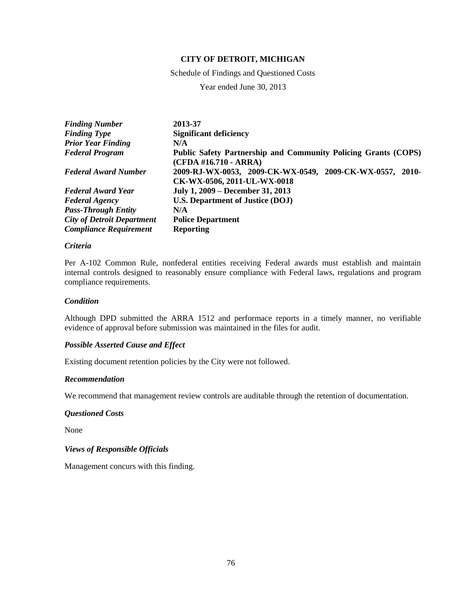Schedule of Findings and Questioned Costs

Year ended June 30, 2013

| <b>Finding Number</b>             | 2013-37                                                               |
|-----------------------------------|-----------------------------------------------------------------------|
| <b>Finding Type</b>               | <b>Significant deficiency</b>                                         |
| <b>Prior Year Finding</b>         | N/A                                                                   |
| <b>Federal Program</b>            | <b>Public Safety Partnership and Community Policing Grants (COPS)</b> |
|                                   | (CFDA #16.710 - ARRA)                                                 |
| <b>Federal Award Number</b>       | 2009-RJ-WX-0053, 2009-CK-WX-0549, 2009-CK-WX-0557,<br>-2010-          |
|                                   | CK-WX-0506, 2011-UL-WX-0018                                           |
| <b>Federal Award Year</b>         | July 1, 2009 – December 31, 2013                                      |
| <b>Federal Agency</b>             | <b>U.S. Department of Justice (DOJ)</b>                               |
| <b>Pass-Through Entity</b>        | N/A                                                                   |
| <b>City of Detroit Department</b> | <b>Police Department</b>                                              |
| <b>Compliance Requirement</b>     | <b>Reporting</b>                                                      |

#### *Criteria*

Per A-102 Common Rule, nonfederal entities receiving Federal awards must establish and maintain internal controls designed to reasonably ensure compliance with Federal laws, regulations and program compliance requirements.

#### *Condition*

Although DPD submitted the ARRA 1512 and performace reports in a timely manner, no verifiable evidence of approval before submission was maintained in the files for audit.

## *Possible Asserted Cause and Effect*

Existing document retention policies by the City were not followed.

#### *Recommendation*

We recommend that management review controls are auditable through the retention of documentation.

#### *Questioned Costs*

None

#### *Views of Responsible Officials*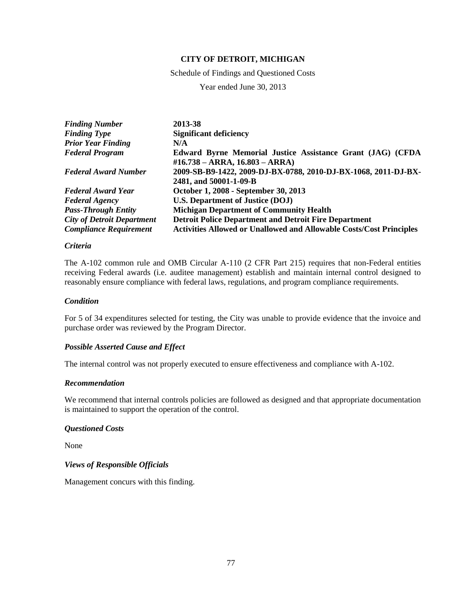Schedule of Findings and Questioned Costs

Year ended June 30, 2013

| <b>Finding Number</b>             | 2013-38                                                                    |
|-----------------------------------|----------------------------------------------------------------------------|
| <b>Finding Type</b>               | <b>Significant deficiency</b>                                              |
| <b>Prior Year Finding</b>         | N/A                                                                        |
| <b>Federal Program</b>            | Edward Byrne Memorial Justice Assistance Grant (JAG) (CFDA                 |
|                                   | $#16.738 - ARRA, 16.803 - ARRA)$                                           |
| <b>Federal Award Number</b>       | 2009-SB-B9-1422, 2009-DJ-BX-0788, 2010-DJ-BX-1068, 2011-DJ-BX-             |
|                                   | 2481, and 50001-1-09-B                                                     |
| <b>Federal Award Year</b>         | October 1, 2008 - September 30, 2013                                       |
| <b>Federal Agency</b>             | <b>U.S. Department of Justice (DOJ)</b>                                    |
| <b>Pass-Through Entity</b>        | <b>Michigan Department of Community Health</b>                             |
| <b>City of Detroit Department</b> | <b>Detroit Police Department and Detroit Fire Department</b>               |
| <b>Compliance Requirement</b>     | <b>Activities Allowed or Unallowed and Allowable Costs/Cost Principles</b> |

#### *Criteria*

The A-102 common rule and OMB Circular A-110 (2 CFR Part 215) requires that non-Federal entities receiving Federal awards (i.e. auditee management) establish and maintain internal control designed to reasonably ensure compliance with federal laws, regulations, and program compliance requirements.

#### *Condition*

For 5 of 34 expenditures selected for testing, the City was unable to provide evidence that the invoice and purchase order was reviewed by the Program Director.

# *Possible Asserted Cause and Effect*

The internal control was not properly executed to ensure effectiveness and compliance with A-102.

#### *Recommendation*

We recommend that internal controls policies are followed as designed and that appropriate documentation is maintained to support the operation of the control.

# *Questioned Costs*

None

# *Views of Responsible Officials*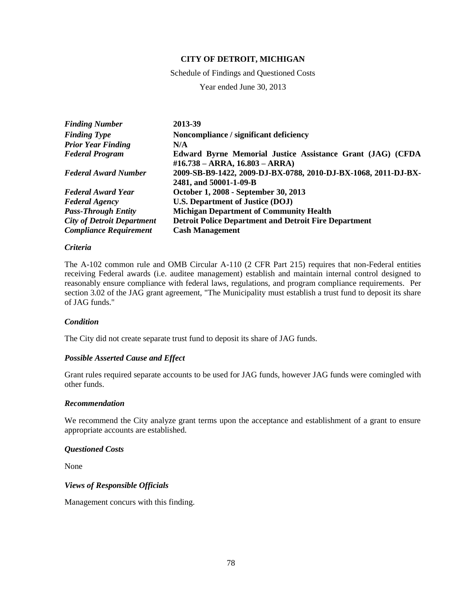Schedule of Findings and Questioned Costs

Year ended June 30, 2013

| <b>Finding Number</b>             | 2013-39                                                                                        |
|-----------------------------------|------------------------------------------------------------------------------------------------|
| <b>Finding Type</b>               | Noncompliance / significant deficiency                                                         |
| <b>Prior Year Finding</b>         | N/A                                                                                            |
| <b>Federal Program</b>            | Edward Byrne Memorial Justice Assistance Grant (JAG) (CFDA<br>$#16.738 - ARRA, 16.803 - ARRA)$ |
| <b>Federal Award Number</b>       | 2009-SB-B9-1422, 2009-DJ-BX-0788, 2010-DJ-BX-1068, 2011-DJ-BX-<br>2481, and 50001-1-09-B       |
| <b>Federal Award Year</b>         | October 1, 2008 - September 30, 2013                                                           |
| <b>Federal Agency</b>             | <b>U.S. Department of Justice (DOJ)</b>                                                        |
| <b>Pass-Through Entity</b>        | <b>Michigan Department of Community Health</b>                                                 |
| <b>City of Detroit Department</b> | <b>Detroit Police Department and Detroit Fire Department</b>                                   |
| <b>Compliance Requirement</b>     | <b>Cash Management</b>                                                                         |

#### *Criteria*

The A-102 common rule and OMB Circular A-110 (2 CFR Part 215) requires that non-Federal entities receiving Federal awards (i.e. auditee management) establish and maintain internal control designed to reasonably ensure compliance with federal laws, regulations, and program compliance requirements. Per section 3.02 of the JAG grant agreement, "The Municipality must establish a trust fund to deposit its share of JAG funds."

# *Condition*

The City did not create separate trust fund to deposit its share of JAG funds.

# *Possible Asserted Cause and Effect*

Grant rules required separate accounts to be used for JAG funds, however JAG funds were comingled with other funds.

## *Recommendation*

We recommend the City analyze grant terms upon the acceptance and establishment of a grant to ensure appropriate accounts are established.

### *Questioned Costs*

None

# *Views of Responsible Officials*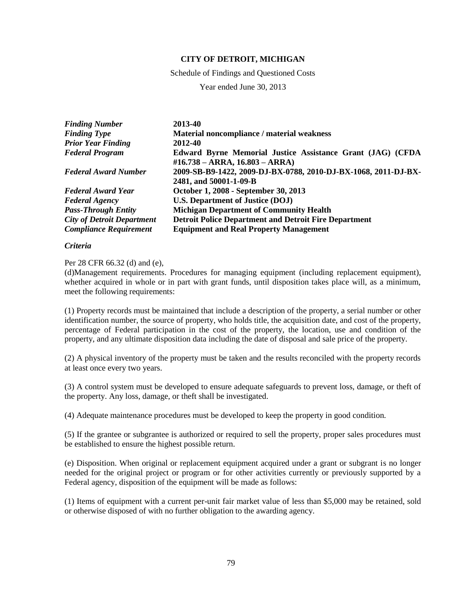Schedule of Findings and Questioned Costs

Year ended June 30, 2013

| <b>Finding Number</b>             | 2013-40                                                        |
|-----------------------------------|----------------------------------------------------------------|
| <b>Finding Type</b>               | Material noncompliance / material weakness                     |
| <b>Prior Year Finding</b>         | 2012-40                                                        |
| <b>Federal Program</b>            | Edward Byrne Memorial Justice Assistance Grant (JAG) (CFDA     |
|                                   | $#16.738 - ARRA, 16.803 - ARRA)$                               |
| <b>Federal Award Number</b>       | 2009-SB-B9-1422, 2009-DJ-BX-0788, 2010-DJ-BX-1068, 2011-DJ-BX- |
|                                   | 2481, and 50001-1-09-B                                         |
| <b>Federal Award Year</b>         | October 1, 2008 - September 30, 2013                           |
| <b>Federal Agency</b>             | U.S. Department of Justice (DOJ)                               |
| <b>Pass-Through Entity</b>        | <b>Michigan Department of Community Health</b>                 |
| <b>City of Detroit Department</b> | <b>Detroit Police Department and Detroit Fire Department</b>   |
| <b>Compliance Requirement</b>     | <b>Equipment and Real Property Management</b>                  |

## *Criteria*

Per 28 CFR 66.32 (d) and (e),

(d)Management requirements. Procedures for managing equipment (including replacement equipment), whether acquired in whole or in part with grant funds, until disposition takes place will, as a minimum, meet the following requirements:

(1) Property records must be maintained that include a description of the property, a serial number or other identification number, the source of property, who holds title, the acquisition date, and cost of the property, percentage of Federal participation in the cost of the property, the location, use and condition of the property, and any ultimate disposition data including the date of disposal and sale price of the property.

(2) A physical inventory of the property must be taken and the results reconciled with the property records at least once every two years.

(3) A control system must be developed to ensure adequate safeguards to prevent loss, damage, or theft of the property. Any loss, damage, or theft shall be investigated.

(4) Adequate maintenance procedures must be developed to keep the property in good condition.

(5) If the grantee or subgrantee is authorized or required to sell the property, proper sales procedures must be established to ensure the highest possible return.

(e) Disposition. When original or replacement equipment acquired under a grant or subgrant is no longer needed for the original project or program or for other activities currently or previously supported by a Federal agency, disposition of the equipment will be made as follows:

(1) Items of equipment with a current per-unit fair market value of less than \$5,000 may be retained, sold or otherwise disposed of with no further obligation to the awarding agency.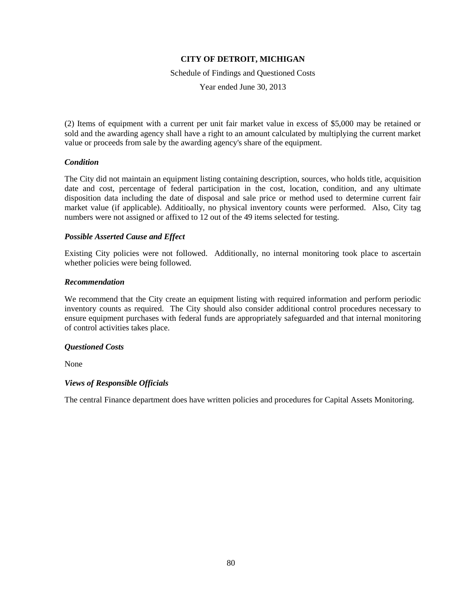Schedule of Findings and Questioned Costs

Year ended June 30, 2013

(2) Items of equipment with a current per unit fair market value in excess of \$5,000 may be retained or sold and the awarding agency shall have a right to an amount calculated by multiplying the current market value or proceeds from sale by the awarding agency's share of the equipment.

#### *Condition*

The City did not maintain an equipment listing containing description, sources, who holds title, acquisition date and cost, percentage of federal participation in the cost, location, condition, and any ultimate disposition data including the date of disposal and sale price or method used to determine current fair market value (if applicable). Additioally, no physical inventory counts were performed. Also, City tag numbers were not assigned or affixed to 12 out of the 49 items selected for testing.

## *Possible Asserted Cause and Effect*

Existing City policies were not followed. Additionally, no internal monitoring took place to ascertain whether policies were being followed.

## *Recommendation*

We recommend that the City create an equipment listing with required information and perform periodic inventory counts as required. The City should also consider additional control procedures necessary to ensure equipment purchases with federal funds are appropriately safeguarded and that internal monitoring of control activities takes place.

# *Questioned Costs*

None

# *Views of Responsible Officials*

The central Finance department does have written policies and procedures for Capital Assets Monitoring.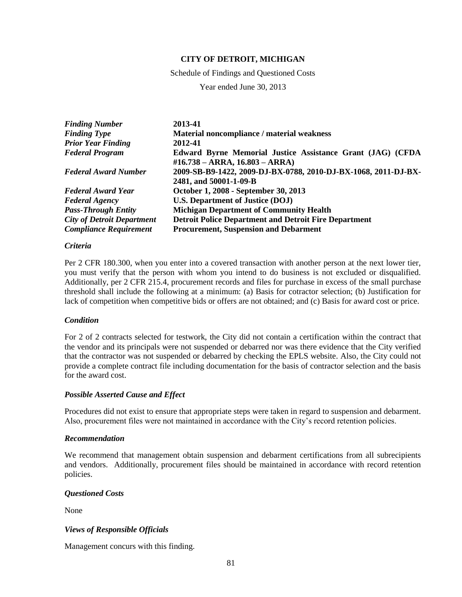Schedule of Findings and Questioned Costs

Year ended June 30, 2013

| <b>Finding Number</b>             | 2013-41                                                        |
|-----------------------------------|----------------------------------------------------------------|
| <b>Finding Type</b>               | Material noncompliance / material weakness                     |
| <b>Prior Year Finding</b>         | 2012-41                                                        |
| <b>Federal Program</b>            | Edward Byrne Memorial Justice Assistance Grant (JAG) (CFDA     |
| <b>Federal Award Number</b>       | $#16.738 - ARRA, 16.803 - ARRA)$                               |
|                                   | 2009-SB-B9-1422, 2009-DJ-BX-0788, 2010-DJ-BX-1068, 2011-DJ-BX- |
|                                   | 2481, and 50001-1-09-B                                         |
| <b>Federal Award Year</b>         | October 1, 2008 - September 30, 2013                           |
| <b>Federal Agency</b>             | <b>U.S. Department of Justice (DOJ)</b>                        |
| <b>Pass-Through Entity</b>        | <b>Michigan Department of Community Health</b>                 |
| <b>City of Detroit Department</b> | <b>Detroit Police Department and Detroit Fire Department</b>   |
| <b>Compliance Requirement</b>     | <b>Procurement, Suspension and Debarment</b>                   |

#### *Criteria*

Per 2 CFR 180.300, when you enter into a covered transaction with another person at the next lower tier, you must verify that the person with whom you intend to do business is not excluded or disqualified. Additionally, per 2 CFR 215.4, procurement records and files for purchase in excess of the small purchase threshold shall include the following at a minimum: (a) Basis for cotractor selection; (b) Justification for lack of competition when competitive bids or offers are not obtained; and (c) Basis for award cost or price.

#### *Condition*

For 2 of 2 contracts selected for testwork, the City did not contain a certification within the contract that the vendor and its principals were not suspended or debarred nor was there evidence that the City verified that the contractor was not suspended or debarred by checking the EPLS website. Also, the City could not provide a complete contract file including documentation for the basis of contractor selection and the basis for the award cost.

# *Possible Asserted Cause and Effect*

Procedures did not exist to ensure that appropriate steps were taken in regard to suspension and debarment. Also, procurement files were not maintained in accordance with the City's record retention policies.

#### *Recommendation*

We recommend that management obtain suspension and debarment certifications from all subrecipients and vendors. Additionally, procurement files should be maintained in accordance with record retention policies.

# *Questioned Costs*

None

# *Views of Responsible Officials*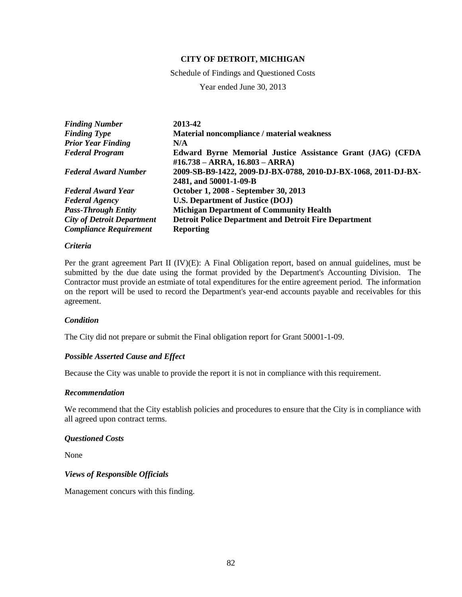Schedule of Findings and Questioned Costs

Year ended June 30, 2013

| <b>Finding Number</b>             | 2013-42                                                        |
|-----------------------------------|----------------------------------------------------------------|
| <b>Finding Type</b>               | Material noncompliance / material weakness                     |
| <b>Prior Year Finding</b>         | N/A                                                            |
| <b>Federal Program</b>            | Edward Byrne Memorial Justice Assistance Grant (JAG) (CFDA     |
|                                   | $#16.738 - ARRA, 16.803 - ARRA)$                               |
| <b>Federal Award Number</b>       | 2009-SB-B9-1422, 2009-DJ-BX-0788, 2010-DJ-BX-1068, 2011-DJ-BX- |
|                                   | 2481, and 50001-1-09-B                                         |
| <b>Federal Award Year</b>         | October 1, 2008 - September 30, 2013                           |
| <b>Federal Agency</b>             | U.S. Department of Justice (DOJ)                               |
| <b>Pass-Through Entity</b>        | <b>Michigan Department of Community Health</b>                 |
| <b>City of Detroit Department</b> | <b>Detroit Police Department and Detroit Fire Department</b>   |
| <b>Compliance Requirement</b>     | <b>Reporting</b>                                               |

#### *Criteria*

Per the grant agreement Part II (IV)(E): A Final Obligation report, based on annual guidelines, must be submitted by the due date using the format provided by the Department's Accounting Division. The Contractor must provide an estmiate of total expenditures for the entire agreement period. The information on the report will be used to record the Department's year-end accounts payable and receivables for this agreement.

#### *Condition*

The City did not prepare or submit the Final obligation report for Grant 50001-1-09.

# *Possible Asserted Cause and Effect*

Because the City was unable to provide the report it is not in compliance with this requirement.

#### *Recommendation*

We recommend that the City establish policies and procedures to ensure that the City is in compliance with all agreed upon contract terms.

#### *Questioned Costs*

None

# *Views of Responsible Officials*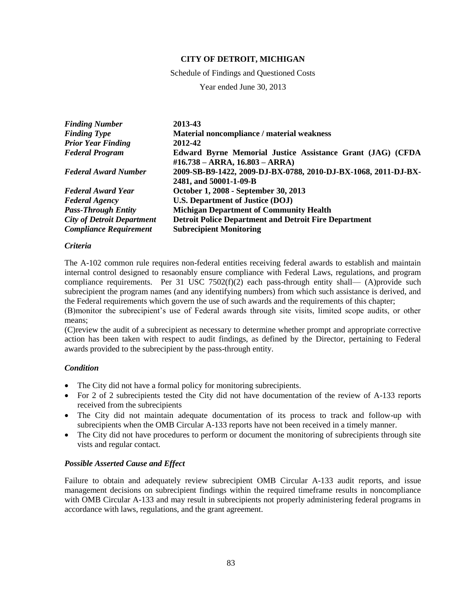Schedule of Findings and Questioned Costs

Year ended June 30, 2013

| <b>Finding Number</b>             | 2013-43                                                        |
|-----------------------------------|----------------------------------------------------------------|
| <b>Finding Type</b>               | Material noncompliance / material weakness                     |
| <b>Prior Year Finding</b>         | 2012-42                                                        |
| <b>Federal Program</b>            | Edward Byrne Memorial Justice Assistance Grant (JAG) (CFDA     |
| <b>Federal Award Number</b>       | $#16.738 - ARRA, 16.803 - ARRA)$                               |
|                                   | 2009-SB-B9-1422, 2009-DJ-BX-0788, 2010-DJ-BX-1068, 2011-DJ-BX- |
|                                   | 2481, and 50001-1-09-B                                         |
| <b>Federal Award Year</b>         | October 1, 2008 - September 30, 2013                           |
| <b>Federal Agency</b>             | <b>U.S. Department of Justice (DOJ)</b>                        |
| <b>Pass-Through Entity</b>        | <b>Michigan Department of Community Health</b>                 |
| <b>City of Detroit Department</b> | <b>Detroit Police Department and Detroit Fire Department</b>   |
| <b>Compliance Requirement</b>     | <b>Subrecipient Monitoring</b>                                 |

## *Criteria*

The A-102 common rule requires non-federal entities receiving federal awards to establish and maintain internal control designed to resaonably ensure compliance with Federal Laws, regulations, and program compliance requirements. Per 31 USC  $7502(f)(2)$  each pass-through entity shall— (A)provide such subrecipient the program names (and any identifying numbers) from which such assistance is derived, and the Federal requirements which govern the use of such awards and the requirements of this chapter;

(B)monitor the subrecipient's use of Federal awards through site visits, limited scope audits, or other means;

(C)review the audit of a subrecipient as necessary to determine whether prompt and appropriate corrective action has been taken with respect to audit findings, as defined by the Director, pertaining to Federal awards provided to the subrecipient by the pass-through entity.

# *Condition*

- The City did not have a formal policy for monitoring subrecipients.
- For 2 of 2 subrecipients tested the City did not have documentation of the review of A-133 reports received from the subrecipients
- The City did not maintain adequate documentation of its process to track and follow-up with subrecipients when the OMB Circular A-133 reports have not been received in a timely manner.
- The City did not have procedures to perform or document the monitoring of subrecipients through site vists and regular contact.

# *Possible Asserted Cause and Effect*

Failure to obtain and adequately review subrecipient OMB Circular A-133 audit reports, and issue management decisions on subrecipient findings within the required timeframe results in noncompliance with OMB Circular A-133 and may result in subrecipients not properly administering federal programs in accordance with laws, regulations, and the grant agreement.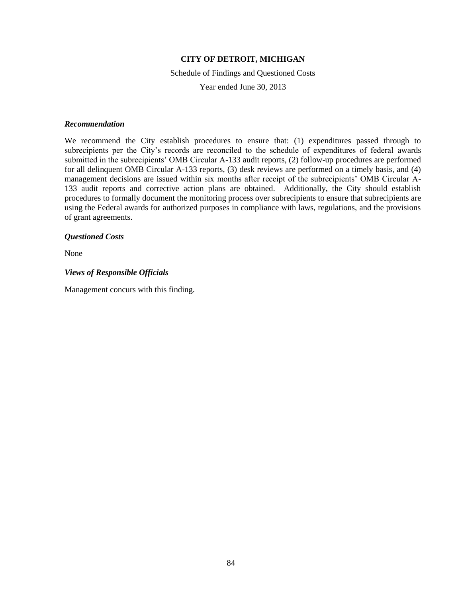Schedule of Findings and Questioned Costs Year ended June 30, 2013

#### *Recommendation*

We recommend the City establish procedures to ensure that: (1) expenditures passed through to subrecipients per the City's records are reconciled to the schedule of expenditures of federal awards submitted in the subrecipients' OMB Circular A-133 audit reports, (2) follow-up procedures are performed for all delinquent OMB Circular A-133 reports, (3) desk reviews are performed on a timely basis, and (4) management decisions are issued within six months after receipt of the subrecipients' OMB Circular A-133 audit reports and corrective action plans are obtained. Additionally, the City should establish procedures to formally document the monitoring process over subrecipients to ensure that subrecipients are using the Federal awards for authorized purposes in compliance with laws, regulations, and the provisions of grant agreements.

## *Questioned Costs*

None

#### *Views of Responsible Officials*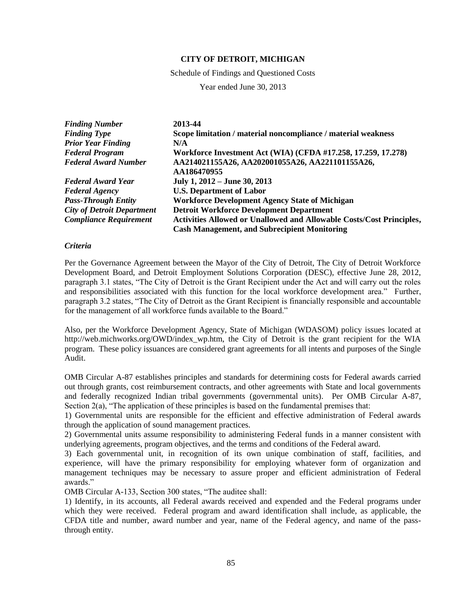Schedule of Findings and Questioned Costs

Year ended June 30, 2013

| <b>Finding Number</b>             | 2013-44                                                              |
|-----------------------------------|----------------------------------------------------------------------|
| <b>Finding Type</b>               | Scope limitation / material noncompliance / material weakness        |
| <b>Prior Year Finding</b>         | N/A                                                                  |
| <b>Federal Program</b>            | Workforce Investment Act (WIA) (CFDA #17.258, 17.259, 17.278)        |
| <b>Federal Award Number</b>       | AA214021155A26, AA202001055A26, AA221101155A26,                      |
|                                   | AA186470955                                                          |
| <b>Federal Award Year</b>         | July 1, 2012 – June 30, 2013                                         |
| <b>Federal Agency</b>             | <b>U.S. Department of Labor</b>                                      |
| <b>Pass-Through Entity</b>        | <b>Workforce Development Agency State of Michigan</b>                |
| <b>City of Detroit Department</b> | <b>Detroit Workforce Development Department</b>                      |
| <b>Compliance Requirement</b>     | Activities Allowed or Unallowed and Allowable Costs/Cost Principles, |
|                                   | <b>Cash Management, and Subrecipient Monitoring</b>                  |

#### *Criteria*

Per the Governance Agreement between the Mayor of the City of Detroit, The City of Detroit Workforce Development Board, and Detroit Employment Solutions Corporation (DESC), effective June 28, 2012, paragraph 3.1 states, "The City of Detroit is the Grant Recipient under the Act and will carry out the roles and responsibilities associated with this function for the local workforce development area." Further, paragraph 3.2 states, "The City of Detroit as the Grant Recipient is financially responsible and accountable for the management of all workforce funds available to the Board."

Also, per the Workforce Development Agency, State of Michigan (WDASOM) policy issues located at http://web.michworks.org/OWD/index\_wp.htm, the City of Detroit is the grant recipient for the WIA program. These policy issuances are considered grant agreements for all intents and purposes of the Single Audit.

OMB Circular A-87 establishes principles and standards for determining costs for Federal awards carried out through grants, cost reimbursement contracts, and other agreements with State and local governments and federally recognized Indian tribal governments (governmental units). Per OMB Circular A-87, Section 2(a), "The application of these principles is based on the fundamental premises that:

1) Governmental units are responsible for the efficient and effective administration of Federal awards through the application of sound management practices.

2) Governmental units assume responsibility to administering Federal funds in a manner consistent with underlying agreements, program objectives, and the terms and conditions of the Federal award.

3) Each governmental unit, in recognition of its own unique combination of staff, facilities, and experience, will have the primary responsibility for employing whatever form of organization and management techniques may be necessary to assure proper and efficient administration of Federal awards."

OMB Circular A-133, Section 300 states, "The auditee shall:

1) Identify, in its accounts, all Federal awards received and expended and the Federal programs under which they were received. Federal program and award identification shall include, as applicable, the CFDA title and number, award number and year, name of the Federal agency, and name of the passthrough entity.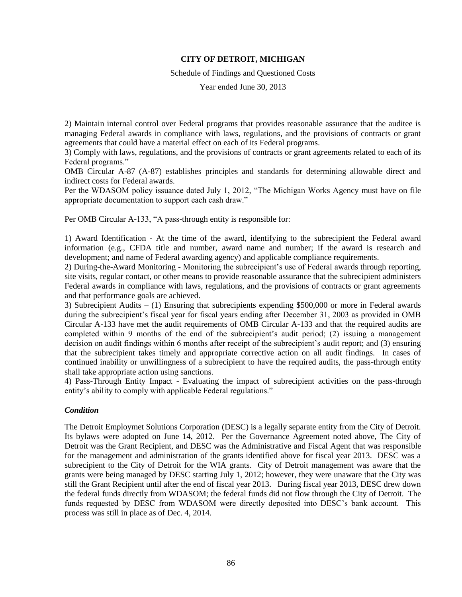Schedule of Findings and Questioned Costs

Year ended June 30, 2013

2) Maintain internal control over Federal programs that provides reasonable assurance that the auditee is managing Federal awards in compliance with laws, regulations, and the provisions of contracts or grant agreements that could have a material effect on each of its Federal programs.

3) Comply with laws, regulations, and the provisions of contracts or grant agreements related to each of its Federal programs."

OMB Circular A-87 (A-87) establishes principles and standards for determining allowable direct and indirect costs for Federal awards.

Per the WDASOM policy issuance dated July 1, 2012, "The Michigan Works Agency must have on file appropriate documentation to support each cash draw."

Per OMB Circular A-133, "A pass-through entity is responsible for:

1) Award Identification - At the time of the award, identifying to the subrecipient the Federal award information (e.g., CFDA title and number, award name and number; if the award is research and development; and name of Federal awarding agency) and applicable compliance requirements.

2) During-the-Award Monitoring - Monitoring the subrecipient's use of Federal awards through reporting, site visits, regular contact, or other means to provide reasonable assurance that the subrecipient administers Federal awards in compliance with laws, regulations, and the provisions of contracts or grant agreements and that performance goals are achieved.

3) Subrecipient Audits – (1) Ensuring that subrecipients expending \$500,000 or more in Federal awards during the subrecipient's fiscal year for fiscal years ending after December 31, 2003 as provided in OMB Circular A-133 have met the audit requirements of OMB Circular A-133 and that the required audits are completed within 9 months of the end of the subrecipient's audit period; (2) issuing a management decision on audit findings within 6 months after receipt of the subrecipient's audit report; and (3) ensuring that the subrecipient takes timely and appropriate corrective action on all audit findings. In cases of continued inability or unwillingness of a subrecipient to have the required audits, the pass-through entity shall take appropriate action using sanctions.

4) Pass-Through Entity Impact - Evaluating the impact of subrecipient activities on the pass-through entity's ability to comply with applicable Federal regulations."

# *Condition*

The Detroit Employmet Solutions Corporation (DESC) is a legally separate entity from the City of Detroit. Its bylaws were adopted on June 14, 2012. Per the Governance Agreement noted above, The City of Detroit was the Grant Recipient, and DESC was the Administrative and Fiscal Agent that was responsible for the management and administration of the grants identified above for fiscal year 2013. DESC was a subrecipient to the City of Detroit for the WIA grants. City of Detroit management was aware that the grants were being managed by DESC starting July 1, 2012; however, they were unaware that the City was still the Grant Recipient until after the end of fiscal year 2013. During fiscal year 2013, DESC drew down the federal funds directly from WDASOM; the federal funds did not flow through the City of Detroit. The funds requested by DESC from WDASOM were directly deposited into DESC's bank account. This process was still in place as of Dec. 4, 2014.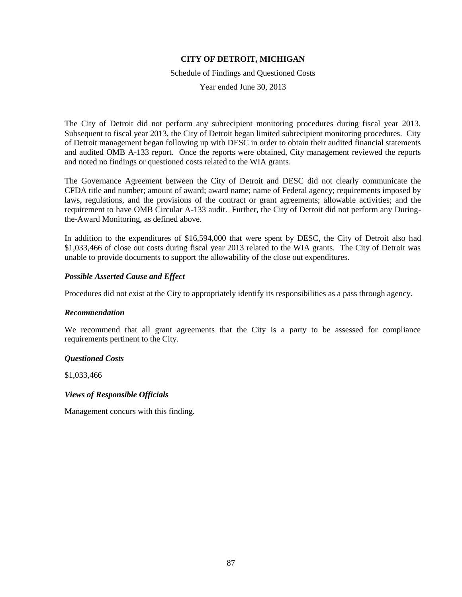Schedule of Findings and Questioned Costs

Year ended June 30, 2013

The City of Detroit did not perform any subrecipient monitoring procedures during fiscal year 2013. Subsequent to fiscal year 2013, the City of Detroit began limited subrecipient monitoring procedures. City of Detroit management began following up with DESC in order to obtain their audited financial statements and audited OMB A-133 report. Once the reports were obtained, City management reviewed the reports and noted no findings or questioned costs related to the WIA grants.

The Governance Agreement between the City of Detroit and DESC did not clearly communicate the CFDA title and number; amount of award; award name; name of Federal agency; requirements imposed by laws, regulations, and the provisions of the contract or grant agreements; allowable activities; and the requirement to have OMB Circular A-133 audit. Further, the City of Detroit did not perform any Duringthe-Award Monitoring, as defined above.

In addition to the expenditures of \$16,594,000 that were spent by DESC, the City of Detroit also had \$1,033,466 of close out costs during fiscal year 2013 related to the WIA grants. The City of Detroit was unable to provide documents to support the allowability of the close out expenditures.

## *Possible Asserted Cause and Effect*

Procedures did not exist at the City to appropriately identify its responsibilities as a pass through agency.

#### *Recommendation*

We recommend that all grant agreements that the City is a party to be assessed for compliance requirements pertinent to the City.

# *Questioned Costs*

\$1,033,466

#### *Views of Responsible Officials*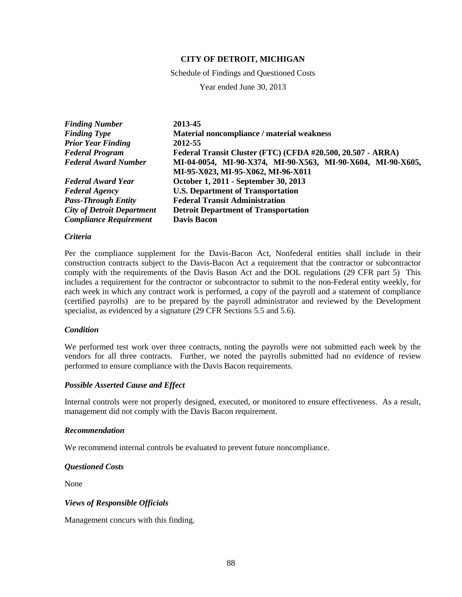Schedule of Findings and Questioned Costs

Year ended June 30, 2013

| <b>Finding Number</b>             | 2013-45                                                     |
|-----------------------------------|-------------------------------------------------------------|
| <b>Finding Type</b>               | Material noncompliance / material weakness                  |
| <b>Prior Year Finding</b>         | 2012-55                                                     |
| <b>Federal Program</b>            | Federal Transit Cluster (FTC) (CFDA #20.500, 20.507 - ARRA) |
| <b>Federal Award Number</b>       | MI-04-0054, MI-90-X374, MI-90-X563, MI-90-X604, MI-90-X605, |
|                                   | MI-95-X023, MI-95-X062, MI-96-X011                          |
| <b>Federal Award Year</b>         | October 1, 2011 - September 30, 2013                        |
| <b>Federal Agency</b>             | <b>U.S. Department of Transportation</b>                    |
| <b>Pass-Through Entity</b>        | <b>Federal Transit Administration</b>                       |
| <b>City of Detroit Department</b> | <b>Detroit Department of Transportation</b>                 |
| <b>Compliance Requirement</b>     | <b>Davis Bacon</b>                                          |

#### *Criteria*

Per the compliance supplement for the Davis-Bacon Act, Nonfederal entities shall include in their construction contracts subject to the Davis-Bacon Act a requirement that the contractor or subcontractor comply with the requirements of the Davis Bason Act and the DOL regulations (29 CFR part 5) This includes a requirement for the contractor or subcontractor to submit to the non-Federal entity weekly, for each week in which any contract work is performed, a copy of the payroll and a statement of compliance (certified payrolls) are to be prepared by the payroll administrator and reviewed by the Development specialist, as evidenced by a signature (29 CFR Sections 5.5 and 5.6).

#### *Condition*

We performed test work over three contracts, noting the payrolls were not submitted each week by the vendors for all three contracts. Further, we noted the payrolls submitted had no evidence of review performed to ensure compliance with the Davis Bacon requirements.

# *Possible Asserted Cause and Effect*

Internal controls were not properly designed, executed, or monitored to ensure effectiveness. As a result, management did not comply with the Davis Bacon requirement.

#### *Recommendation*

We recommend internal controls be evaluated to prevent future noncompliance.

#### *Questioned Costs*

None

#### *Views of Responsible Officials*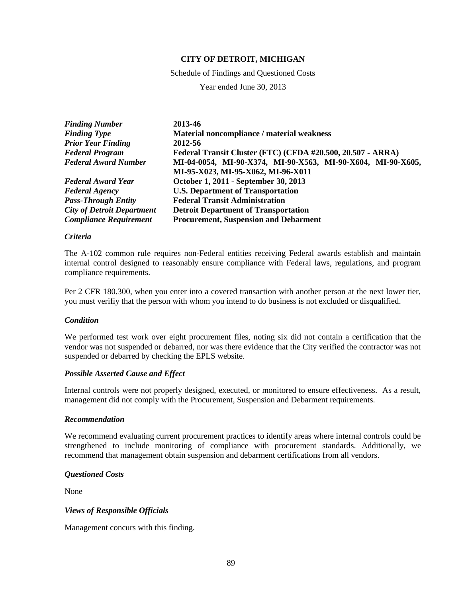Schedule of Findings and Questioned Costs

Year ended June 30, 2013

| <b>Finding Number</b>             | 2013-46                                                     |
|-----------------------------------|-------------------------------------------------------------|
| <b>Finding Type</b>               | Material noncompliance / material weakness                  |
| <b>Prior Year Finding</b>         | 2012-56                                                     |
| <b>Federal Program</b>            | Federal Transit Cluster (FTC) (CFDA #20.500, 20.507 - ARRA) |
| <b>Federal Award Number</b>       | MI-04-0054, MI-90-X374, MI-90-X563, MI-90-X604, MI-90-X605, |
|                                   | MI-95-X023, MI-95-X062, MI-96-X011                          |
| <b>Federal Award Year</b>         | October 1, 2011 - September 30, 2013                        |
| <b>Federal Agency</b>             | <b>U.S. Department of Transportation</b>                    |
| <b>Pass-Through Entity</b>        | <b>Federal Transit Administration</b>                       |
| <b>City of Detroit Department</b> | <b>Detroit Department of Transportation</b>                 |
| <b>Compliance Requirement</b>     | <b>Procurement, Suspension and Debarment</b>                |

#### *Criteria*

The A-102 common rule requires non-Federal entities receiving Federal awards establish and maintain internal control designed to reasonably ensure compliance with Federal laws, regulations, and program compliance requirements.

Per 2 CFR 180.300, when you enter into a covered transaction with another person at the next lower tier, you must verifiy that the person with whom you intend to do business is not excluded or disqualified.

#### *Condition*

We performed test work over eight procurement files, noting six did not contain a certification that the vendor was not suspended or debarred, nor was there evidence that the City verified the contractor was not suspended or debarred by checking the EPLS website.

#### *Possible Asserted Cause and Effect*

Internal controls were not properly designed, executed, or monitored to ensure effectiveness. As a result, management did not comply with the Procurement, Suspension and Debarment requirements.

#### *Recommendation*

We recommend evaluating current procurement practices to identify areas where internal controls could be strengthened to include monitoring of compliance with procurement standards. Additionally, we recommend that management obtain suspension and debarment certifications from all vendors.

#### *Questioned Costs*

None

#### *Views of Responsible Officials*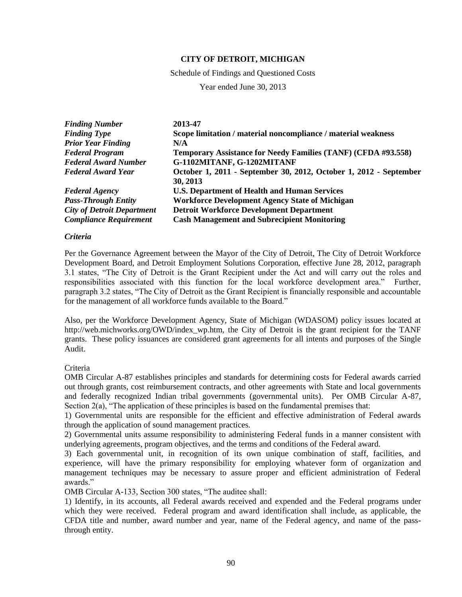Schedule of Findings and Questioned Costs

Year ended June 30, 2013

| <b>Finding Number</b>             | 2013-47                                                                       |
|-----------------------------------|-------------------------------------------------------------------------------|
| <b>Finding Type</b>               | Scope limitation / material noncompliance / material weakness                 |
| <b>Prior Year Finding</b>         | N/A                                                                           |
| <b>Federal Program</b>            | Temporary Assistance for Needy Families (TANF) (CFDA #93.558)                 |
| <b>Federal Award Number</b>       | G-1102MITANF, G-1202MITANF                                                    |
| <b>Federal Award Year</b>         | October 1, 2011 - September 30, 2012, October 1, 2012 - September<br>30, 2013 |
| <b>Federal Agency</b>             | <b>U.S. Department of Health and Human Services</b>                           |
| <b>Pass-Through Entity</b>        | <b>Workforce Development Agency State of Michigan</b>                         |
| <b>City of Detroit Department</b> | <b>Detroit Workforce Development Department</b>                               |
| <b>Compliance Requirement</b>     | <b>Cash Management and Subrecipient Monitoring</b>                            |

#### *Criteria*

Per the Governance Agreement between the Mayor of the City of Detroit, The City of Detroit Workforce Development Board, and Detroit Employment Solutions Corporation, effective June 28, 2012, paragraph 3.1 states, "The City of Detroit is the Grant Recipient under the Act and will carry out the roles and responsibilities associated with this function for the local workforce development area." Further, paragraph 3.2 states, "The City of Detroit as the Grant Recipient is financially responsible and accountable for the management of all workforce funds available to the Board."

Also, per the Workforce Development Agency, State of Michigan (WDASOM) policy issues located at http://web.michworks.org/OWD/index\_wp.htm, the City of Detroit is the grant recipient for the TANF grants. These policy issuances are considered grant agreements for all intents and purposes of the Single Audit.

#### Criteria

OMB Circular A-87 establishes principles and standards for determining costs for Federal awards carried out through grants, cost reimbursement contracts, and other agreements with State and local governments and federally recognized Indian tribal governments (governmental units). Per OMB Circular A-87, Section 2(a), "The application of these principles is based on the fundamental premises that:

1) Governmental units are responsible for the efficient and effective administration of Federal awards through the application of sound management practices.

2) Governmental units assume responsibility to administering Federal funds in a manner consistent with underlying agreements, program objectives, and the terms and conditions of the Federal award.

3) Each governmental unit, in recognition of its own unique combination of staff, facilities, and experience, will have the primary responsibility for employing whatever form of organization and management techniques may be necessary to assure proper and efficient administration of Federal awards."

OMB Circular A-133, Section 300 states, "The auditee shall:

1) Identify, in its accounts, all Federal awards received and expended and the Federal programs under which they were received. Federal program and award identification shall include, as applicable, the CFDA title and number, award number and year, name of the Federal agency, and name of the passthrough entity.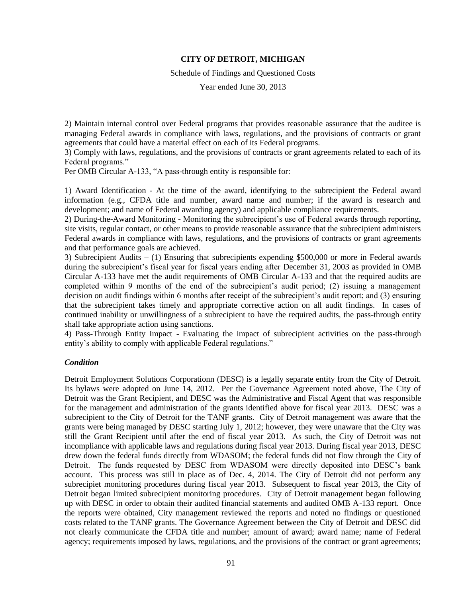Schedule of Findings and Questioned Costs

Year ended June 30, 2013

2) Maintain internal control over Federal programs that provides reasonable assurance that the auditee is managing Federal awards in compliance with laws, regulations, and the provisions of contracts or grant agreements that could have a material effect on each of its Federal programs.

3) Comply with laws, regulations, and the provisions of contracts or grant agreements related to each of its Federal programs."

Per OMB Circular A-133, "A pass-through entity is responsible for:

1) Award Identification - At the time of the award, identifying to the subrecipient the Federal award information (e.g., CFDA title and number, award name and number; if the award is research and development; and name of Federal awarding agency) and applicable compliance requirements.

2) During-the-Award Monitoring - Monitoring the subrecipient's use of Federal awards through reporting, site visits, regular contact, or other means to provide reasonable assurance that the subrecipient administers Federal awards in compliance with laws, regulations, and the provisions of contracts or grant agreements and that performance goals are achieved.

3) Subrecipient Audits – (1) Ensuring that subrecipients expending \$500,000 or more in Federal awards during the subrecipient's fiscal year for fiscal years ending after December 31, 2003 as provided in OMB Circular A-133 have met the audit requirements of OMB Circular A-133 and that the required audits are completed within 9 months of the end of the subrecipient's audit period; (2) issuing a management decision on audit findings within 6 months after receipt of the subrecipient's audit report; and (3) ensuring that the subrecipient takes timely and appropriate corrective action on all audit findings. In cases of continued inability or unwillingness of a subrecipient to have the required audits, the pass-through entity shall take appropriate action using sanctions.

4) Pass-Through Entity Impact - Evaluating the impact of subrecipient activities on the pass-through entity's ability to comply with applicable Federal regulations."

#### *Condition*

Detroit Employment Solutions Corporationn (DESC) is a legally separate entity from the City of Detroit. Its bylaws were adopted on June 14, 2012. Per the Governance Agreement noted above, The City of Detroit was the Grant Recipient, and DESC was the Administrative and Fiscal Agent that was responsible for the management and administration of the grants identified above for fiscal year 2013. DESC was a subrecipient to the City of Detroit for the TANF grants. City of Detroit management was aware that the grants were being managed by DESC starting July 1, 2012; however, they were unaware that the City was still the Grant Recipient until after the end of fiscal year 2013. As such, the City of Detroit was not incompliance with applicable laws and regulations during fiscal year 2013. During fiscal year 2013, DESC drew down the federal funds directly from WDASOM; the federal funds did not flow through the City of Detroit. The funds requested by DESC from WDASOM were directly deposited into DESC's bank account. This process was still in place as of Dec. 4, 2014. The City of Detroit did not perform any subrecipiet monitoring procedures during fiscal year 2013. Subsequent to fiscal year 2013, the City of Detroit began limited subrecipient monitoring procedures. City of Detroit management began following up with DESC in order to obtain their audited financial statements and audited OMB A-133 report. Once the reports were obtained, City management reviewed the reports and noted no findings or questioned costs related to the TANF grants. The Governance Agreement between the City of Detroit and DESC did not clearly communicate the CFDA title and number; amount of award; award name; name of Federal agency; requirements imposed by laws, regulations, and the provisions of the contract or grant agreements;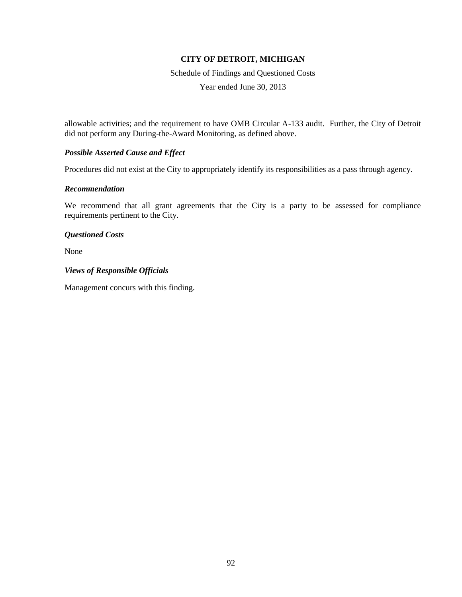Schedule of Findings and Questioned Costs Year ended June 30, 2013

allowable activities; and the requirement to have OMB Circular A-133 audit. Further, the City of Detroit did not perform any During-the-Award Monitoring, as defined above.

## *Possible Asserted Cause and Effect*

Procedures did not exist at the City to appropriately identify its responsibilities as a pass through agency.

## *Recommendation*

We recommend that all grant agreements that the City is a party to be assessed for compliance requirements pertinent to the City.

## *Questioned Costs*

None

## *Views of Responsible Officials*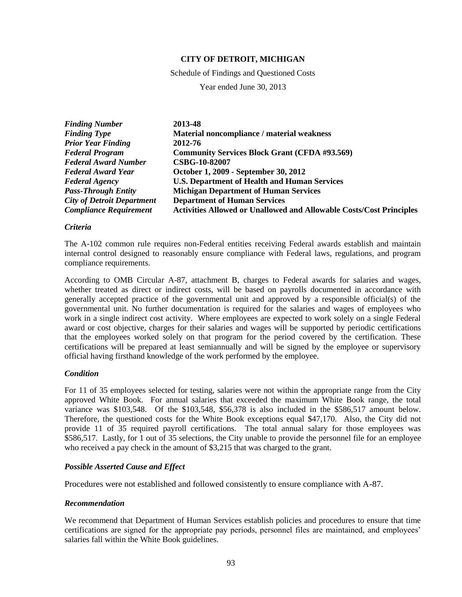Schedule of Findings and Questioned Costs

Year ended June 30, 2013

| <b>Finding Number</b>             | 2013-48                                                                    |
|-----------------------------------|----------------------------------------------------------------------------|
| <b>Finding Type</b>               | Material noncompliance / material weakness                                 |
| <b>Prior Year Finding</b>         | 2012-76                                                                    |
| <b>Federal Program</b>            | <b>Community Services Block Grant (CFDA #93.569)</b>                       |
| <b>Federal Award Number</b>       | CSBG-10-82007                                                              |
| <b>Federal Award Year</b>         | October 1, 2009 - September 30, 2012                                       |
| <b>Federal Agency</b>             | <b>U.S. Department of Health and Human Services</b>                        |
| <b>Pass-Through Entity</b>        | <b>Michigan Department of Human Services</b>                               |
| <b>City of Detroit Department</b> | <b>Department of Human Services</b>                                        |
| <b>Compliance Requirement</b>     | <b>Activities Allowed or Unallowed and Allowable Costs/Cost Principles</b> |

#### *Criteria*

The A-102 common rule requires non-Federal entities receiving Federal awards establish and maintain internal control designed to reasonably ensure compliance with Federal laws, regulations, and program compliance requirements.

According to OMB Circular A-87, attachment B, charges to Federal awards for salaries and wages, whether treated as direct or indirect costs, will be based on payrolls documented in accordance with generally accepted practice of the governmental unit and approved by a responsible official(s) of the governmental unit. No further documentation is required for the salaries and wages of employees who work in a single indirect cost activity. Where employees are expected to work solely on a single Federal award or cost objective, charges for their salaries and wages will be supported by periodic certifications that the employees worked solely on that program for the period covered by the certification. These certifications will be prepared at least semiannually and will be signed by the employee or supervisory official having firsthand knowledge of the work performed by the employee.

### *Condition*

For 11 of 35 employees selected for testing, salaries were not within the appropriate range from the City approved White Book. For annual salaries that exceeded the maximum White Book range, the total variance was \$103,548. Of the \$103,548, \$56,378 is also included in the \$586,517 amount below. Therefore, the questioned costs for the White Book exceptions equal \$47,170. Also, the City did not provide 11 of 35 required payroll certifications. The total annual salary for those employees was \$586,517. Lastly, for 1 out of 35 selections, the City unable to provide the personnel file for an employee who received a pay check in the amount of \$3,215 that was charged to the grant.

# *Possible Asserted Cause and Effect*

Procedures were not established and followed consistently to ensure compliance with A-87.

#### *Recommendation*

We recommend that Department of Human Services establish policies and procedures to ensure that time certifications are signed for the appropriate pay periods, personnel files are maintained, and employees' salaries fall within the White Book guidelines.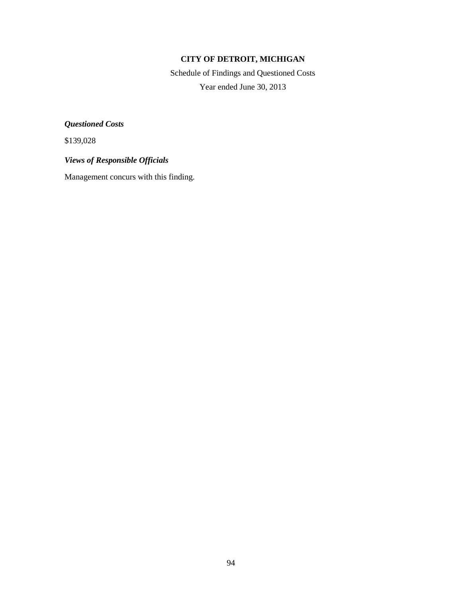Schedule of Findings and Questioned Costs Year ended June 30, 2013

*Questioned Costs*

\$139,028

*Views of Responsible Officials*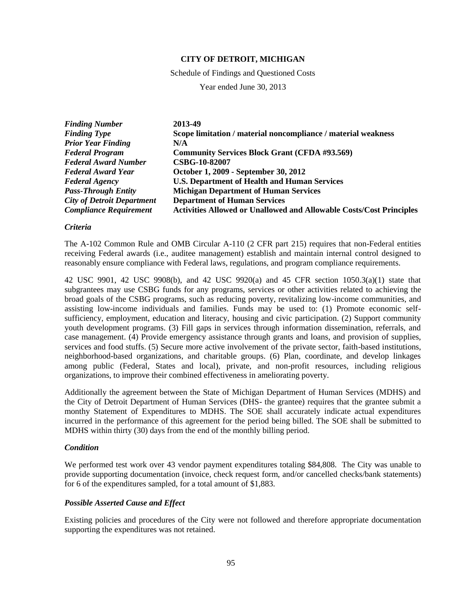Schedule of Findings and Questioned Costs

Year ended June 30, 2013

| <b>Finding Number</b>             | 2013-49                                                                    |
|-----------------------------------|----------------------------------------------------------------------------|
| <b>Finding Type</b>               | Scope limitation / material noncompliance / material weakness              |
| <b>Prior Year Finding</b>         | N/A                                                                        |
| <b>Federal Program</b>            | <b>Community Services Block Grant (CFDA #93.569)</b>                       |
| <b>Federal Award Number</b>       | CSBG-10-82007                                                              |
| <b>Federal Award Year</b>         | October 1, 2009 - September 30, 2012                                       |
| <b>Federal Agency</b>             | <b>U.S. Department of Health and Human Services</b>                        |
| <b>Pass-Through Entity</b>        | <b>Michigan Department of Human Services</b>                               |
| <b>City of Detroit Department</b> | <b>Department of Human Services</b>                                        |
| <b>Compliance Requirement</b>     | <b>Activities Allowed or Unallowed and Allowable Costs/Cost Principles</b> |

#### *Criteria*

The A-102 Common Rule and OMB Circular A-110 (2 CFR part 215) requires that non-Federal entities receiving Federal awards (i.e., auditee management) establish and maintain internal control designed to reasonably ensure compliance with Federal laws, regulations, and program compliance requirements.

42 USC 9901, 42 USC 9908(b), and 42 USC 9920(a) and 45 CFR section 1050.3(a)(1) state that subgrantees may use CSBG funds for any programs, services or other activities related to achieving the broad goals of the CSBG programs, such as reducing poverty, revitalizing low-income communities, and assisting low-income individuals and families. Funds may be used to: (1) Promote economic selfsufficiency, employment, education and literacy, housing and civic participation. (2) Support community youth development programs. (3) Fill gaps in services through information dissemination, referrals, and case management. (4) Provide emergency assistance through grants and loans, and provision of supplies, services and food stuffs. (5) Secure more active involvement of the private sector, faith-based institutions, neighborhood-based organizations, and charitable groups. (6) Plan, coordinate, and develop linkages among public (Federal, States and local), private, and non-profit resources, including religious organizations, to improve their combined effectiveness in ameliorating poverty.

Additionally the agreement between the State of Michigan Department of Human Services (MDHS) and the City of Detroit Department of Human Services (DHS- the grantee) requires that the grantee submit a monthy Statement of Expenditures to MDHS. The SOE shall accurately indicate actual expenditures incurred in the performance of this agreement for the period being billed. The SOE shall be submitted to MDHS within thirty (30) days from the end of the monthly billing period.

#### *Condition*

We performed test work over 43 vendor payment expenditures totaling \$84,808. The City was unable to provide supporting documentation (invoice, check request form, and/or cancelled checks/bank statements) for 6 of the expenditures sampled, for a total amount of \$1,883.

# *Possible Asserted Cause and Effect*

Existing policies and procedures of the City were not followed and therefore appropriate documentation supporting the expenditures was not retained.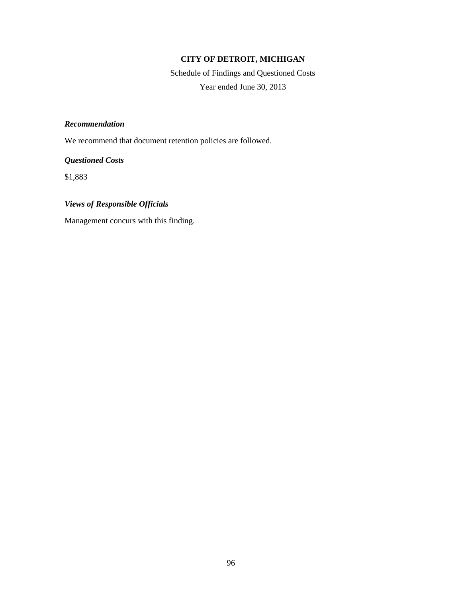Schedule of Findings and Questioned Costs Year ended June 30, 2013

# *Recommendation*

We recommend that document retention policies are followed.

# *Questioned Costs*

\$1,883

# *Views of Responsible Officials*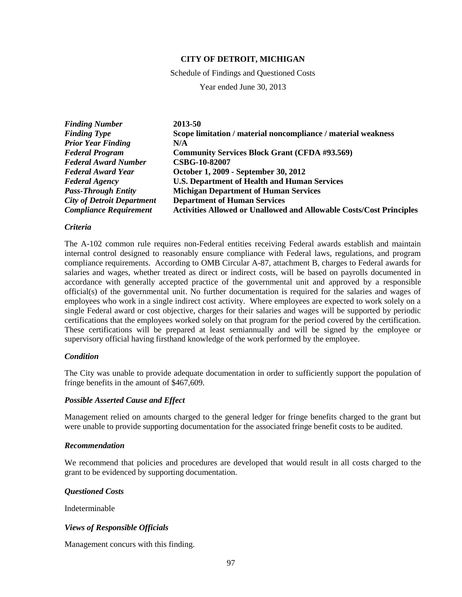Schedule of Findings and Questioned Costs

Year ended June 30, 2013

| <b>Finding Number</b>             | 2013-50                                                                    |
|-----------------------------------|----------------------------------------------------------------------------|
| <b>Finding Type</b>               | Scope limitation / material noncompliance / material weakness              |
| <b>Prior Year Finding</b>         | N/A                                                                        |
| <b>Federal Program</b>            | <b>Community Services Block Grant (CFDA #93.569)</b>                       |
| <b>Federal Award Number</b>       | CSBG-10-82007                                                              |
| <b>Federal Award Year</b>         | October 1, 2009 - September 30, 2012                                       |
| <b>Federal Agency</b>             | <b>U.S. Department of Health and Human Services</b>                        |
| <b>Pass-Through Entity</b>        | <b>Michigan Department of Human Services</b>                               |
| <b>City of Detroit Department</b> | <b>Department of Human Services</b>                                        |
| <b>Compliance Requirement</b>     | <b>Activities Allowed or Unallowed and Allowable Costs/Cost Principles</b> |

#### *Criteria*

The A-102 common rule requires non-Federal entities receiving Federal awards establish and maintain internal control designed to reasonably ensure compliance with Federal laws, regulations, and program compliance requirements. According to OMB Circular A-87, attachment B, charges to Federal awards for salaries and wages, whether treated as direct or indirect costs, will be based on payrolls documented in accordance with generally accepted practice of the governmental unit and approved by a responsible official(s) of the governmental unit. No further documentation is required for the salaries and wages of employees who work in a single indirect cost activity. Where employees are expected to work solely on a single Federal award or cost objective, charges for their salaries and wages will be supported by periodic certifications that the employees worked solely on that program for the period covered by the certification. These certifications will be prepared at least semiannually and will be signed by the employee or supervisory official having firsthand knowledge of the work performed by the employee.

# *Condition*

The City was unable to provide adequate documentation in order to sufficiently support the population of fringe benefits in the amount of \$467,609.

#### *Possible Asserted Cause and Effect*

Management relied on amounts charged to the general ledger for fringe benefits charged to the grant but were unable to provide supporting documentation for the associated fringe benefit costs to be audited.

#### *Recommendation*

We recommend that policies and procedures are developed that would result in all costs charged to the grant to be evidenced by supporting documentation.

#### *Questioned Costs*

Indeterminable

#### *Views of Responsible Officials*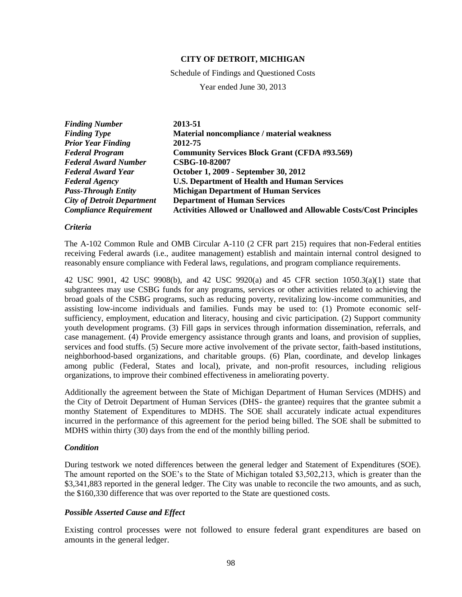Schedule of Findings and Questioned Costs

Year ended June 30, 2013

| <b>Finding Number</b>             | 2013-51                                                                    |
|-----------------------------------|----------------------------------------------------------------------------|
| <b>Finding Type</b>               | Material noncompliance / material weakness                                 |
| <b>Prior Year Finding</b>         | 2012-75                                                                    |
| <b>Federal Program</b>            | <b>Community Services Block Grant (CFDA #93.569)</b>                       |
| <b>Federal Award Number</b>       | <b>CSBG-10-82007</b>                                                       |
| <b>Federal Award Year</b>         | October 1, 2009 - September 30, 2012                                       |
| <b>Federal Agency</b>             | <b>U.S. Department of Health and Human Services</b>                        |
| <b>Pass-Through Entity</b>        | <b>Michigan Department of Human Services</b>                               |
| <b>City of Detroit Department</b> | <b>Department of Human Services</b>                                        |
| <b>Compliance Requirement</b>     | <b>Activities Allowed or Unallowed and Allowable Costs/Cost Principles</b> |

#### *Criteria*

The A-102 Common Rule and OMB Circular A-110 (2 CFR part 215) requires that non-Federal entities receiving Federal awards (i.e., auditee management) establish and maintain internal control designed to reasonably ensure compliance with Federal laws, regulations, and program compliance requirements.

42 USC 9901, 42 USC 9908(b), and 42 USC 9920(a) and 45 CFR section 1050.3(a)(1) state that subgrantees may use CSBG funds for any programs, services or other activities related to achieving the broad goals of the CSBG programs, such as reducing poverty, revitalizing low-income communities, and assisting low-income individuals and families. Funds may be used to: (1) Promote economic selfsufficiency, employment, education and literacy, housing and civic participation. (2) Support community youth development programs. (3) Fill gaps in services through information dissemination, referrals, and case management. (4) Provide emergency assistance through grants and loans, and provision of supplies, services and food stuffs. (5) Secure more active involvement of the private sector, faith-based institutions, neighborhood-based organizations, and charitable groups. (6) Plan, coordinate, and develop linkages among public (Federal, States and local), private, and non-profit resources, including religious organizations, to improve their combined effectiveness in ameliorating poverty.

Additionally the agreement between the State of Michigan Department of Human Services (MDHS) and the City of Detroit Department of Human Services (DHS- the grantee) requires that the grantee submit a monthy Statement of Expenditures to MDHS. The SOE shall accurately indicate actual expenditures incurred in the performance of this agreement for the period being billed. The SOE shall be submitted to MDHS within thirty (30) days from the end of the monthly billing period.

#### *Condition*

During testwork we noted differences between the general ledger and Statement of Expenditures (SOE). The amount reported on the SOE's to the State of Michigan totaled \$3,502,213, which is greater than the \$3,341,883 reported in the general ledger. The City was unable to reconcile the two amounts, and as such, the \$160,330 difference that was over reported to the State are questioned costs.

# *Possible Asserted Cause and Effect*

Existing control processes were not followed to ensure federal grant expenditures are based on amounts in the general ledger.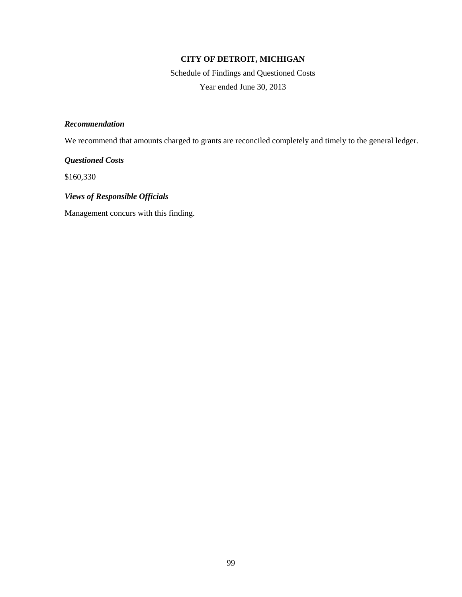Schedule of Findings and Questioned Costs Year ended June 30, 2013

## *Recommendation*

We recommend that amounts charged to grants are reconciled completely and timely to the general ledger.

# *Questioned Costs*

\$160,330

# *Views of Responsible Officials*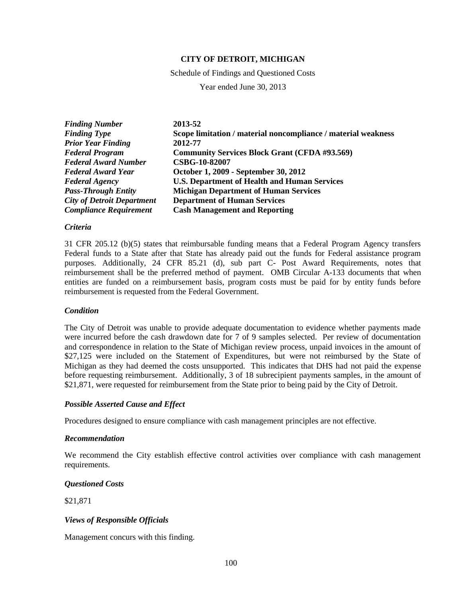Schedule of Findings and Questioned Costs

Year ended June 30, 2013

| <b>Finding Number</b>             | 2013-52                                                       |
|-----------------------------------|---------------------------------------------------------------|
| <b>Finding Type</b>               | Scope limitation / material noncompliance / material weakness |
| <b>Prior Year Finding</b>         | 2012-77                                                       |
| <b>Federal Program</b>            | <b>Community Services Block Grant (CFDA #93.569)</b>          |
| <b>Federal Award Number</b>       | <b>CSBG-10-82007</b>                                          |
| <b>Federal Award Year</b>         | October 1, 2009 - September 30, 2012                          |
| <b>Federal Agency</b>             | <b>U.S. Department of Health and Human Services</b>           |
| <b>Pass-Through Entity</b>        | <b>Michigan Department of Human Services</b>                  |
| <b>City of Detroit Department</b> | <b>Department of Human Services</b>                           |
| <b>Compliance Requirement</b>     | <b>Cash Management and Reporting</b>                          |

#### *Criteria*

31 CFR 205.12 (b)(5) states that reimbursable funding means that a Federal Program Agency transfers Federal funds to a State after that State has already paid out the funds for Federal assistance program purposes. Additionally, 24 CFR 85.21 (d), sub part C- Post Award Requirements, notes that reimbursement shall be the preferred method of payment. OMB Circular A-133 documents that when entities are funded on a reimbursement basis, program costs must be paid for by entity funds before reimbursement is requested from the Federal Government.

## *Condition*

The City of Detroit was unable to provide adequate documentation to evidence whether payments made were incurred before the cash drawdown date for 7 of 9 samples selected. Per review of documentation and correspondence in relation to the State of Michigan review process, unpaid invoices in the amount of \$27,125 were included on the Statement of Expenditures, but were not reimbursed by the State of Michigan as they had deemed the costs unsupported. This indicates that DHS had not paid the expense before requesting reimbursement. Additionally, 3 of 18 subrecipient payments samples, in the amount of \$21,871, were requested for reimbursement from the State prior to being paid by the City of Detroit.

#### *Possible Asserted Cause and Effect*

Procedures designed to ensure compliance with cash management principles are not effective.

#### *Recommendation*

We recommend the City establish effective control activities over compliance with cash management requirements.

#### *Questioned Costs*

\$21,871

#### *Views of Responsible Officials*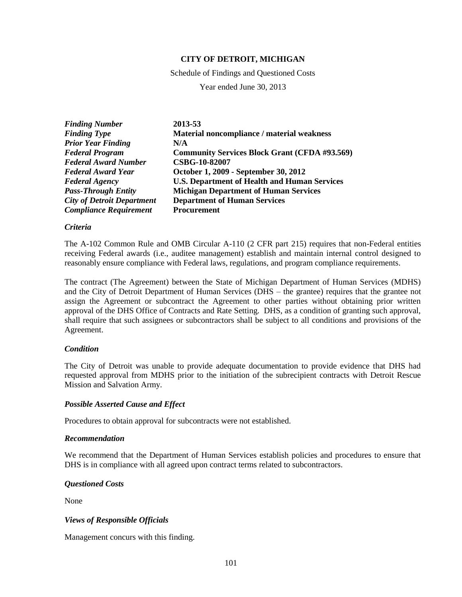Schedule of Findings and Questioned Costs

Year ended June 30, 2013

| <b>Finding Number</b>             | 2013-53                                              |
|-----------------------------------|------------------------------------------------------|
| <b>Finding Type</b>               | Material noncompliance / material weakness           |
| <b>Prior Year Finding</b>         | N/A                                                  |
| <b>Federal Program</b>            | <b>Community Services Block Grant (CFDA #93.569)</b> |
| <b>Federal Award Number</b>       | <b>CSBG-10-82007</b>                                 |
| <b>Federal Award Year</b>         | October 1, 2009 - September 30, 2012                 |
| <b>Federal Agency</b>             | <b>U.S. Department of Health and Human Services</b>  |
| <b>Pass-Through Entity</b>        | <b>Michigan Department of Human Services</b>         |
| <b>City of Detroit Department</b> | <b>Department of Human Services</b>                  |
| <b>Compliance Requirement</b>     | Procurement                                          |

#### *Criteria*

The A-102 Common Rule and OMB Circular A-110 (2 CFR part 215) requires that non-Federal entities receiving Federal awards (i.e., auditee management) establish and maintain internal control designed to reasonably ensure compliance with Federal laws, regulations, and program compliance requirements.

The contract (The Agreement) between the State of Michigan Department of Human Services (MDHS) and the City of Detroit Department of Human Services (DHS – the grantee) requires that the grantee not assign the Agreement or subcontract the Agreement to other parties without obtaining prior written approval of the DHS Office of Contracts and Rate Setting. DHS, as a condition of granting such approval, shall require that such assignees or subcontractors shall be subject to all conditions and provisions of the Agreement.

## *Condition*

The City of Detroit was unable to provide adequate documentation to provide evidence that DHS had requested approval from MDHS prior to the initiation of the subrecipient contracts with Detroit Rescue Mission and Salvation Army.

#### *Possible Asserted Cause and Effect*

Procedures to obtain approval for subcontracts were not established.

#### *Recommendation*

We recommend that the Department of Human Services establish policies and procedures to ensure that DHS is in compliance with all agreed upon contract terms related to subcontractors.

#### *Questioned Costs*

None

#### *Views of Responsible Officials*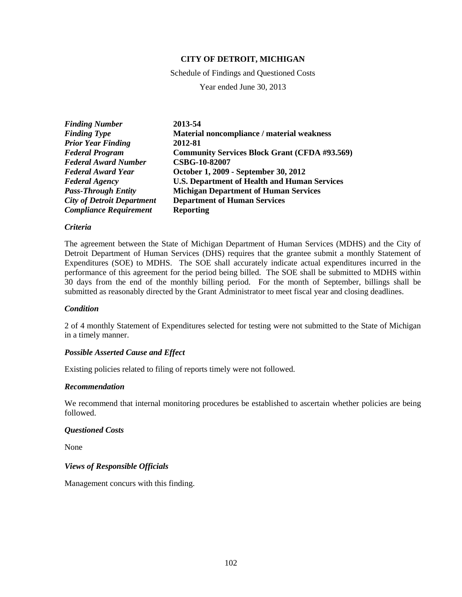Schedule of Findings and Questioned Costs

Year ended June 30, 2013

| <b>Finding Number</b>             | 2013-54                                              |
|-----------------------------------|------------------------------------------------------|
| <b>Finding Type</b>               | Material noncompliance / material weakness           |
| <b>Prior Year Finding</b>         | 2012-81                                              |
| <b>Federal Program</b>            | <b>Community Services Block Grant (CFDA #93.569)</b> |
| <b>Federal Award Number</b>       | <b>CSBG-10-82007</b>                                 |
| <b>Federal Award Year</b>         | October 1, 2009 - September 30, 2012                 |
| <b>Federal Agency</b>             | <b>U.S. Department of Health and Human Services</b>  |
| <b>Pass-Through Entity</b>        | <b>Michigan Department of Human Services</b>         |
| <b>City of Detroit Department</b> | <b>Department of Human Services</b>                  |
| <b>Compliance Requirement</b>     | <b>Reporting</b>                                     |

#### *Criteria*

The agreement between the State of Michigan Department of Human Services (MDHS) and the City of Detroit Department of Human Services (DHS) requires that the grantee submit a monthly Statement of Expenditures (SOE) to MDHS. The SOE shall accurately indicate actual expenditures incurred in the performance of this agreement for the period being billed. The SOE shall be submitted to MDHS within 30 days from the end of the monthly billing period. For the month of September, billings shall be submitted as reasonably directed by the Grant Administrator to meet fiscal year and closing deadlines.

### *Condition*

2 of 4 monthly Statement of Expenditures selected for testing were not submitted to the State of Michigan in a timely manner.

## *Possible Asserted Cause and Effect*

Existing policies related to filing of reports timely were not followed.

# *Recommendation*

We recommend that internal monitoring procedures be established to ascertain whether policies are being followed.

#### *Questioned Costs*

None

#### *Views of Responsible Officials*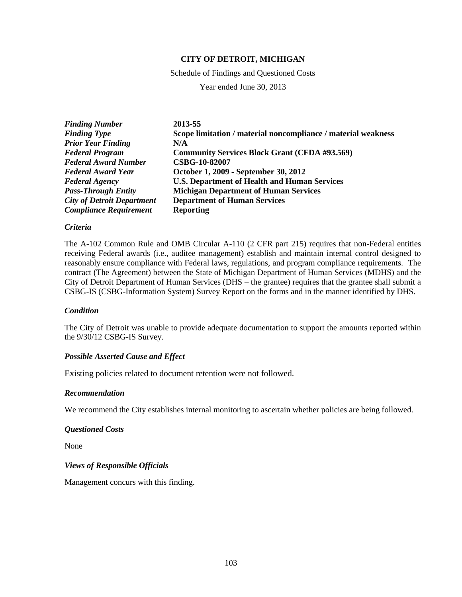Schedule of Findings and Questioned Costs

Year ended June 30, 2013

| <b>Finding Number</b>             | 2013-55                                                       |
|-----------------------------------|---------------------------------------------------------------|
| <b>Finding Type</b>               | Scope limitation / material noncompliance / material weakness |
| <b>Prior Year Finding</b>         | N/A                                                           |
| <b>Federal Program</b>            | <b>Community Services Block Grant (CFDA #93.569)</b>          |
| <b>Federal Award Number</b>       | <b>CSBG-10-82007</b>                                          |
| <b>Federal Award Year</b>         | October 1, 2009 - September 30, 2012                          |
| <b>Federal Agency</b>             | <b>U.S. Department of Health and Human Services</b>           |
| <b>Pass-Through Entity</b>        | <b>Michigan Department of Human Services</b>                  |
| <b>City of Detroit Department</b> | <b>Department of Human Services</b>                           |
| <b>Compliance Requirement</b>     | <b>Reporting</b>                                              |

#### *Criteria*

The A-102 Common Rule and OMB Circular A-110 (2 CFR part 215) requires that non-Federal entities receiving Federal awards (i.e., auditee management) establish and maintain internal control designed to reasonably ensure compliance with Federal laws, regulations, and program compliance requirements. The contract (The Agreement) between the State of Michigan Department of Human Services (MDHS) and the City of Detroit Department of Human Services (DHS – the grantee) requires that the grantee shall submit a CSBG-IS (CSBG-Information System) Survey Report on the forms and in the manner identified by DHS.

## *Condition*

The City of Detroit was unable to provide adequate documentation to support the amounts reported within the 9/30/12 CSBG-IS Survey.

# *Possible Asserted Cause and Effect*

Existing policies related to document retention were not followed.

#### *Recommendation*

We recommend the City establishes internal monitoring to ascertain whether policies are being followed.

#### *Questioned Costs*

None

#### *Views of Responsible Officials*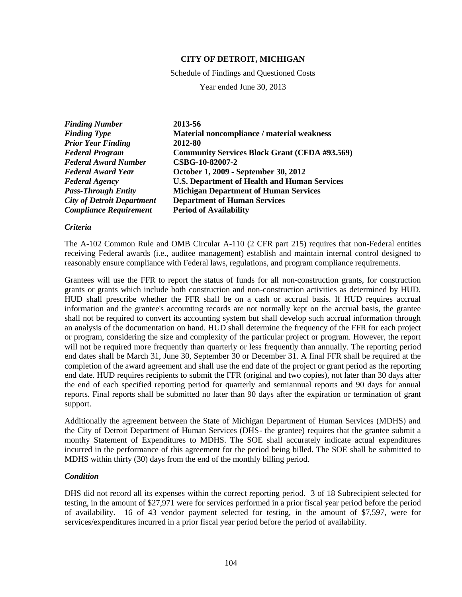Schedule of Findings and Questioned Costs

Year ended June 30, 2013

| <b>Finding Number</b>             | 2013-56                                              |
|-----------------------------------|------------------------------------------------------|
| <b>Finding Type</b>               | Material noncompliance / material weakness           |
| <b>Prior Year Finding</b>         | 2012-80                                              |
| <b>Federal Program</b>            | <b>Community Services Block Grant (CFDA #93.569)</b> |
| <b>Federal Award Number</b>       | CSBG-10-82007-2                                      |
| <b>Federal Award Year</b>         | October 1, 2009 - September 30, 2012                 |
| <b>Federal Agency</b>             | <b>U.S. Department of Health and Human Services</b>  |
| <b>Pass-Through Entity</b>        | <b>Michigan Department of Human Services</b>         |
| <b>City of Detroit Department</b> | <b>Department of Human Services</b>                  |
| <b>Compliance Requirement</b>     | <b>Period of Availability</b>                        |

#### *Criteria*

The A-102 Common Rule and OMB Circular A-110 (2 CFR part 215) requires that non-Federal entities receiving Federal awards (i.e., auditee management) establish and maintain internal control designed to reasonably ensure compliance with Federal laws, regulations, and program compliance requirements.

Grantees will use the FFR to report the status of funds for all non-construction grants, for construction grants or grants which include both construction and non-construction activities as determined by HUD. HUD shall prescribe whether the FFR shall be on a cash or accrual basis. If HUD requires accrual information and the grantee's accounting records are not normally kept on the accrual basis, the grantee shall not be required to convert its accounting system but shall develop such accrual information through an analysis of the documentation on hand. HUD shall determine the frequency of the FFR for each project or program, considering the size and complexity of the particular project or program. However, the report will not be required more frequently than quarterly or less frequently than annually. The reporting period end dates shall be March 31, June 30, September 30 or December 31. A final FFR shall be required at the completion of the award agreement and shall use the end date of the project or grant period as the reporting end date. HUD requires recipients to submit the FFR (original and two copies), not later than 30 days after the end of each specified reporting period for quarterly and semiannual reports and 90 days for annual reports. Final reports shall be submitted no later than 90 days after the expiration or termination of grant support.

Additionally the agreement between the State of Michigan Department of Human Services (MDHS) and the City of Detroit Department of Human Services (DHS- the grantee) requires that the grantee submit a monthy Statement of Expenditures to MDHS. The SOE shall accurately indicate actual expenditures incurred in the performance of this agreement for the period being billed. The SOE shall be submitted to MDHS within thirty (30) days from the end of the monthly billing period.

#### *Condition*

DHS did not record all its expenses within the correct reporting period. 3 of 18 Subrecipient selected for testing, in the amount of \$27,971 were for services performed in a prior fiscal year period before the period of availability. 16 of 43 vendor payment selected for testing, in the amount of \$7,597, were for services/expenditures incurred in a prior fiscal year period before the period of availability.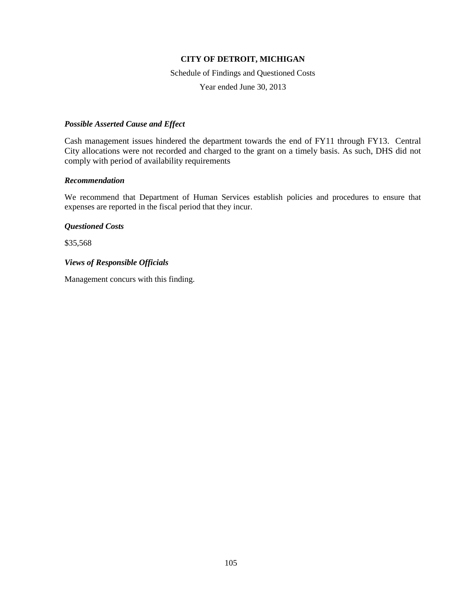Schedule of Findings and Questioned Costs Year ended June 30, 2013

## *Possible Asserted Cause and Effect*

Cash management issues hindered the department towards the end of FY11 through FY13. Central City allocations were not recorded and charged to the grant on a timely basis. As such, DHS did not comply with period of availability requirements

## *Recommendation*

We recommend that Department of Human Services establish policies and procedures to ensure that expenses are reported in the fiscal period that they incur.

## *Questioned Costs*

\$35,568

## *Views of Responsible Officials*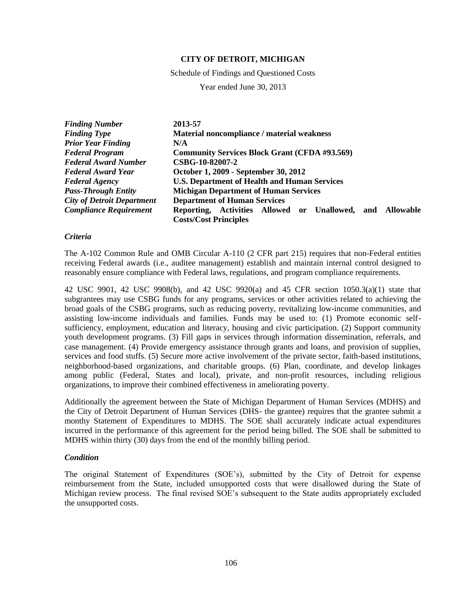Schedule of Findings and Questioned Costs

Year ended June 30, 2013

| <b>Finding Number</b>             | 2013-57                                                      |
|-----------------------------------|--------------------------------------------------------------|
| <b>Finding Type</b>               | Material noncompliance / material weakness                   |
| <b>Prior Year Finding</b>         | N/A                                                          |
| <b>Federal Program</b>            | <b>Community Services Block Grant (CFDA #93.569)</b>         |
| <b>Federal Award Number</b>       | CSBG-10-82007-2                                              |
| Federal Award Year                | October 1, 2009 - September 30, 2012                         |
| <b>Federal Agency</b>             | <b>U.S. Department of Health and Human Services</b>          |
| <b>Pass-Through Entity</b>        | <b>Michigan Department of Human Services</b>                 |
| <b>City of Detroit Department</b> | <b>Department of Human Services</b>                          |
| <b>Compliance Requirement</b>     | Reporting, Activities Allowed or Unallowed,<br>and Allowable |
|                                   | <b>Costs/Cost Principles</b>                                 |

#### *Criteria*

The A-102 Common Rule and OMB Circular A-110 (2 CFR part 215) requires that non-Federal entities receiving Federal awards (i.e., auditee management) establish and maintain internal control designed to reasonably ensure compliance with Federal laws, regulations, and program compliance requirements.

42 USC 9901, 42 USC 9908(b), and 42 USC 9920(a) and 45 CFR section 1050.3(a)(1) state that subgrantees may use CSBG funds for any programs, services or other activities related to achieving the broad goals of the CSBG programs, such as reducing poverty, revitalizing low-income communities, and assisting low-income individuals and families. Funds may be used to: (1) Promote economic selfsufficiency, employment, education and literacy, housing and civic participation. (2) Support community youth development programs. (3) Fill gaps in services through information dissemination, referrals, and case management. (4) Provide emergency assistance through grants and loans, and provision of supplies, services and food stuffs. (5) Secure more active involvement of the private sector, faith-based institutions, neighborhood-based organizations, and charitable groups. (6) Plan, coordinate, and develop linkages among public (Federal, States and local), private, and non-profit resources, including religious organizations, to improve their combined effectiveness in ameliorating poverty.

Additionally the agreement between the State of Michigan Department of Human Services (MDHS) and the City of Detroit Department of Human Services (DHS- the grantee) requires that the grantee submit a monthy Statement of Expenditures to MDHS. The SOE shall accurately indicate actual expenditures incurred in the performance of this agreement for the period being billed. The SOE shall be submitted to MDHS within thirty (30) days from the end of the monthly billing period.

#### *Condition*

The original Statement of Expenditures (SOE's), submitted by the City of Detroit for expense reimbursement from the State, included unsupported costs that were disallowed during the State of Michigan review process. The final revised SOE's subsequent to the State audits appropriately excluded the unsupported costs.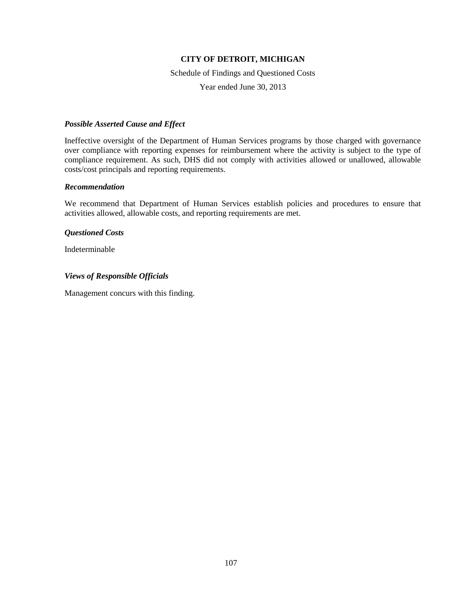Schedule of Findings and Questioned Costs Year ended June 30, 2013

# *Possible Asserted Cause and Effect*

Ineffective oversight of the Department of Human Services programs by those charged with governance over compliance with reporting expenses for reimbursement where the activity is subject to the type of compliance requirement. As such, DHS did not comply with activities allowed or unallowed, allowable costs/cost principals and reporting requirements.

#### *Recommendation*

We recommend that Department of Human Services establish policies and procedures to ensure that activities allowed, allowable costs, and reporting requirements are met.

#### *Questioned Costs*

Indeterminable

# *Views of Responsible Officials*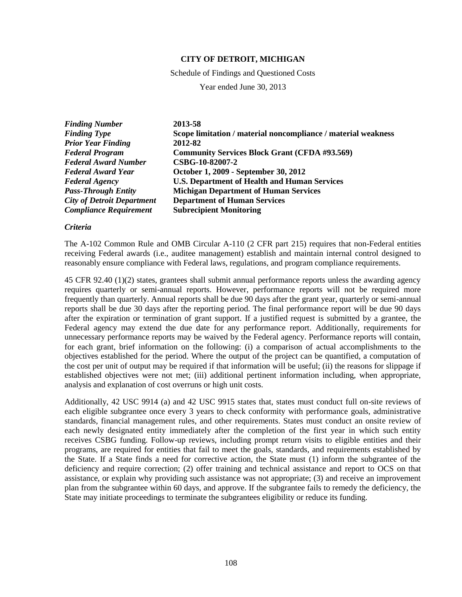Schedule of Findings and Questioned Costs

Year ended June 30, 2013

| <b>Finding Number</b>             | 2013-58                                                       |
|-----------------------------------|---------------------------------------------------------------|
| <b>Finding Type</b>               | Scope limitation / material noncompliance / material weakness |
| <b>Prior Year Finding</b>         | 2012-82                                                       |
| <b>Federal Program</b>            | <b>Community Services Block Grant (CFDA #93.569)</b>          |
| <b>Federal Award Number</b>       | CSBG-10-82007-2                                               |
| <b>Federal Award Year</b>         | October 1, 2009 - September 30, 2012                          |
| <b>Federal Agency</b>             | <b>U.S. Department of Health and Human Services</b>           |
| <b>Pass-Through Entity</b>        | <b>Michigan Department of Human Services</b>                  |
| <b>City of Detroit Department</b> | <b>Department of Human Services</b>                           |
| <b>Compliance Requirement</b>     | <b>Subrecipient Monitoring</b>                                |

#### *Criteria*

The A-102 Common Rule and OMB Circular A-110 (2 CFR part 215) requires that non-Federal entities receiving Federal awards (i.e., auditee management) establish and maintain internal control designed to reasonably ensure compliance with Federal laws, regulations, and program compliance requirements.

45 CFR 92.40 (1)(2) states, grantees shall submit annual performance reports unless the awarding agency requires quarterly or semi-annual reports. However, performance reports will not be required more frequently than quarterly. Annual reports shall be due 90 days after the grant year, quarterly or semi-annual reports shall be due 30 days after the reporting period. The final performance report will be due 90 days after the expiration or termination of grant support. If a justified request is submitted by a grantee, the Federal agency may extend the due date for any performance report. Additionally, requirements for unnecessary performance reports may be waived by the Federal agency. Performance reports will contain, for each grant, brief information on the following: (i) a comparison of actual accomplishments to the objectives established for the period. Where the output of the project can be quantified, a computation of the cost per unit of output may be required if that information will be useful; (ii) the reasons for slippage if established objectives were not met; (iii) additional pertinent information including, when appropriate, analysis and explanation of cost overruns or high unit costs.

Additionally, 42 USC 9914 (a) and 42 USC 9915 states that, states must conduct full on-site reviews of each eligible subgrantee once every 3 years to check conformity with performance goals, administrative standards, financial management rules, and other requirements. States must conduct an onsite review of each newly designated entity immediately after the completion of the first year in which such entity receives CSBG funding. Follow-up reviews, including prompt return visits to eligible entities and their programs, are required for entities that fail to meet the goals, standards, and requirements established by the State. If a State finds a need for corrective action, the State must (1) inform the subgrantee of the deficiency and require correction; (2) offer training and technical assistance and report to OCS on that assistance, or explain why providing such assistance was not appropriate; (3) and receive an improvement plan from the subgrantee within 60 days, and approve. If the subgrantee fails to remedy the deficiency, the State may initiate proceedings to terminate the subgrantees eligibility or reduce its funding.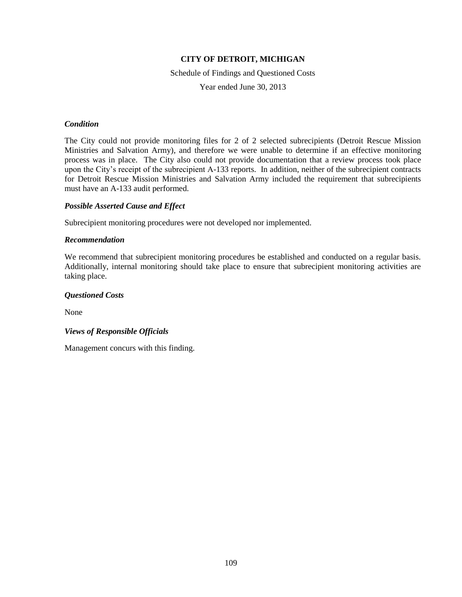Schedule of Findings and Questioned Costs Year ended June 30, 2013

#### *Condition*

The City could not provide monitoring files for 2 of 2 selected subrecipients (Detroit Rescue Mission Ministries and Salvation Army), and therefore we were unable to determine if an effective monitoring process was in place. The City also could not provide documentation that a review process took place upon the City's receipt of the subrecipient A-133 reports. In addition, neither of the subrecipient contracts for Detroit Rescue Mission Ministries and Salvation Army included the requirement that subrecipients must have an A-133 audit performed.

#### *Possible Asserted Cause and Effect*

Subrecipient monitoring procedures were not developed nor implemented.

#### *Recommendation*

We recommend that subrecipient monitoring procedures be established and conducted on a regular basis. Additionally, internal monitoring should take place to ensure that subrecipient monitoring activities are taking place.

#### *Questioned Costs*

None

#### *Views of Responsible Officials*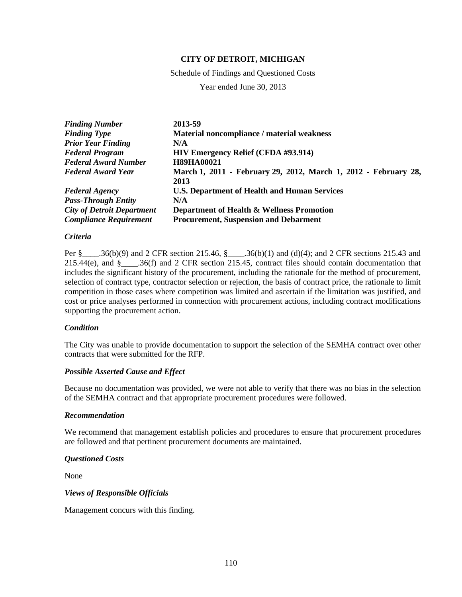Schedule of Findings and Questioned Costs

Year ended June 30, 2013

| <b>Finding Number</b>             | 2013-59                                                                 |
|-----------------------------------|-------------------------------------------------------------------------|
| <b>Finding Type</b>               | Material noncompliance / material weakness                              |
| <b>Prior Year Finding</b>         | N/A                                                                     |
| <b>Federal Program</b>            | <b>HIV Emergency Relief (CFDA #93.914)</b>                              |
| <b>Federal Award Number</b>       | <b>H89HA00021</b>                                                       |
| <b>Federal Award Year</b>         | March 1, 2011 - February 29, 2012, March 1, 2012 - February 28,<br>2013 |
| <b>Federal Agency</b>             | <b>U.S. Department of Health and Human Services</b>                     |
| <b>Pass-Through Entity</b>        | N/A                                                                     |
| <b>City of Detroit Department</b> | Department of Health & Wellness Promotion                               |
| <b>Compliance Requirement</b>     | <b>Procurement, Suspension and Debarment</b>                            |

#### *Criteria*

Per §\_\_\_\_.36(b)(9) and 2 CFR section 215.46, §\_\_\_\_.36(b)(1) and (d)(4); and 2 CFR sections 215.43 and 215.44(e), and §\_\_\_\_.36(f) and 2 CFR section 215.45, contract files should contain documentation that includes the significant history of the procurement, including the rationale for the method of procurement, selection of contract type, contractor selection or rejection, the basis of contract price, the rationale to limit competition in those cases where competition was limited and ascertain if the limitation was justified, and cost or price analyses performed in connection with procurement actions, including contract modifications supporting the procurement action.

#### *Condition*

The City was unable to provide documentation to support the selection of the SEMHA contract over other contracts that were submitted for the RFP.

#### *Possible Asserted Cause and Effect*

Because no documentation was provided, we were not able to verify that there was no bias in the selection of the SEMHA contract and that appropriate procurement procedures were followed.

#### *Recommendation*

We recommend that management establish policies and procedures to ensure that procurement procedures are followed and that pertinent procurement documents are maintained.

#### *Questioned Costs*

None

#### *Views of Responsible Officials*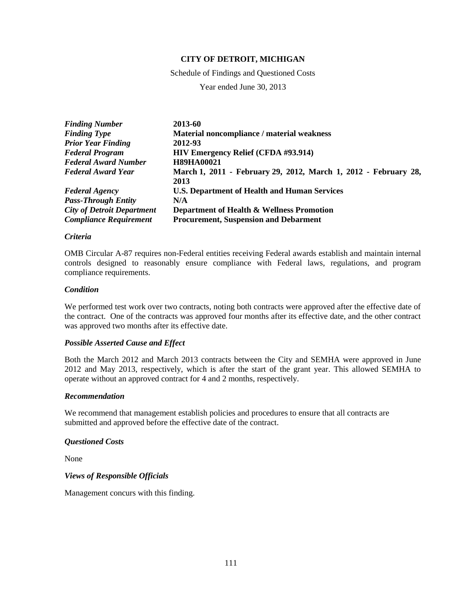Schedule of Findings and Questioned Costs

Year ended June 30, 2013

| <b>Finding Number</b>             | 2013-60                                                                 |
|-----------------------------------|-------------------------------------------------------------------------|
| <b>Finding Type</b>               | Material noncompliance / material weakness                              |
| <b>Prior Year Finding</b>         | 2012-93                                                                 |
| <b>Federal Program</b>            | <b>HIV Emergency Relief (CFDA #93.914)</b>                              |
| <b>Federal Award Number</b>       | <b>H89HA00021</b>                                                       |
| <b>Federal Award Year</b>         | March 1, 2011 - February 29, 2012, March 1, 2012 - February 28,<br>2013 |
| <b>Federal Agency</b>             | <b>U.S. Department of Health and Human Services</b>                     |
| <b>Pass-Through Entity</b>        | N/A                                                                     |
| <b>City of Detroit Department</b> | <b>Department of Health &amp; Wellness Promotion</b>                    |
| <b>Compliance Requirement</b>     | <b>Procurement, Suspension and Debarment</b>                            |

#### *Criteria*

OMB Circular A-87 requires non-Federal entities receiving Federal awards establish and maintain internal controls designed to reasonably ensure compliance with Federal laws, regulations, and program compliance requirements.

#### *Condition*

We performed test work over two contracts, noting both contracts were approved after the effective date of the contract. One of the contracts was approved four months after its effective date, and the other contract was approved two months after its effective date.

#### *Possible Asserted Cause and Effect*

Both the March 2012 and March 2013 contracts between the City and SEMHA were approved in June 2012 and May 2013, respectively, which is after the start of the grant year. This allowed SEMHA to operate without an approved contract for 4 and 2 months, respectively.

#### *Recommendation*

We recommend that management establish policies and procedures to ensure that all contracts are submitted and approved before the effective date of the contract.

#### *Questioned Costs*

None

#### *Views of Responsible Officials*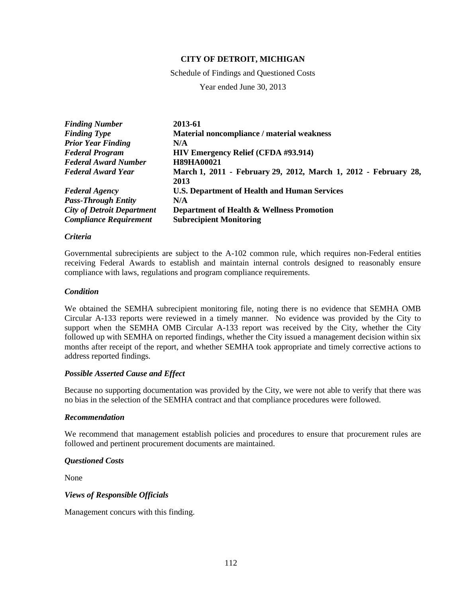Schedule of Findings and Questioned Costs

Year ended June 30, 2013

| <b>Finding Number</b>             | 2013-61                                                                 |
|-----------------------------------|-------------------------------------------------------------------------|
| <b>Finding Type</b>               | Material noncompliance / material weakness                              |
| <b>Prior Year Finding</b>         | N/A                                                                     |
| <b>Federal Program</b>            | <b>HIV Emergency Relief (CFDA #93.914)</b>                              |
| <b>Federal Award Number</b>       | <b>H89HA00021</b>                                                       |
| <b>Federal Award Year</b>         | March 1, 2011 - February 29, 2012, March 1, 2012 - February 28,<br>2013 |
| <b>Federal Agency</b>             | U.S. Department of Health and Human Services                            |
| <b>Pass-Through Entity</b>        | N/A                                                                     |
| <b>City of Detroit Department</b> | <b>Department of Health &amp; Wellness Promotion</b>                    |
| <b>Compliance Requirement</b>     | <b>Subrecipient Monitoring</b>                                          |

#### *Criteria*

Governmental subrecipients are subject to the A-102 common rule, which requires non-Federal entities receiving Federal Awards to establish and maintain internal controls designed to reasonably ensure compliance with laws, regulations and program compliance requirements.

# *Condition*

We obtained the SEMHA subrecipient monitoring file, noting there is no evidence that SEMHA OMB Circular A-133 reports were reviewed in a timely manner. No evidence was provided by the City to support when the SEMHA OMB Circular A-133 report was received by the City, whether the City followed up with SEMHA on reported findings, whether the City issued a management decision within six months after receipt of the report, and whether SEMHA took appropriate and timely corrective actions to address reported findings.

#### *Possible Asserted Cause and Effect*

Because no supporting documentation was provided by the City, we were not able to verify that there was no bias in the selection of the SEMHA contract and that compliance procedures were followed.

#### *Recommendation*

We recommend that management establish policies and procedures to ensure that procurement rules are followed and pertinent procurement documents are maintained.

#### *Questioned Costs*

None

*Views of Responsible Officials*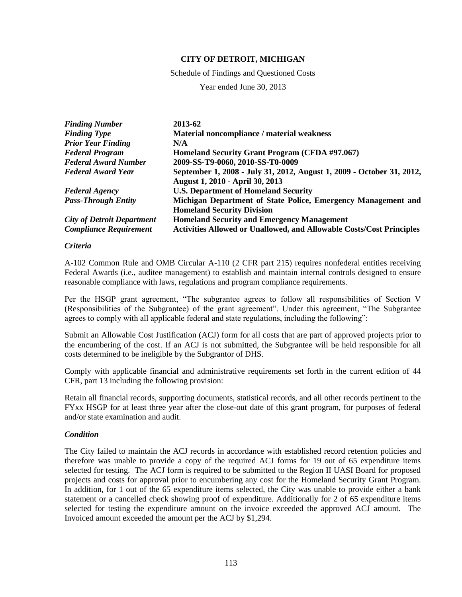Schedule of Findings and Questioned Costs

Year ended June 30, 2013

| <b>Finding Number</b>             | 2013-62                                                                     |
|-----------------------------------|-----------------------------------------------------------------------------|
| <b>Finding Type</b>               | Material noncompliance / material weakness                                  |
| <b>Prior Year Finding</b>         | N/A                                                                         |
| <b>Federal Program</b>            | Homeland Security Grant Program (CFDA #97.067)                              |
| <b>Federal Award Number</b>       | 2009-SS-T9-0060, 2010-SS-T0-0009                                            |
| <b>Federal Award Year</b>         | September 1, 2008 - July 31, 2012, August 1, 2009 - October 31, 2012,       |
|                                   | <b>August 1, 2010 - April 30, 2013</b>                                      |
| <b>Federal Agency</b>             | <b>U.S. Department of Homeland Security</b>                                 |
| <b>Pass-Through Entity</b>        | Michigan Department of State Police, Emergency Management and               |
|                                   | <b>Homeland Security Division</b>                                           |
| <b>City of Detroit Department</b> | <b>Homeland Security and Emergency Management</b>                           |
| <b>Compliance Requirement</b>     | <b>Activities Allowed or Unallowed, and Allowable Costs/Cost Principles</b> |

#### *Criteria*

A-102 Common Rule and OMB Circular A-110 (2 CFR part 215) requires nonfederal entities receiving Federal Awards (i.e., auditee management) to establish and maintain internal controls designed to ensure reasonable compliance with laws, regulations and program compliance requirements.

Per the HSGP grant agreement, "The subgrantee agrees to follow all responsibilities of Section V (Responsibilities of the Subgrantee) of the grant agreement". Under this agreement, "The Subgrantee agrees to comply with all applicable federal and state regulations, including the following":

Submit an Allowable Cost Justification (ACJ) form for all costs that are part of approved projects prior to the encumbering of the cost. If an ACJ is not submitted, the Subgrantee will be held responsible for all costs determined to be ineligible by the Subgrantor of DHS.

Comply with applicable financial and administrative requirements set forth in the current edition of 44 CFR, part 13 including the following provision:

Retain all financial records, supporting documents, statistical records, and all other records pertinent to the FYxx HSGP for at least three year after the close-out date of this grant program, for purposes of federal and/or state examination and audit.

# *Condition*

The City failed to maintain the ACJ records in accordance with established record retention policies and therefore was unable to provide a copy of the required ACJ forms for 19 out of 65 expenditure items selected for testing. The ACJ form is required to be submitted to the Region II UASI Board for proposed projects and costs for approval prior to encumbering any cost for the Homeland Security Grant Program. In addition, for 1 out of the 65 expenditure items selected, the City was unable to provide either a bank statement or a cancelled check showing proof of expenditure. Additionally for 2 of 65 expenditure items selected for testing the expenditure amount on the invoice exceeded the approved ACJ amount. The Invoiced amount exceeded the amount per the ACJ by \$1,294.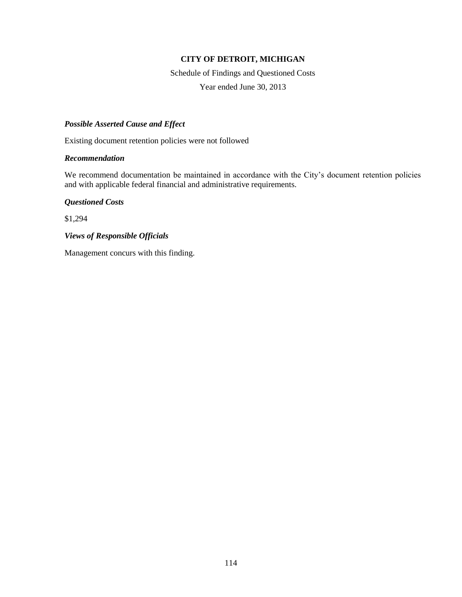Schedule of Findings and Questioned Costs Year ended June 30, 2013

# *Possible Asserted Cause and Effect*

Existing document retention policies were not followed

# *Recommendation*

We recommend documentation be maintained in accordance with the City's document retention policies and with applicable federal financial and administrative requirements.

# *Questioned Costs*

\$1,294

# *Views of Responsible Officials*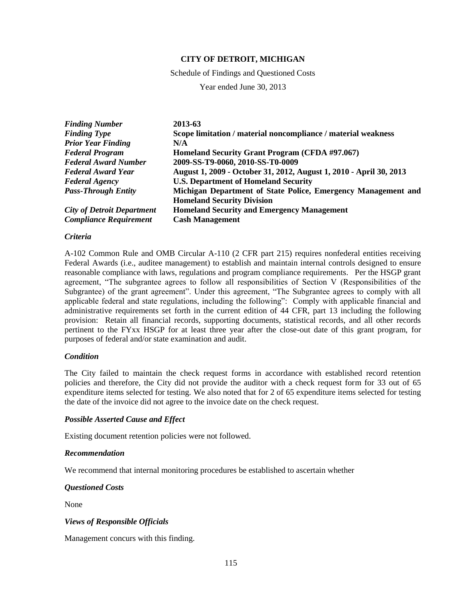Schedule of Findings and Questioned Costs

Year ended June 30, 2013

| <b>Finding Number</b>             | 2013-63                                                            |
|-----------------------------------|--------------------------------------------------------------------|
| <b>Finding Type</b>               | Scope limitation / material noncompliance / material weakness      |
| <b>Prior Year Finding</b>         | N/A                                                                |
| <b>Federal Program</b>            | Homeland Security Grant Program (CFDA #97.067)                     |
| <b>Federal Award Number</b>       | 2009-SS-T9-0060, 2010-SS-T0-0009                                   |
| <b>Federal Award Year</b>         | August 1, 2009 - October 31, 2012, August 1, 2010 - April 30, 2013 |
| <b>Federal Agency</b>             | <b>U.S. Department of Homeland Security</b>                        |
| <b>Pass-Through Entity</b>        | Michigan Department of State Police, Emergency Management and      |
|                                   | <b>Homeland Security Division</b>                                  |
| <b>City of Detroit Department</b> | <b>Homeland Security and Emergency Management</b>                  |
| <b>Compliance Requirement</b>     | <b>Cash Management</b>                                             |

#### *Criteria*

A-102 Common Rule and OMB Circular A-110 (2 CFR part 215) requires nonfederal entities receiving Federal Awards (i.e., auditee management) to establish and maintain internal controls designed to ensure reasonable compliance with laws, regulations and program compliance requirements. Per the HSGP grant agreement, "The subgrantee agrees to follow all responsibilities of Section V (Responsibilities of the Subgrantee) of the grant agreement". Under this agreement, "The Subgrantee agrees to comply with all applicable federal and state regulations, including the following": Comply with applicable financial and administrative requirements set forth in the current edition of 44 CFR, part 13 including the following provision: Retain all financial records, supporting documents, statistical records, and all other records pertinent to the FYxx HSGP for at least three year after the close-out date of this grant program, for purposes of federal and/or state examination and audit.

# *Condition*

The City failed to maintain the check request forms in accordance with established record retention policies and therefore, the City did not provide the auditor with a check request form for 33 out of 65 expenditure items selected for testing. We also noted that for 2 of 65 expenditure items selected for testing the date of the invoice did not agree to the invoice date on the check request.

# *Possible Asserted Cause and Effect*

Existing document retention policies were not followed.

#### *Recommendation*

We recommend that internal monitoring procedures be established to ascertain whether

#### *Questioned Costs*

None

#### *Views of Responsible Officials*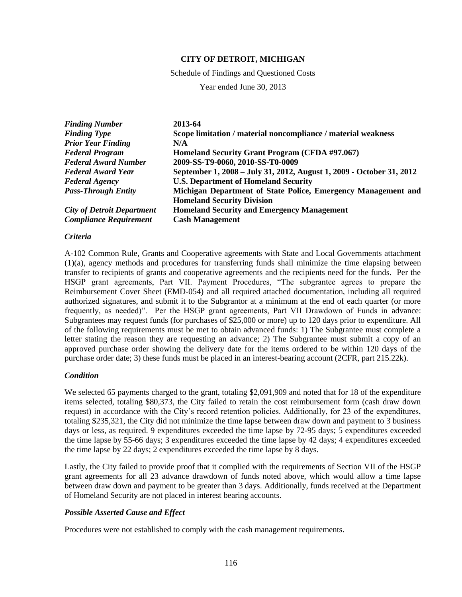Schedule of Findings and Questioned Costs

Year ended June 30, 2013

| <b>Finding Number</b>             | 2013-64                                                              |
|-----------------------------------|----------------------------------------------------------------------|
| <b>Finding Type</b>               | Scope limitation / material noncompliance / material weakness        |
| <b>Prior Year Finding</b>         | N/A                                                                  |
| <b>Federal Program</b>            | Homeland Security Grant Program (CFDA #97.067)                       |
| <b>Federal Award Number</b>       | 2009-SS-T9-0060, 2010-SS-T0-0009                                     |
| <b>Federal Award Year</b>         | September 1, 2008 – July 31, 2012, August 1, 2009 - October 31, 2012 |
| <b>Federal Agency</b>             | <b>U.S. Department of Homeland Security</b>                          |
| <b>Pass-Through Entity</b>        | Michigan Department of State Police, Emergency Management and        |
|                                   | <b>Homeland Security Division</b>                                    |
| <b>City of Detroit Department</b> | <b>Homeland Security and Emergency Management</b>                    |
| <b>Compliance Requirement</b>     | <b>Cash Management</b>                                               |

#### *Criteria*

A-102 Common Rule, Grants and Cooperative agreements with State and Local Governments attachment (1)(a), agency methods and procedures for transferring funds shall minimize the time elapsing between transfer to recipients of grants and cooperative agreements and the recipients need for the funds. Per the HSGP grant agreements, Part VII. Payment Procedures, "The subgrantee agrees to prepare the Reimbursement Cover Sheet (EMD-054) and all required attached documentation, including all required authorized signatures, and submit it to the Subgrantor at a minimum at the end of each quarter (or more frequently, as needed)". Per the HSGP grant agreements, Part VII Drawdown of Funds in advance: Subgrantees may request funds (for purchases of \$25,000 or more) up to 120 days prior to expenditure. All of the following requirements must be met to obtain advanced funds: 1) The Subgrantee must complete a letter stating the reason they are requesting an advance; 2) The Subgrantee must submit a copy of an approved purchase order showing the delivery date for the items ordered to be within 120 days of the purchase order date; 3) these funds must be placed in an interest-bearing account (2CFR, part 215.22k).

# *Condition*

We selected 65 payments charged to the grant, totaling \$2,091,909 and noted that for 18 of the expenditure items selected, totaling \$80,373, the City failed to retain the cost reimbursement form (cash draw down request) in accordance with the City's record retention policies. Additionally, for 23 of the expenditures, totaling \$235,321, the City did not minimize the time lapse between draw down and payment to 3 business days or less, as required. 9 expenditures exceeded the time lapse by 72-95 days; 5 expenditures exceeded the time lapse by 55-66 days; 3 expenditures exceeded the time lapse by 42 days; 4 expenditures exceeded the time lapse by 22 days; 2 expenditures exceeded the time lapse by 8 days.

Lastly, the City failed to provide proof that it complied with the requirements of Section VII of the HSGP grant agreements for all 23 advance drawdown of funds noted above, which would allow a time lapse between draw down and payment to be greater than 3 days. Additionally, funds received at the Department of Homeland Security are not placed in interest bearing accounts.

# *Possible Asserted Cause and Effect*

Procedures were not established to comply with the cash management requirements.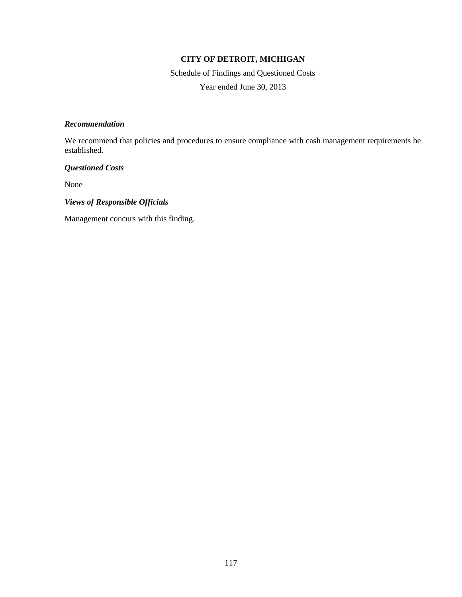Schedule of Findings and Questioned Costs Year ended June 30, 2013

# *Recommendation*

We recommend that policies and procedures to ensure compliance with cash management requirements be established.

# *Questioned Costs*

None

*Views of Responsible Officials*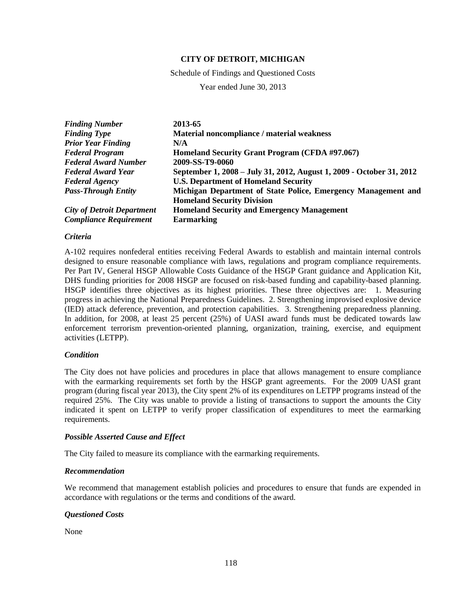Schedule of Findings and Questioned Costs

Year ended June 30, 2013

| <b>Finding Number</b>             | 2013-65                                                              |
|-----------------------------------|----------------------------------------------------------------------|
| <b>Finding Type</b>               | Material noncompliance / material weakness                           |
| <b>Prior Year Finding</b>         | N/A                                                                  |
| <b>Federal Program</b>            | Homeland Security Grant Program (CFDA #97.067)                       |
| <b>Federal Award Number</b>       | 2009-SS-T9-0060                                                      |
| <b>Federal Award Year</b>         | September 1, 2008 – July 31, 2012, August 1, 2009 - October 31, 2012 |
| <b>Federal Agency</b>             | <b>U.S. Department of Homeland Security</b>                          |
| <b>Pass-Through Entity</b>        | Michigan Department of State Police, Emergency Management and        |
|                                   | <b>Homeland Security Division</b>                                    |
| <b>City of Detroit Department</b> | <b>Homeland Security and Emergency Management</b>                    |
| <b>Compliance Requirement</b>     | <b>Earmarking</b>                                                    |

#### *Criteria*

A-102 requires nonfederal entities receiving Federal Awards to establish and maintain internal controls designed to ensure reasonable compliance with laws, regulations and program compliance requirements. Per Part IV, General HSGP Allowable Costs Guidance of the HSGP Grant guidance and Application Kit, DHS funding priorities for 2008 HSGP are focused on risk-based funding and capability-based planning. HSGP identifies three objectives as its highest priorities. These three objectives are: 1. Measuring progress in achieving the National Preparedness Guidelines. 2. Strengthening improvised explosive device (IED) attack deference, prevention, and protection capabilities. 3. Strengthening preparedness planning. In addition, for 2008, at least 25 percent (25%) of UASI award funds must be dedicated towards law enforcement terrorism prevention-oriented planning, organization, training, exercise, and equipment activities (LETPP).

# *Condition*

The City does not have policies and procedures in place that allows management to ensure compliance with the earmarking requirements set forth by the HSGP grant agreements. For the 2009 UASI grant program (during fiscal year 2013), the City spent 2% of its expenditures on LETPP programs instead of the required 25%. The City was unable to provide a listing of transactions to support the amounts the City indicated it spent on LETPP to verify proper classification of expenditures to meet the earmarking requirements.

# *Possible Asserted Cause and Effect*

The City failed to measure its compliance with the earmarking requirements.

# *Recommendation*

We recommend that management establish policies and procedures to ensure that funds are expended in accordance with regulations or the terms and conditions of the award.

# *Questioned Costs*

None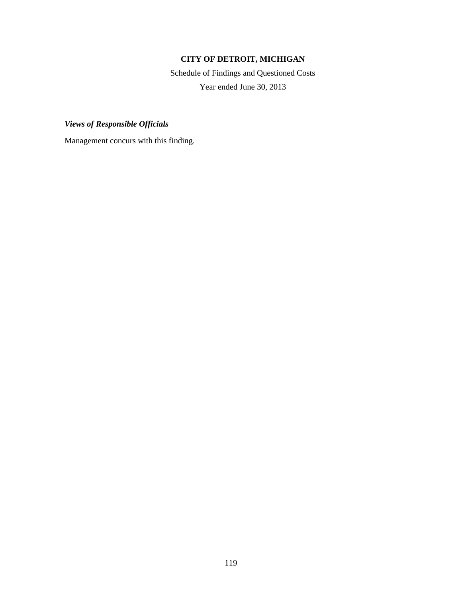Schedule of Findings and Questioned Costs Year ended June 30, 2013

*Views of Responsible Officials*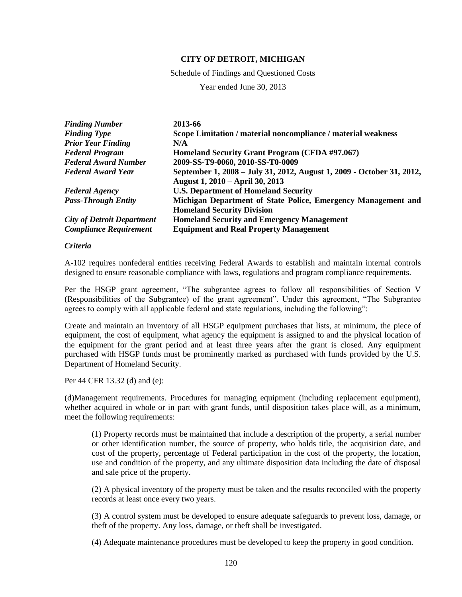Schedule of Findings and Questioned Costs

Year ended June 30, 2013

| <b>Finding Number</b>             | 2013-66                                                                                                  |
|-----------------------------------|----------------------------------------------------------------------------------------------------------|
| <b>Finding Type</b>               | Scope Limitation / material noncompliance / material weakness                                            |
| <b>Prior Year Finding</b>         | N/A                                                                                                      |
| <b>Federal Program</b>            | Homeland Security Grant Program (CFDA #97.067)                                                           |
| <b>Federal Award Number</b>       | 2009-SS-T9-0060, 2010-SS-T0-0009                                                                         |
| <b>Federal Award Year</b>         | September 1, 2008 – July 31, 2012, August 1, 2009 - October 31, 2012,<br>August 1, 2010 – April 30, 2013 |
| <b>Federal Agency</b>             | <b>U.S. Department of Homeland Security</b>                                                              |
| <b>Pass-Through Entity</b>        | Michigan Department of State Police, Emergency Management and                                            |
|                                   | <b>Homeland Security Division</b>                                                                        |
| <b>City of Detroit Department</b> | <b>Homeland Security and Emergency Management</b>                                                        |
| <b>Compliance Requirement</b>     | <b>Equipment and Real Property Management</b>                                                            |

#### *Criteria*

A-102 requires nonfederal entities receiving Federal Awards to establish and maintain internal controls designed to ensure reasonable compliance with laws, regulations and program compliance requirements.

Per the HSGP grant agreement, "The subgrantee agrees to follow all responsibilities of Section V (Responsibilities of the Subgrantee) of the grant agreement". Under this agreement, "The Subgrantee agrees to comply with all applicable federal and state regulations, including the following":

Create and maintain an inventory of all HSGP equipment purchases that lists, at minimum, the piece of equipment, the cost of equipment, what agency the equipment is assigned to and the physical location of the equipment for the grant period and at least three years after the grant is closed. Any equipment purchased with HSGP funds must be prominently marked as purchased with funds provided by the U.S. Department of Homeland Security.

Per 44 CFR 13.32 (d) and (e):

(d)Management requirements. Procedures for managing equipment (including replacement equipment), whether acquired in whole or in part with grant funds, until disposition takes place will, as a minimum, meet the following requirements:

(1) Property records must be maintained that include a description of the property, a serial number or other identification number, the source of property, who holds title, the acquisition date, and cost of the property, percentage of Federal participation in the cost of the property, the location, use and condition of the property, and any ultimate disposition data including the date of disposal and sale price of the property.

(2) A physical inventory of the property must be taken and the results reconciled with the property records at least once every two years.

(3) A control system must be developed to ensure adequate safeguards to prevent loss, damage, or theft of the property. Any loss, damage, or theft shall be investigated.

(4) Adequate maintenance procedures must be developed to keep the property in good condition.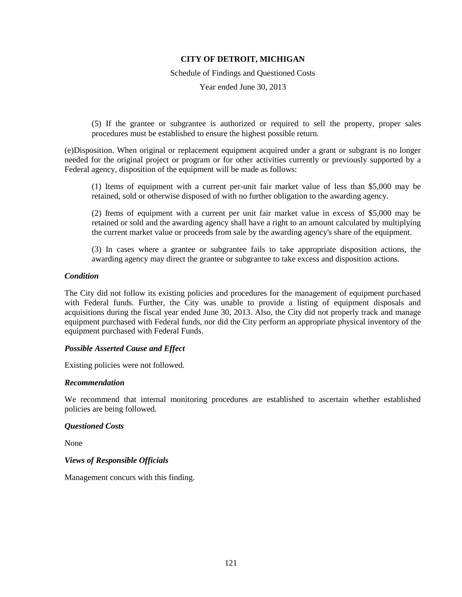Schedule of Findings and Questioned Costs

Year ended June 30, 2013

(5) If the grantee or subgrantee is authorized or required to sell the property, proper sales procedures must be established to ensure the highest possible return.

(e)Disposition. When original or replacement equipment acquired under a grant or subgrant is no longer needed for the original project or program or for other activities currently or previously supported by a Federal agency, disposition of the equipment will be made as follows:

(1) Items of equipment with a current per-unit fair market value of less than \$5,000 may be retained, sold or otherwise disposed of with no further obligation to the awarding agency.

(2) Items of equipment with a current per unit fair market value in excess of \$5,000 may be retained or sold and the awarding agency shall have a right to an amount calculated by multiplying the current market value or proceeds from sale by the awarding agency's share of the equipment.

(3) In cases where a grantee or subgrantee fails to take appropriate disposition actions, the awarding agency may direct the grantee or subgrantee to take excess and disposition actions.

#### *Condition*

The City did not follow its existing policies and procedures for the management of equipment purchased with Federal funds. Further, the City was unable to provide a listing of equipment disposals and acquisitions during the fiscal year ended June 30, 2013. Also, the City did not properly track and manage equipment purchased with Federal funds, nor did the City perform an appropriate physical inventory of the equipment purchased with Federal Funds.

#### *Possible Asserted Cause and Effect*

Existing policies were not followed.

#### *Recommendation*

We recommend that internal monitoring procedures are established to ascertain whether established policies are being followed.

#### *Questioned Costs*

None

#### *Views of Responsible Officials*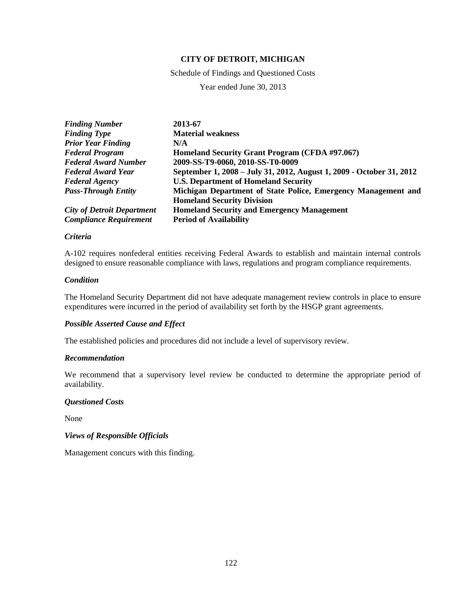Schedule of Findings and Questioned Costs

Year ended June 30, 2013

| <b>Finding Number</b>             | 2013-67                                                              |
|-----------------------------------|----------------------------------------------------------------------|
| <b>Finding Type</b>               | <b>Material weakness</b>                                             |
| <b>Prior Year Finding</b>         | N/A                                                                  |
| <b>Federal Program</b>            | Homeland Security Grant Program (CFDA #97.067)                       |
| <b>Federal Award Number</b>       | 2009-SS-T9-0060, 2010-SS-T0-0009                                     |
| Federal Award Year                | September 1, 2008 – July 31, 2012, August 1, 2009 - October 31, 2012 |
| <b>Federal Agency</b>             | <b>U.S. Department of Homeland Security</b>                          |
| <b>Pass-Through Entity</b>        | Michigan Department of State Police, Emergency Management and        |
|                                   | <b>Homeland Security Division</b>                                    |
| <b>City of Detroit Department</b> | <b>Homeland Security and Emergency Management</b>                    |
| <b>Compliance Requirement</b>     | <b>Period of Availability</b>                                        |

#### *Criteria*

A-102 requires nonfederal entities receiving Federal Awards to establish and maintain internal controls designed to ensure reasonable compliance with laws, regulations and program compliance requirements.

#### *Condition*

The Homeland Security Department did not have adequate management review controls in place to ensure expenditures were incurred in the period of availability set forth by the HSGP grant agreements.

# *Possible Asserted Cause and Effect*

The established policies and procedures did not include a level of supervisory review.

# *Recommendation*

We recommend that a supervisory level review be conducted to determine the appropriate period of availability.

#### *Questioned Costs*

None

# *Views of Responsible Officials*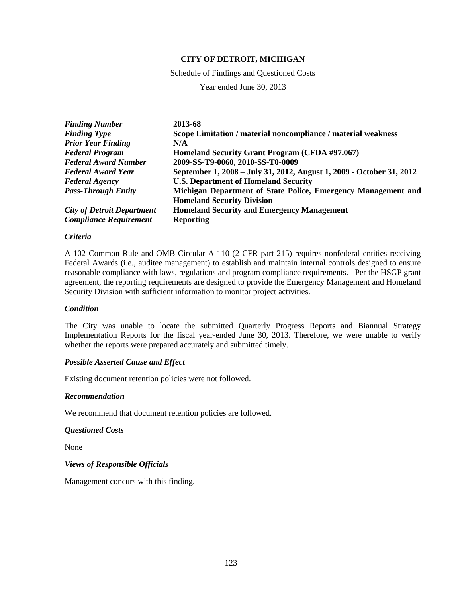Schedule of Findings and Questioned Costs

Year ended June 30, 2013

| <b>Finding Number</b>             | 2013-68                                                              |
|-----------------------------------|----------------------------------------------------------------------|
| <b>Finding Type</b>               | Scope Limitation / material noncompliance / material weakness        |
| <b>Prior Year Finding</b>         | N/A                                                                  |
| <b>Federal Program</b>            | Homeland Security Grant Program (CFDA #97.067)                       |
| <b>Federal Award Number</b>       | 2009-SS-T9-0060, 2010-SS-T0-0009                                     |
| <b>Federal Award Year</b>         | September 1, 2008 – July 31, 2012, August 1, 2009 - October 31, 2012 |
| <b>Federal Agency</b>             | <b>U.S. Department of Homeland Security</b>                          |
| <b>Pass-Through Entity</b>        | Michigan Department of State Police, Emergency Management and        |
|                                   | <b>Homeland Security Division</b>                                    |
| <b>City of Detroit Department</b> | <b>Homeland Security and Emergency Management</b>                    |
| <b>Compliance Requirement</b>     | <b>Reporting</b>                                                     |

#### *Criteria*

A-102 Common Rule and OMB Circular A-110 (2 CFR part 215) requires nonfederal entities receiving Federal Awards (i.e., auditee management) to establish and maintain internal controls designed to ensure reasonable compliance with laws, regulations and program compliance requirements. Per the HSGP grant agreement, the reporting requirements are designed to provide the Emergency Management and Homeland Security Division with sufficient information to monitor project activities.

#### *Condition*

The City was unable to locate the submitted Quarterly Progress Reports and Biannual Strategy Implementation Reports for the fiscal year-ended June 30, 2013. Therefore, we were unable to verify whether the reports were prepared accurately and submitted timely.

#### *Possible Asserted Cause and Effect*

Existing document retention policies were not followed.

#### *Recommendation*

We recommend that document retention policies are followed.

#### *Questioned Costs*

None

*Views of Responsible Officials*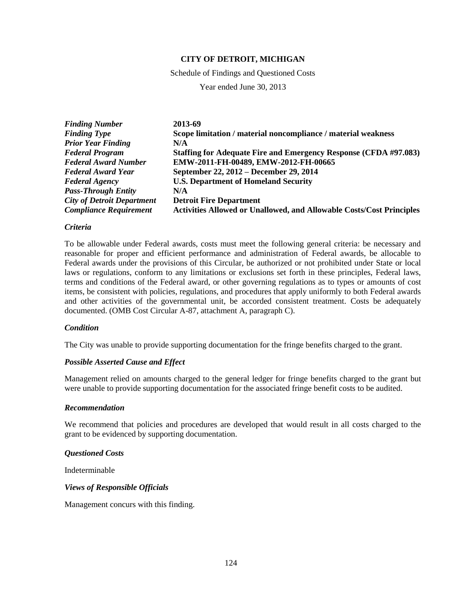Schedule of Findings and Questioned Costs

Year ended June 30, 2013

| <b>Finding Number</b>             | 2013-69                                                                     |
|-----------------------------------|-----------------------------------------------------------------------------|
| <b>Finding Type</b>               | Scope limitation / material noncompliance / material weakness               |
| <b>Prior Year Finding</b>         | N/A                                                                         |
| <b>Federal Program</b>            | Staffing for Adequate Fire and Emergency Response (CFDA #97.083)            |
| <b>Federal Award Number</b>       | EMW-2011-FH-00489, EMW-2012-FH-00665                                        |
| <b>Federal Award Year</b>         | September 22, 2012 – December 29, 2014                                      |
| <b>Federal Agency</b>             | <b>U.S. Department of Homeland Security</b>                                 |
| <b>Pass-Through Entity</b>        | N/A                                                                         |
| <b>City of Detroit Department</b> | <b>Detroit Fire Department</b>                                              |
| <b>Compliance Requirement</b>     | <b>Activities Allowed or Unallowed, and Allowable Costs/Cost Principles</b> |

#### *Criteria*

To be allowable under Federal awards, costs must meet the following general criteria: be necessary and reasonable for proper and efficient performance and administration of Federal awards, be allocable to Federal awards under the provisions of this Circular, be authorized or not prohibited under State or local laws or regulations, conform to any limitations or exclusions set forth in these principles, Federal laws, terms and conditions of the Federal award, or other governing regulations as to types or amounts of cost items, be consistent with policies, regulations, and procedures that apply uniformly to both Federal awards and other activities of the governmental unit, be accorded consistent treatment. Costs be adequately documented. (OMB Cost Circular A-87, attachment A, paragraph C).

#### *Condition*

The City was unable to provide supporting documentation for the fringe benefits charged to the grant.

#### *Possible Asserted Cause and Effect*

Management relied on amounts charged to the general ledger for fringe benefits charged to the grant but were unable to provide supporting documentation for the associated fringe benefit costs to be audited.

#### *Recommendation*

We recommend that policies and procedures are developed that would result in all costs charged to the grant to be evidenced by supporting documentation.

#### *Questioned Costs*

Indeterminable

#### *Views of Responsible Officials*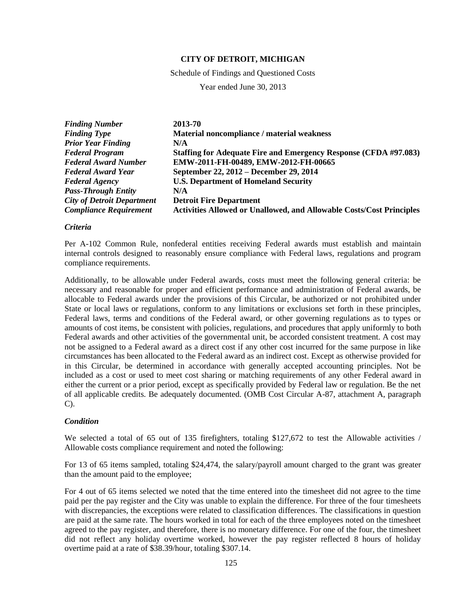Schedule of Findings and Questioned Costs

Year ended June 30, 2013

| <b>Finding Number</b>             | 2013-70                                                                     |
|-----------------------------------|-----------------------------------------------------------------------------|
| <b>Finding Type</b>               | Material noncompliance / material weakness                                  |
| <b>Prior Year Finding</b>         | N/A                                                                         |
| <b>Federal Program</b>            | Staffing for Adequate Fire and Emergency Response (CFDA #97.083)            |
| <b>Federal Award Number</b>       | EMW-2011-FH-00489, EMW-2012-FH-00665                                        |
| <b>Federal Award Year</b>         | September 22, 2012 – December 29, 2014                                      |
| <b>Federal Agency</b>             | <b>U.S. Department of Homeland Security</b>                                 |
| <b>Pass-Through Entity</b>        | N/A                                                                         |
| <b>City of Detroit Department</b> | <b>Detroit Fire Department</b>                                              |
| <b>Compliance Requirement</b>     | <b>Activities Allowed or Unallowed, and Allowable Costs/Cost Principles</b> |

#### *Criteria*

Per A-102 Common Rule, nonfederal entities receiving Federal awards must establish and maintain internal controls designed to reasonably ensure compliance with Federal laws, regulations and program compliance requirements.

Additionally, to be allowable under Federal awards, costs must meet the following general criteria: be necessary and reasonable for proper and efficient performance and administration of Federal awards, be allocable to Federal awards under the provisions of this Circular, be authorized or not prohibited under State or local laws or regulations, conform to any limitations or exclusions set forth in these principles, Federal laws, terms and conditions of the Federal award, or other governing regulations as to types or amounts of cost items, be consistent with policies, regulations, and procedures that apply uniformly to both Federal awards and other activities of the governmental unit, be accorded consistent treatment. A cost may not be assigned to a Federal award as a direct cost if any other cost incurred for the same purpose in like circumstances has been allocated to the Federal award as an indirect cost. Except as otherwise provided for in this Circular, be determined in accordance with generally accepted accounting principles. Not be included as a cost or used to meet cost sharing or matching requirements of any other Federal award in either the current or a prior period, except as specifically provided by Federal law or regulation. Be the net of all applicable credits. Be adequately documented. (OMB Cost Circular A-87, attachment A, paragraph  $C$ ).

#### *Condition*

We selected a total of 65 out of 135 firefighters, totaling \$127,672 to test the Allowable activities / Allowable costs compliance requirement and noted the following:

For 13 of 65 items sampled, totaling \$24,474, the salary/payroll amount charged to the grant was greater than the amount paid to the employee;

For 4 out of 65 items selected we noted that the time entered into the timesheet did not agree to the time paid per the pay register and the City was unable to explain the difference. For three of the four timesheets with discrepancies, the exceptions were related to classification differences. The classifications in question are paid at the same rate. The hours worked in total for each of the three employees noted on the timesheet agreed to the pay register, and therefore, there is no monetary difference. For one of the four, the timesheet did not reflect any holiday overtime worked, however the pay register reflected 8 hours of holiday overtime paid at a rate of \$38.39/hour, totaling \$307.14.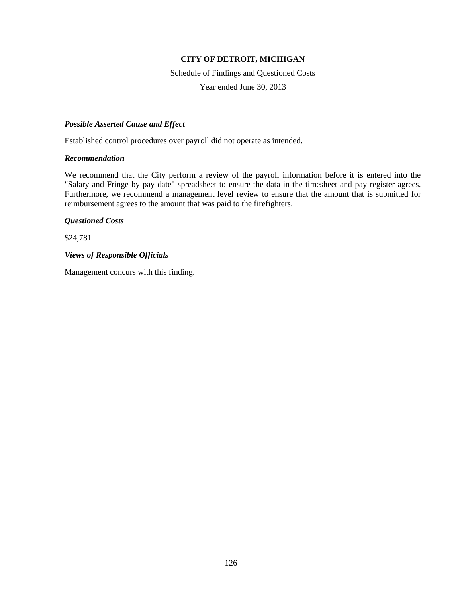Schedule of Findings and Questioned Costs Year ended June 30, 2013

# *Possible Asserted Cause and Effect*

Established control procedures over payroll did not operate as intended.

#### *Recommendation*

We recommend that the City perform a review of the payroll information before it is entered into the "Salary and Fringe by pay date" spreadsheet to ensure the data in the timesheet and pay register agrees. Furthermore, we recommend a management level review to ensure that the amount that is submitted for reimbursement agrees to the amount that was paid to the firefighters.

# *Questioned Costs*

\$24,781

# *Views of Responsible Officials*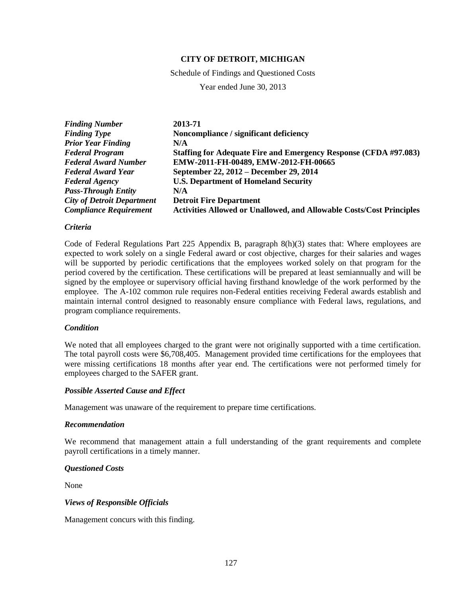Schedule of Findings and Questioned Costs

Year ended June 30, 2013

| <b>Finding Number</b>             | 2013-71                                                                     |
|-----------------------------------|-----------------------------------------------------------------------------|
| <b>Finding Type</b>               | Noncompliance / significant deficiency                                      |
| <b>Prior Year Finding</b>         | N/A                                                                         |
| <b>Federal Program</b>            | Staffing for Adequate Fire and Emergency Response (CFDA #97.083)            |
| <b>Federal Award Number</b>       | EMW-2011-FH-00489, EMW-2012-FH-00665                                        |
| <b>Federal Award Year</b>         | September 22, 2012 – December 29, 2014                                      |
| <b>Federal Agency</b>             | <b>U.S. Department of Homeland Security</b>                                 |
| <b>Pass-Through Entity</b>        | N/A                                                                         |
| <b>City of Detroit Department</b> | <b>Detroit Fire Department</b>                                              |
| <b>Compliance Requirement</b>     | <b>Activities Allowed or Unallowed, and Allowable Costs/Cost Principles</b> |

#### *Criteria*

Code of Federal Regulations Part 225 Appendix B, paragraph 8(h)(3) states that: Where employees are expected to work solely on a single Federal award or cost objective, charges for their salaries and wages will be supported by periodic certifications that the employees worked solely on that program for the period covered by the certification. These certifications will be prepared at least semiannually and will be signed by the employee or supervisory official having firsthand knowledge of the work performed by the employee. The A-102 common rule requires non-Federal entities receiving Federal awards establish and maintain internal control designed to reasonably ensure compliance with Federal laws, regulations, and program compliance requirements.

#### *Condition*

We noted that all employees charged to the grant were not originally supported with a time certification. The total payroll costs were \$6,708,405. Management provided time certifications for the employees that were missing certifications 18 months after year end. The certifications were not performed timely for employees charged to the SAFER grant.

# *Possible Asserted Cause and Effect*

Management was unaware of the requirement to prepare time certifications.

#### *Recommendation*

We recommend that management attain a full understanding of the grant requirements and complete payroll certifications in a timely manner.

#### *Questioned Costs*

None

#### *Views of Responsible Officials*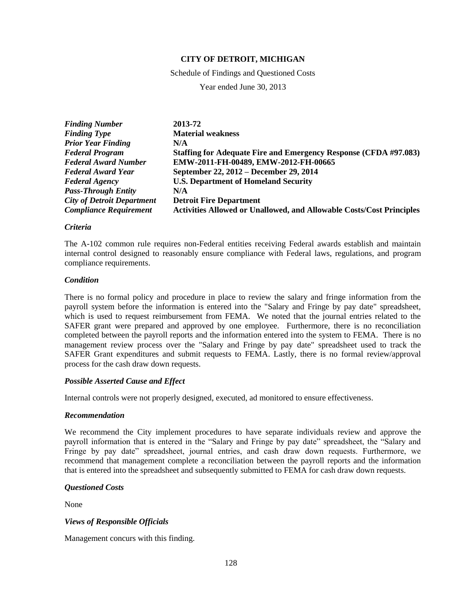Schedule of Findings and Questioned Costs

Year ended June 30, 2013

| <b>Finding Number</b>             | 2013-72                                                                     |
|-----------------------------------|-----------------------------------------------------------------------------|
| <b>Finding Type</b>               | <b>Material weakness</b>                                                    |
| <b>Prior Year Finding</b>         | N/A                                                                         |
| <b>Federal Program</b>            | Staffing for Adequate Fire and Emergency Response (CFDA #97.083)            |
| <b>Federal Award Number</b>       | EMW-2011-FH-00489, EMW-2012-FH-00665                                        |
| <b>Federal Award Year</b>         | September 22, 2012 – December 29, 2014                                      |
| <b>Federal Agency</b>             | <b>U.S. Department of Homeland Security</b>                                 |
| <b>Pass-Through Entity</b>        | N/A                                                                         |
| <b>City of Detroit Department</b> | <b>Detroit Fire Department</b>                                              |
| <b>Compliance Requirement</b>     | <b>Activities Allowed or Unallowed, and Allowable Costs/Cost Principles</b> |

#### *Criteria*

The A-102 common rule requires non-Federal entities receiving Federal awards establish and maintain internal control designed to reasonably ensure compliance with Federal laws, regulations, and program compliance requirements.

#### *Condition*

There is no formal policy and procedure in place to review the salary and fringe information from the payroll system before the information is entered into the "Salary and Fringe by pay date" spreadsheet, which is used to request reimbursement from FEMA. We noted that the journal entries related to the SAFER grant were prepared and approved by one employee. Furthermore, there is no reconciliation completed between the payroll reports and the information entered into the system to FEMA. There is no management review process over the "Salary and Fringe by pay date" spreadsheet used to track the SAFER Grant expenditures and submit requests to FEMA. Lastly, there is no formal review/approval process for the cash draw down requests.

#### *Possible Asserted Cause and Effect*

Internal controls were not properly designed, executed, ad monitored to ensure effectiveness.

#### *Recommendation*

We recommend the City implement procedures to have separate individuals review and approve the payroll information that is entered in the "Salary and Fringe by pay date" spreadsheet, the "Salary and Fringe by pay date" spreadsheet, journal entries, and cash draw down requests. Furthermore, we recommend that management complete a reconciliation between the payroll reports and the information that is entered into the spreadsheet and subsequently submitted to FEMA for cash draw down requests.

#### *Questioned Costs*

None

#### *Views of Responsible Officials*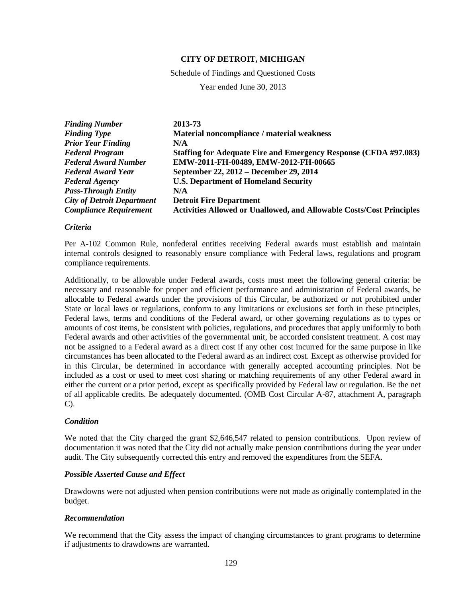Schedule of Findings and Questioned Costs

Year ended June 30, 2013

| <b>Finding Number</b>             | 2013-73                                                                     |
|-----------------------------------|-----------------------------------------------------------------------------|
| <b>Finding Type</b>               | Material noncompliance / material weakness                                  |
| <b>Prior Year Finding</b>         | N/A                                                                         |
| <b>Federal Program</b>            | Staffing for Adequate Fire and Emergency Response (CFDA #97.083)            |
| <b>Federal Award Number</b>       | EMW-2011-FH-00489, EMW-2012-FH-00665                                        |
| <b>Federal Award Year</b>         | September 22, 2012 – December 29, 2014                                      |
| <b>Federal Agency</b>             | <b>U.S. Department of Homeland Security</b>                                 |
| <b>Pass-Through Entity</b>        | N/A                                                                         |
| <b>City of Detroit Department</b> | <b>Detroit Fire Department</b>                                              |
| <b>Compliance Requirement</b>     | <b>Activities Allowed or Unallowed, and Allowable Costs/Cost Principles</b> |

#### *Criteria*

Per A-102 Common Rule, nonfederal entities receiving Federal awards must establish and maintain internal controls designed to reasonably ensure compliance with Federal laws, regulations and program compliance requirements.

Additionally, to be allowable under Federal awards, costs must meet the following general criteria: be necessary and reasonable for proper and efficient performance and administration of Federal awards, be allocable to Federal awards under the provisions of this Circular, be authorized or not prohibited under State or local laws or regulations, conform to any limitations or exclusions set forth in these principles, Federal laws, terms and conditions of the Federal award, or other governing regulations as to types or amounts of cost items, be consistent with policies, regulations, and procedures that apply uniformly to both Federal awards and other activities of the governmental unit, be accorded consistent treatment. A cost may not be assigned to a Federal award as a direct cost if any other cost incurred for the same purpose in like circumstances has been allocated to the Federal award as an indirect cost. Except as otherwise provided for in this Circular, be determined in accordance with generally accepted accounting principles. Not be included as a cost or used to meet cost sharing or matching requirements of any other Federal award in either the current or a prior period, except as specifically provided by Federal law or regulation. Be the net of all applicable credits. Be adequately documented. (OMB Cost Circular A-87, attachment A, paragraph  $C$ ).

#### *Condition*

We noted that the City charged the grant \$2,646,547 related to pension contributions. Upon review of documentation it was noted that the City did not actually make pension contributions during the year under audit. The City subsequently corrected this entry and removed the expenditures from the SEFA.

#### *Possible Asserted Cause and Effect*

Drawdowns were not adjusted when pension contributions were not made as originally contemplated in the budget.

#### *Recommendation*

We recommend that the City assess the impact of changing circumstances to grant programs to determine if adjustments to drawdowns are warranted.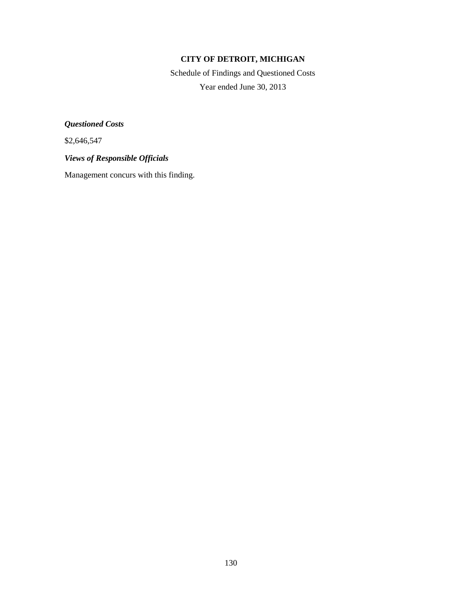Schedule of Findings and Questioned Costs Year ended June 30, 2013

*Questioned Costs*

\$2,646,547

*Views of Responsible Officials*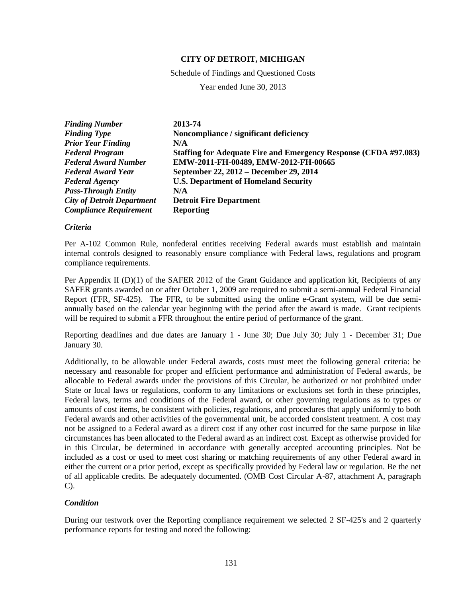Schedule of Findings and Questioned Costs

Year ended June 30, 2013

| <b>Finding Number</b>             | 2013-74                                                          |
|-----------------------------------|------------------------------------------------------------------|
| <b>Finding Type</b>               | Noncompliance / significant deficiency                           |
| <b>Prior Year Finding</b>         | N/A                                                              |
| <b>Federal Program</b>            | Staffing for Adequate Fire and Emergency Response (CFDA #97.083) |
| <b>Federal Award Number</b>       | EMW-2011-FH-00489, EMW-2012-FH-00665                             |
| <b>Federal Award Year</b>         | September 22, 2012 – December 29, 2014                           |
| <b>Federal Agency</b>             | <b>U.S. Department of Homeland Security</b>                      |
| <b>Pass-Through Entity</b>        | N/A                                                              |
| <b>City of Detroit Department</b> | <b>Detroit Fire Department</b>                                   |
| <b>Compliance Requirement</b>     | <b>Reporting</b>                                                 |

#### *Criteria*

Per A-102 Common Rule, nonfederal entities receiving Federal awards must establish and maintain internal controls designed to reasonably ensure compliance with Federal laws, regulations and program compliance requirements.

Per Appendix II (D)(1) of the SAFER 2012 of the Grant Guidance and application kit, Recipients of any SAFER grants awarded on or after October 1, 2009 are required to submit a semi-annual Federal Financial Report (FFR, SF-425). The FFR, to be submitted using the online e-Grant system, will be due semiannually based on the calendar year beginning with the period after the award is made. Grant recipients will be required to submit a FFR throughout the entire period of performance of the grant.

Reporting deadlines and due dates are January 1 - June 30; Due July 30; July 1 - December 31; Due January 30.

Additionally, to be allowable under Federal awards, costs must meet the following general criteria: be necessary and reasonable for proper and efficient performance and administration of Federal awards, be allocable to Federal awards under the provisions of this Circular, be authorized or not prohibited under State or local laws or regulations, conform to any limitations or exclusions set forth in these principles, Federal laws, terms and conditions of the Federal award, or other governing regulations as to types or amounts of cost items, be consistent with policies, regulations, and procedures that apply uniformly to both Federal awards and other activities of the governmental unit, be accorded consistent treatment. A cost may not be assigned to a Federal award as a direct cost if any other cost incurred for the same purpose in like circumstances has been allocated to the Federal award as an indirect cost. Except as otherwise provided for in this Circular, be determined in accordance with generally accepted accounting principles. Not be included as a cost or used to meet cost sharing or matching requirements of any other Federal award in either the current or a prior period, except as specifically provided by Federal law or regulation. Be the net of all applicable credits. Be adequately documented. (OMB Cost Circular A-87, attachment A, paragraph C).

# *Condition*

During our testwork over the Reporting compliance requirement we selected 2 SF-425's and 2 quarterly performance reports for testing and noted the following: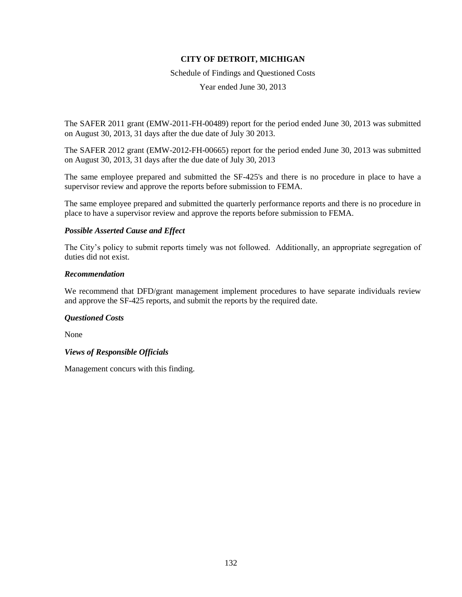Schedule of Findings and Questioned Costs

Year ended June 30, 2013

The SAFER 2011 grant (EMW-2011-FH-00489) report for the period ended June 30, 2013 was submitted on August 30, 2013, 31 days after the due date of July 30 2013.

The SAFER 2012 grant (EMW-2012-FH-00665) report for the period ended June 30, 2013 was submitted on August 30, 2013, 31 days after the due date of July 30, 2013

The same employee prepared and submitted the SF-425's and there is no procedure in place to have a supervisor review and approve the reports before submission to FEMA.

The same employee prepared and submitted the quarterly performance reports and there is no procedure in place to have a supervisor review and approve the reports before submission to FEMA.

# *Possible Asserted Cause and Effect*

The City's policy to submit reports timely was not followed. Additionally, an appropriate segregation of duties did not exist.

# *Recommendation*

We recommend that DFD/grant management implement procedures to have separate individuals review and approve the SF-425 reports, and submit the reports by the required date.

# *Questioned Costs*

None

# *Views of Responsible Officials*